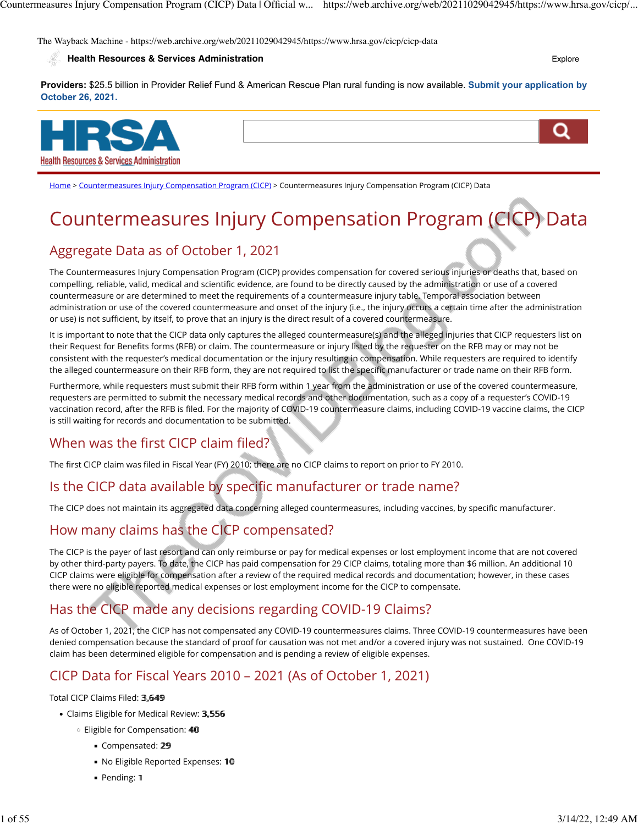The Wayback Machine - https://web.archive.org/web/20211029042945/https://www.hrsa.gov/cicp/cicp-data

#### **[Health Resources & Services Administration](https://web.archive.org/web/20211029042945/https://www.hrsa.gov/)** [Explore](https://web.archive.org/web/20211029042945/https://www.hrsa.gov/cicp/cicp-data#) **Explore Explore Explore**

**Providers:** \$25.5 billion in Provider Relief Fund & American Rescue Plan rural funding is now available. **[Submit your application by](https://web.archive.org/web/20211029042945/https://www.hrsa.gov/provider-relief) [October 26, 2021.](https://web.archive.org/web/20211029042945/https://www.hrsa.gov/provider-relief)**



[Home](https://web.archive.org/web/20211029042945/https://www.hrsa.gov/) > [Countermeasures Injury Compensation Program \(CICP\)](https://web.archive.org/web/20211029042945/https://www.hrsa.gov/cicp) > Countermeasures Injury Compensation Program (CICP) Data

# Countermeasures Injury Compensation Program (CICP) Data

# Aggregate Data as of October 1, 2021

The Countermeasures Injury Compensation Program (CICP) provides compensation for covered serious injuries or deaths that, based on compelling, reliable, valid, medical and scientific evidence, are found to be directly caused by the administration or use of a covered countermeasure or are determined to meet the requirements of a countermeasure injury table. Temporal association between administration or use of the covered countermeasure and onset of the injury (i.e., the injury occurs a certain time after the administration or use) is not sufficient, by itself, to prove that an injury is the direct result of a covered countermeasure.

It is important to note that the CICP data only captures the alleged countermeasure(s) and the alleged injuries that CICP requesters list on their Request for Benefits forms (RFB) or claim. The countermeasure or injury listed by the requester on the RFB may or may not be consistent with the requester's medical documentation or the injury resulting in compensation. While requesters are required to identify the alleged countermeasure on their RFB form, they are not required to list the specific manufacturer or trade name on their RFB form.

Furthermore, while requesters must submit their RFB form within 1 year from the administration or use of the covered countermeasure, requesters are permitted to submit the necessary medical records and other documentation, such as a copy of a requester's COVID-19 vaccination record, after the RFB is filed. For the majority of COVID-19 countermeasure claims, including COVID-19 vaccine claims, the CICP is still waiting for records and documentation to be submitted.

# When was the first CICP claim filed?

The first CICP claim was filed in Fiscal Year (FY) 2010; there are no CICP claims to report on prior to FY 2010.

# Is the CICP data available by specific manufacturer or trade name?

The CICP does not maintain its aggregated data concerning alleged countermeasures, including vaccines, by specific manufacturer.

## How many claims has the CICP compensated?

The CICP is the payer of last resort and can only reimburse or pay for medical expenses or lost employment income that are not covered by other third-party payers. To date, the CICP has paid compensation for 29 CICP claims, totaling more than \$6 million. An additional 10 CICP claims were eligible for compensation after a review of the required medical records and documentation; however, in these cases there were no eligible reported medical expenses or lost employment income for the CICP to compensate.

# Has the CICP made any decisions regarding COVID-19 Claims?

As of October 1, 2021, the CICP has not compensated any COVID-19 countermeasures claims. Three COVID-19 countermeasures have been denied compensation because the standard of proof for causation was not met and/or a covered injury was not sustained. One COVID-19 claim has been determined eligible for compensation and is pending a review of eligible expenses.

# CICP Data for Fiscal Years 2010 – 2021 (As of October 1, 2021)

Total CICP Claims Filed: 3,649

- Claims Eligible for Medical Review: 3,556
	- Eligible for Compensation: 4400
		- Compensated: 29
		- No Eligible Reported Expenses: 10
		- Pending: 1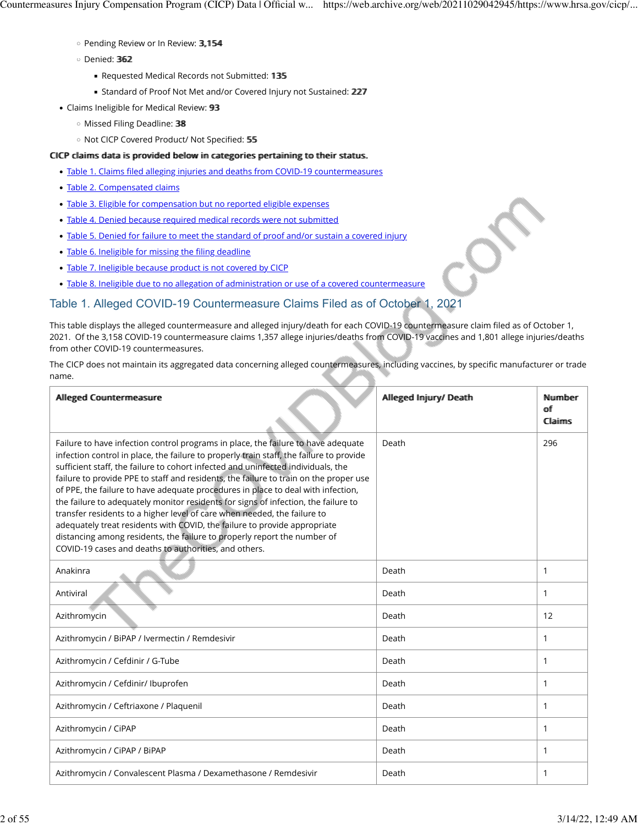- Pending Review or In Review: 33,,115544
- Denied: 336622
	- Requested Medical Records not Submitted: 135
	- **EXTERGEDED STANDARD STANDER IN STANDER STANDER STANDER IN STANDER STANDER STANDER STANDER STANDER STANDER STANDER STANDER STANDER STANDER STANDER STANDER STANDER STANDER STANDER STANDER STANDER STANDER STANDER STANDER STA**
- Claims Ineligible for Medical Review: 93
	- Missed Filing Deadline: 3388
	- Not CICP Covered Product/ Not Specified: 5555

#### CICP claims data is provided below in categories pertaining to their status.

- Table 1. Claims fi[led alleging injuries and deaths from COVID-19 countermeasures](https://web.archive.org/web/20211029042945/https://www.hrsa.gov/cicp/cicp-data#table-1)
- [Table 2. Compensated claims](https://web.archive.org/web/20211029042945/https://www.hrsa.gov/cicp/cicp-data#table-2)
- [Table 3. Eligible for compensation but no reported eligible expenses](https://web.archive.org/web/20211029042945/https://www.hrsa.gov/cicp/cicp-data#table-3)
- [Table 4. Denied because required medical records were not submitted](https://web.archive.org/web/20211029042945/https://www.hrsa.gov/cicp/cicp-data#table-4)
- [Table 5. Denied for failure to meet the standard of proof and/or sustain a covered injury](https://web.archive.org/web/20211029042945/https://www.hrsa.gov/cicp/cicp-data#table-5)
- [Table 6. Ineligible for missing the](https://web.archive.org/web/20211029042945/https://www.hrsa.gov/cicp/cicp-data#table-6) filing deadline
- [Table 7. Ineligible because product is not covered by CICP](https://web.archive.org/web/20211029042945/https://www.hrsa.gov/cicp/cicp-data#table-7)
- [Table 8. Ineligible due to no allegation of administration or use of a covered countermeasure](https://web.archive.org/web/20211029042945/https://www.hrsa.gov/cicp/cicp-data#table-8)

#### Table 1. Alleged COVID-19 Countermeasure Claims Filed as of October 1, 2021

This table displays the alleged countermeasure and alleged injury/death for each COVID-19 countermeasure claim filed as of October 1, 2021. Of the 3,158 COVID-19 countermeasure claims 1,357 allege injuries/deaths from COVID-19 vaccines and 1,801 allege injuries/deaths from other COVID-19 countermeasures.

The CICP does not maintain its aggregated data concerning alleged countermeasures, including vaccines, by specific manufacturer or trade name.

| Allleged Countermeasure                                                                                                                                                                                                                                                                                                                                                                                                                                                                                                                                                                                                                                                                                                                                                                                                           | Allleged Injury/ Death | Nummber<br><b>off</b><br><b>Claims</b> |
|-----------------------------------------------------------------------------------------------------------------------------------------------------------------------------------------------------------------------------------------------------------------------------------------------------------------------------------------------------------------------------------------------------------------------------------------------------------------------------------------------------------------------------------------------------------------------------------------------------------------------------------------------------------------------------------------------------------------------------------------------------------------------------------------------------------------------------------|------------------------|----------------------------------------|
| Failure to have infection control programs in place, the failure to have adequate<br>infection control in place, the failure to properly train staff, the failure to provide<br>sufficient staff, the failure to cohort infected and uninfected individuals, the<br>failure to provide PPE to staff and residents, the failure to train on the proper use<br>of PPE, the failure to have adequate procedures in place to deal with infection,<br>the failure to adequately monitor residents for signs of infection, the failure to<br>transfer residents to a higher level of care when needed, the failure to<br>adequately treat residents with COVID, the failure to provide appropriate<br>distancing among residents, the failure to properly report the number of<br>COVID-19 cases and deaths to authorities, and others. | Death                  | 296                                    |
| Anakinra                                                                                                                                                                                                                                                                                                                                                                                                                                                                                                                                                                                                                                                                                                                                                                                                                          | Death                  | $\mathbf{1}$                           |
| Antiviral                                                                                                                                                                                                                                                                                                                                                                                                                                                                                                                                                                                                                                                                                                                                                                                                                         | Death                  | $\mathbf{1}$                           |
| Azithromycin                                                                                                                                                                                                                                                                                                                                                                                                                                                                                                                                                                                                                                                                                                                                                                                                                      | Death                  | 12                                     |
| Azithromycin / BiPAP / Ivermectin / Remdesivir                                                                                                                                                                                                                                                                                                                                                                                                                                                                                                                                                                                                                                                                                                                                                                                    | Death                  | $\mathbf{1}$                           |
| Azithromycin / Cefdinir / G-Tube                                                                                                                                                                                                                                                                                                                                                                                                                                                                                                                                                                                                                                                                                                                                                                                                  | Death                  | $\mathbf{1}$                           |
| Azithromycin / Cefdinir/ Ibuprofen                                                                                                                                                                                                                                                                                                                                                                                                                                                                                                                                                                                                                                                                                                                                                                                                | Death                  | $\mathbf{1}$                           |
| Azithromycin / Ceftriaxone / Plaquenil                                                                                                                                                                                                                                                                                                                                                                                                                                                                                                                                                                                                                                                                                                                                                                                            | Death                  | $\mathbf{1}$                           |
| Azithromycin / CiPAP                                                                                                                                                                                                                                                                                                                                                                                                                                                                                                                                                                                                                                                                                                                                                                                                              | Death                  | $\mathbf{1}$                           |
| Azithromycin / CiPAP / BiPAP                                                                                                                                                                                                                                                                                                                                                                                                                                                                                                                                                                                                                                                                                                                                                                                                      | Death                  | $\mathbf{1}$                           |
| Azithromycin / Convalescent Plasma / Dexamethasone / Remdesivir                                                                                                                                                                                                                                                                                                                                                                                                                                                                                                                                                                                                                                                                                                                                                                   | Death                  | $\mathbf{1}$                           |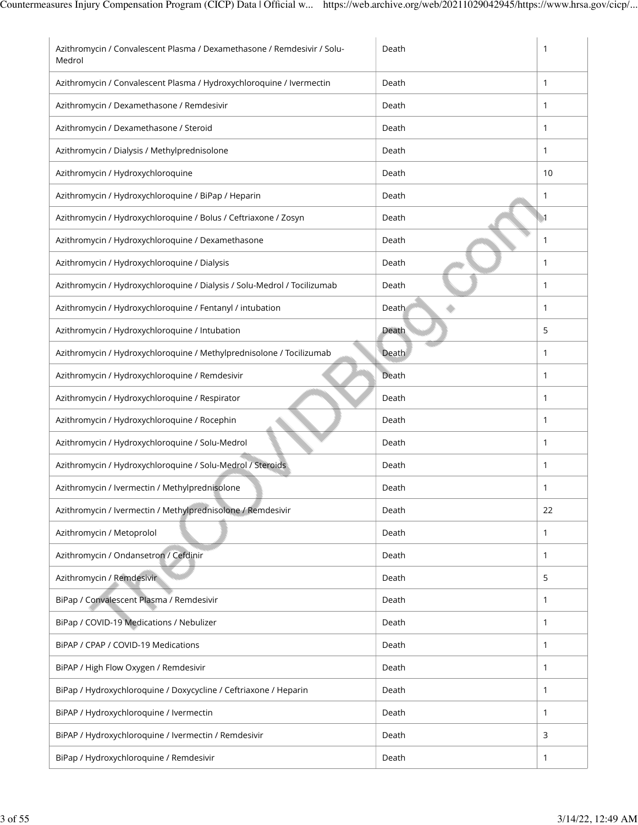| Azithromycin / Convalescent Plasma / Dexamethasone / Remdesivir / Solu-<br>Medrol | Death | 1                |
|-----------------------------------------------------------------------------------|-------|------------------|
| Azithromycin / Convalescent Plasma / Hydroxychloroquine / Ivermectin              | Death | 1                |
| Azithromycin / Dexamethasone / Remdesivir                                         | Death | 1                |
| Azithromycin / Dexamethasone / Steroid                                            | Death | $\mathbf{1}$     |
| Azithromycin / Dialysis / Methylprednisolone                                      | Death | $\mathbf{1}$     |
| Azithromycin / Hydroxychloroquine                                                 | Death | 10               |
| Azithromycin / Hydroxychloroquine / BiPap / Heparin                               | Death | 1                |
| Azithromycin / Hydroxychloroquine / Bolus / Ceftriaxone / Zosyn                   | Death | $\blacksquare$ 1 |
| Azithromycin / Hydroxychloroquine / Dexamethasone                                 | Death | 1                |
| Azithromycin / Hydroxychloroquine / Dialysis                                      | Death | 1                |
| Azithromycin / Hydroxychloroquine / Dialysis / Solu-Medrol / Tocilizumab          | Death | $\mathbf{1}$     |
| Azithromycin / Hydroxychloroquine / Fentanyl / intubation                         | Death | 1                |
| Azithromycin / Hydroxychloroquine / Intubation                                    | Death | 5                |
| Azithromycin / Hydroxychloroquine / Methylprednisolone / Tocilizumab              | Death | $\mathbf{1}$     |
| Azithromycin / Hydroxychloroquine / Remdesivir                                    | Death | 1                |
| Azithromycin / Hydroxychloroquine / Respirator                                    | Death | $\mathbf{1}$     |
| Azithromycin / Hydroxychloroquine / Rocephin                                      | Death | 1                |
| Azithromycin / Hydroxychloroquine / Solu-Medrol                                   | Death | 1                |
| Azithromycin / Hydroxychloroquine / Solu-Medrol / Steroids                        | Death | $\mathbf{1}$     |
| Azithromycin / Ivermectin / Methylprednisolone                                    | Death | 1                |
| Azithromycin / Ivermectin / Methylprednisolone / Remdesivir                       | Death | 22               |
| Azithromycin / Metoprolol                                                         | Death | $\mathbf{1}$     |
| Azithromycin / Ondansetron / Cefdinir                                             | Death | 1                |
| Azithromycin / Remdesivir                                                         | Death | 5                |
| BiPap / Convalescent Plasma / Remdesivir                                          | Death | 1                |
| BiPap / COVID-19 Medications / Nebulizer                                          | Death | 1                |
| BiPAP / CPAP / COVID-19 Medications                                               | Death | 1                |
| BiPAP / High Flow Oxygen / Remdesivir                                             | Death | 1                |
| BiPap / Hydroxychloroquine / Doxycycline / Ceftriaxone / Heparin                  | Death | $\mathbf{1}$     |
| BiPAP / Hydroxychloroquine / Ivermectin                                           | Death | 1                |
| BiPAP / Hydroxychloroquine / Ivermectin / Remdesivir                              | Death | 3                |
| BiPap / Hydroxychloroquine / Remdesivir                                           | Death | 1                |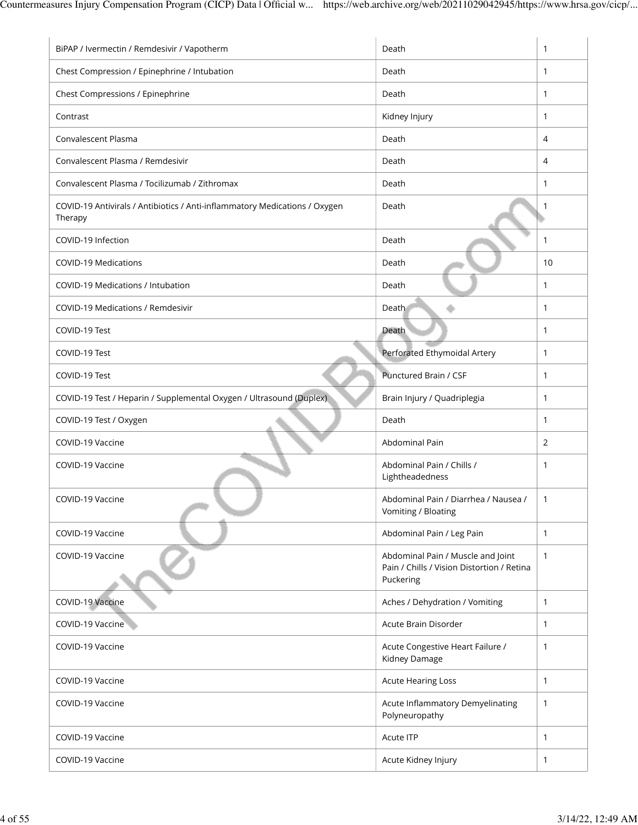| BiPAP / Ivermectin / Remdesivir / Vapotherm                                           | Death                                                                                        | 1            |
|---------------------------------------------------------------------------------------|----------------------------------------------------------------------------------------------|--------------|
| Chest Compression / Epinephrine / Intubation                                          | Death                                                                                        | 1            |
| Chest Compressions / Epinephrine                                                      | Death                                                                                        | 1            |
| Contrast                                                                              | Kidney Injury                                                                                | $\mathbf{1}$ |
| Convalescent Plasma                                                                   | Death                                                                                        | 4            |
| Convalescent Plasma / Remdesivir                                                      | Death                                                                                        | 4            |
| Convalescent Plasma / Tocilizumab / Zithromax                                         | Death                                                                                        | 1            |
| COVID-19 Antivirals / Antibiotics / Anti-inflammatory Medications / Oxygen<br>Therapy | Death                                                                                        | -1           |
| COVID-19 Infection                                                                    | Death                                                                                        | 1            |
| <b>COVID-19 Medications</b>                                                           | Death                                                                                        | 10           |
| COVID-19 Medications / Intubation                                                     | Death                                                                                        | 1            |
| <b>COVID-19 Medications / Remdesivir</b>                                              | Death                                                                                        | 1            |
| COVID-19 Test                                                                         | Death                                                                                        | $\mathbf{1}$ |
| COVID-19 Test                                                                         | Perforated Ethymoidal Artery                                                                 | 1            |
| COVID-19 Test                                                                         | Punctured Brain / CSF                                                                        | 1            |
| COVID-19 Test / Heparin / Supplemental Oxygen / Ultrasound (Duplex)                   | Brain Injury / Quadriplegia                                                                  | 1            |
| COVID-19 Test / Oxygen                                                                | Death                                                                                        | 1            |
| COVID-19 Vaccine                                                                      | Abdominal Pain                                                                               | 2            |
| COVID-19 Vaccine                                                                      | Abdominal Pain / Chills /<br>Lightheadedness                                                 | 1            |
| COVID-19 Vaccine                                                                      | Abdominal Pain / Diarrhea / Nausea /<br>Vomiting / Bloating                                  | 1            |
| COVID-19 Vaccine                                                                      | Abdominal Pain / Leg Pain                                                                    | $\mathbf{1}$ |
| COVID-19 Vaccine                                                                      | Abdominal Pain / Muscle and Joint<br>Pain / Chills / Vision Distortion / Retina<br>Puckering | $\mathbf{1}$ |
| COVID-19 Vaccine                                                                      | Aches / Dehydration / Vomiting                                                               | $\mathbf{1}$ |
| COVID-19 Vaccine                                                                      | Acute Brain Disorder                                                                         | $\mathbf{1}$ |
| COVID-19 Vaccine                                                                      | Acute Congestive Heart Failure /<br>Kidney Damage                                            | 1            |
| COVID-19 Vaccine                                                                      | <b>Acute Hearing Loss</b>                                                                    | 1            |
| COVID-19 Vaccine                                                                      | Acute Inflammatory Demyelinating<br>Polyneuropathy                                           | 1            |
| COVID-19 Vaccine                                                                      | Acute ITP                                                                                    | $\mathbf{1}$ |
| COVID-19 Vaccine                                                                      | Acute Kidney Injury                                                                          | $\mathbf{1}$ |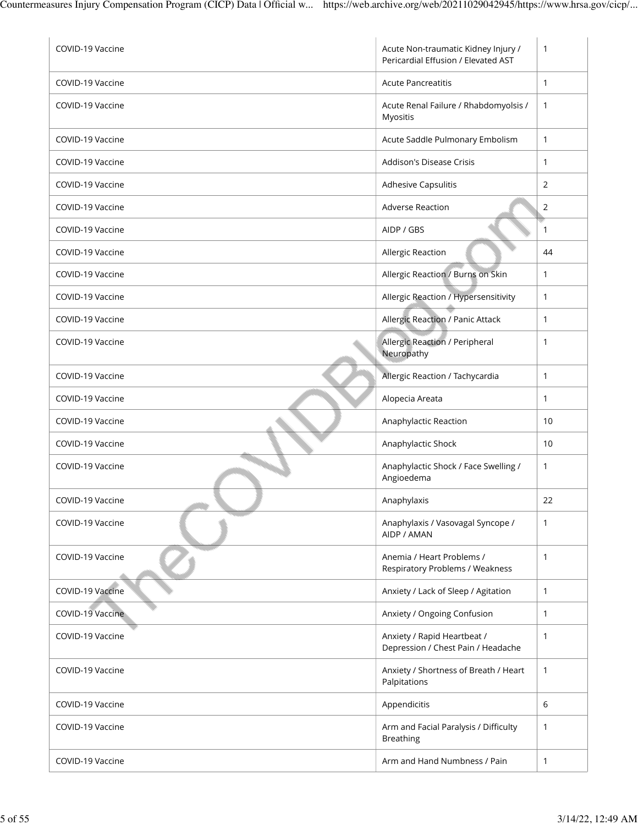| COVID-19 Vaccine | Acute Non-traumatic Kidney Injury /<br>Pericardial Effusion / Elevated AST | $\mathbf{1}$ |
|------------------|----------------------------------------------------------------------------|--------------|
| COVID-19 Vaccine | <b>Acute Pancreatitis</b>                                                  | $\mathbf{1}$ |
| COVID-19 Vaccine | Acute Renal Failure / Rhabdomyolsis /<br>Myositis                          | $\mathbf{1}$ |
| COVID-19 Vaccine | Acute Saddle Pulmonary Embolism                                            | $\mathbf{1}$ |
| COVID-19 Vaccine | Addison's Disease Crisis                                                   | 1            |
| COVID-19 Vaccine | Adhesive Capsulitis                                                        | 2            |
| COVID-19 Vaccine | Adverse Reaction                                                           | 2            |
| COVID-19 Vaccine | AIDP / GBS                                                                 | $\mathbf{1}$ |
| COVID-19 Vaccine | Allergic Reaction                                                          | 44           |
| COVID-19 Vaccine | Allergic Reaction / Burns on Skin                                          | $\mathbf{1}$ |
| COVID-19 Vaccine | Allergic Reaction / Hypersensitivity                                       | 1            |
| COVID-19 Vaccine | Allergic Reaction / Panic Attack                                           | 1            |
| COVID-19 Vaccine | <b>Allergic Reaction / Peripheral</b><br>Neuropathy                        | 1            |
| COVID-19 Vaccine | Allergic Reaction / Tachycardia                                            | 1            |
| COVID-19 Vaccine | Alopecia Areata                                                            | 1            |
| COVID-19 Vaccine | Anaphylactic Reaction                                                      | 10           |
| COVID-19 Vaccine | Anaphylactic Shock                                                         | 10           |
| COVID-19 Vaccine | Anaphylactic Shock / Face Swelling /<br>Angioedema                         | 1            |
| COVID-19 Vaccine | Anaphylaxis                                                                | 22           |
| COVID-19 Vaccine | Anaphylaxis / Vasovagal Syncope /<br>AIDP / AMAN                           | $\mathbf{1}$ |
| COVID-19 Vaccine | Anemia / Heart Problems /<br>Respiratory Problems / Weakness               | 1            |
| COVID-19 Vaccine | Anxiety / Lack of Sleep / Agitation                                        | 1            |
| COVID-19 Vaccine | Anxiety / Ongoing Confusion                                                | 1            |
| COVID-19 Vaccine | Anxiety / Rapid Heartbeat /<br>Depression / Chest Pain / Headache          | 1            |
| COVID-19 Vaccine | Anxiety / Shortness of Breath / Heart<br>Palpitations                      | 1            |
| COVID-19 Vaccine | Appendicitis                                                               | 6            |
| COVID-19 Vaccine | Arm and Facial Paralysis / Difficulty<br><b>Breathing</b>                  | 1            |
| COVID-19 Vaccine | Arm and Hand Numbness / Pain                                               | $\mathbf{1}$ |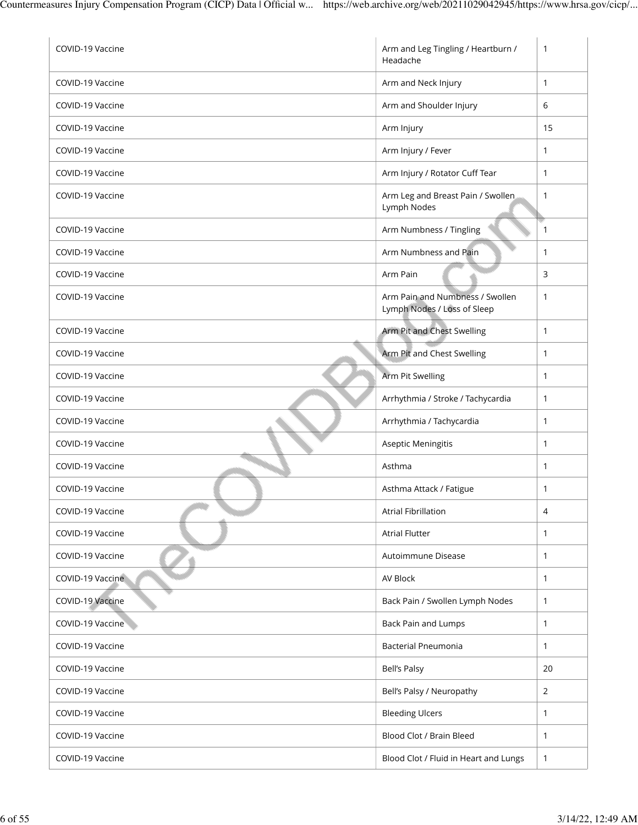| COVID-19 Vaccine | Arm and Leg Tingling / Heartburn /<br>Headache                 | 1            |
|------------------|----------------------------------------------------------------|--------------|
| COVID-19 Vaccine | Arm and Neck Injury                                            | $\mathbf{1}$ |
| COVID-19 Vaccine | Arm and Shoulder Injury                                        | 6            |
| COVID-19 Vaccine | Arm Injury                                                     | 15           |
| COVID-19 Vaccine | Arm Injury / Fever                                             | 1            |
| COVID-19 Vaccine | Arm Injury / Rotator Cuff Tear                                 | 1            |
| COVID-19 Vaccine | Arm Leg and Breast Pain / Swollen<br>Lymph Nodes               | 1            |
| COVID-19 Vaccine | Arm Numbness / Tingling                                        | 1            |
| COVID-19 Vaccine | Arm Numbness and Pain                                          | $\mathbf{1}$ |
| COVID-19 Vaccine | Arm Pain                                                       | 3            |
| COVID-19 Vaccine | Arm Pain and Numbness / Swollen<br>Lymph Nodes / Loss of Sleep | $\mathbf{1}$ |
| COVID-19 Vaccine | Arm Pit and Chest Swelling                                     | 1            |
| COVID-19 Vaccine | Arm Pit and Chest Swelling                                     | 1            |
| COVID-19 Vaccine | Arm Pit Swelling                                               | 1            |
| COVID-19 Vaccine | Arrhythmia / Stroke / Tachycardia                              | $\mathbf{1}$ |
| COVID-19 Vaccine | Arrhythmia / Tachycardia                                       | 1            |
| COVID-19 Vaccine | Aseptic Meningitis                                             | 1            |
| COVID-19 Vaccine | Asthma                                                         | 1            |
| COVID-19 Vaccine | Asthma Attack / Fatigue                                        | 1            |
| COVID-19 Vaccine | <b>Atrial Fibrillation</b>                                     | 4            |
| COVID-19 Vaccine | <b>Atrial Flutter</b>                                          | $\mathbf{1}$ |
| COVID-19 Vaccine | Autoimmune Disease                                             | 1            |
| COVID-19 Vaccine | AV Block                                                       | 1            |
| COVID-19 Vaccine | Back Pain / Swollen Lymph Nodes                                | 1            |
| COVID-19 Vaccine | <b>Back Pain and Lumps</b>                                     | $\mathbf{1}$ |
| COVID-19 Vaccine | <b>Bacterial Pneumonia</b>                                     | 1            |
| COVID-19 Vaccine | <b>Bell's Palsy</b>                                            | 20           |
| COVID-19 Vaccine | Bell's Palsy / Neuropathy                                      | 2            |
| COVID-19 Vaccine | <b>Bleeding Ulcers</b>                                         | 1            |
| COVID-19 Vaccine | Blood Clot / Brain Bleed                                       | 1            |
| COVID-19 Vaccine | Blood Clot / Fluid in Heart and Lungs                          | 1            |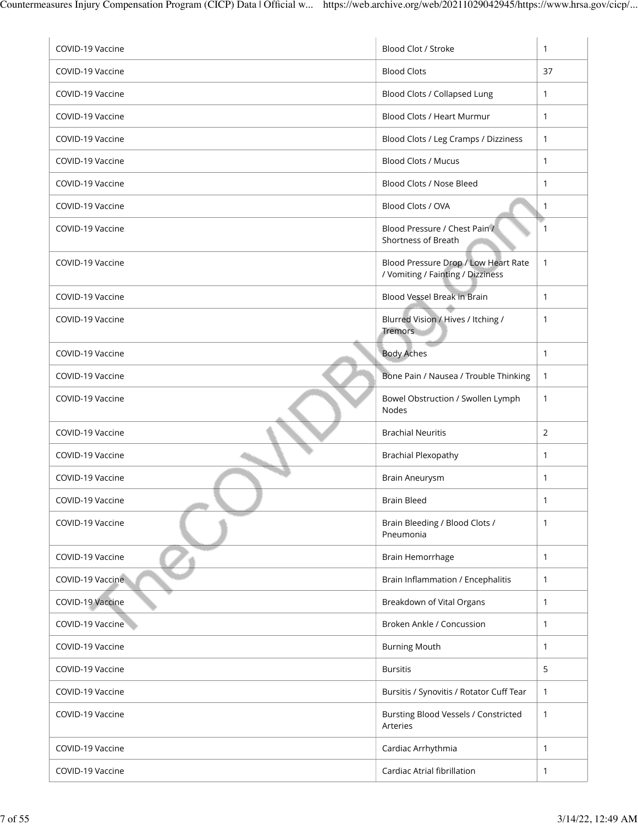| COVID-19 Vaccine | Blood Clot / Stroke                                                       | $\mathbf{1}$ |
|------------------|---------------------------------------------------------------------------|--------------|
| COVID-19 Vaccine | <b>Blood Clots</b>                                                        | 37           |
| COVID-19 Vaccine | Blood Clots / Collapsed Lung                                              | 1            |
| COVID-19 Vaccine | Blood Clots / Heart Murmur                                                | $\mathbf{1}$ |
| COVID-19 Vaccine | Blood Clots / Leg Cramps / Dizziness                                      | $\mathbf{1}$ |
| COVID-19 Vaccine | <b>Blood Clots / Mucus</b>                                                | $\mathbf{1}$ |
| COVID-19 Vaccine | Blood Clots / Nose Bleed                                                  | $\mathbf{1}$ |
| COVID-19 Vaccine | Blood Clots / OVA                                                         | $\mathbf{1}$ |
| COVID-19 Vaccine | Blood Pressure / Chest Pain /<br>Shortness of Breath                      | 1            |
| COVID-19 Vaccine | Blood Pressure Drop / Low Heart Rate<br>/ Vomiting / Fainting / Dizziness | $\mathbf{1}$ |
| COVID-19 Vaccine | Blood Vessel Break in Brain                                               | $\mathbf{1}$ |
| COVID-19 Vaccine | Blurred Vision / Hives / Itching /<br><b>Tremors</b>                      | 1            |
| COVID-19 Vaccine | <b>Body Aches</b>                                                         | $\mathbf{1}$ |
| COVID-19 Vaccine | Bone Pain / Nausea / Trouble Thinking                                     | $\mathbf{1}$ |
| COVID-19 Vaccine | Bowel Obstruction / Swollen Lymph<br>Nodes                                | $\mathbf{1}$ |
| COVID-19 Vaccine | <b>Brachial Neuritis</b>                                                  | 2            |
| COVID-19 Vaccine | <b>Brachial Plexopathy</b>                                                | $\mathbf{1}$ |
| COVID-19 Vaccine | <b>Brain Aneurysm</b>                                                     | $\mathbf{1}$ |
| COVID-19 Vaccine | <b>Brain Bleed</b>                                                        | 1            |
| COVID-19 Vaccine | Brain Bleeding / Blood Clots /<br>Pneumonia                               | 1            |
| COVID-19 Vaccine | Brain Hemorrhage                                                          | 1            |
| COVID-19 Vaccine | Brain Inflammation / Encephalitis                                         | 1            |
| COVID-19 Vaccine | Breakdown of Vital Organs                                                 | 1            |
| COVID-19 Vaccine | Broken Ankle / Concussion                                                 | $\mathbf{1}$ |
| COVID-19 Vaccine | <b>Burning Mouth</b>                                                      | 1            |
| COVID-19 Vaccine | <b>Bursitis</b>                                                           | 5            |
| COVID-19 Vaccine | Bursitis / Synovitis / Rotator Cuff Tear                                  | $\mathbf{1}$ |
| COVID-19 Vaccine | Bursting Blood Vessels / Constricted<br>Arteries                          | 1            |
| COVID-19 Vaccine | Cardiac Arrhythmia                                                        | $\mathbf{1}$ |
| COVID-19 Vaccine | Cardiac Atrial fibrillation                                               | 1            |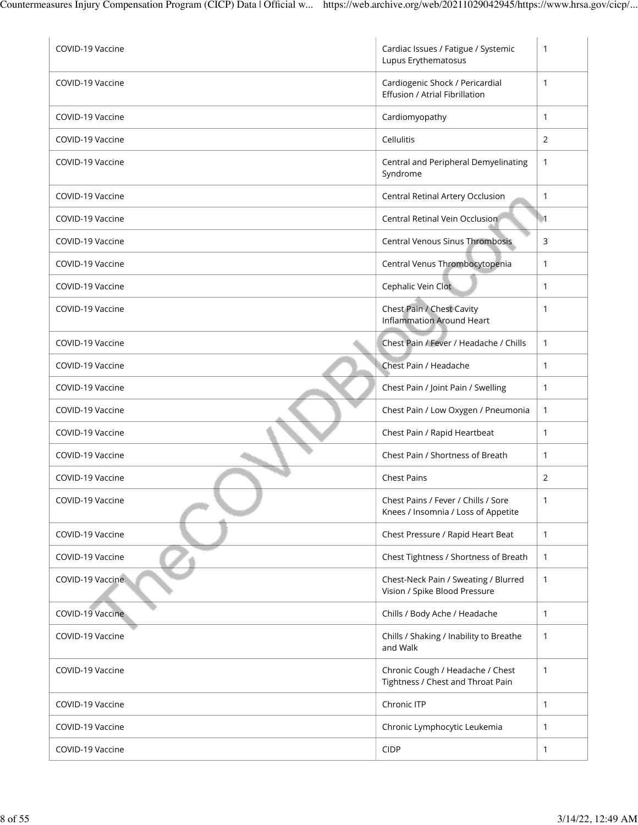| COVID-19 Vaccine | Cardiac Issues / Fatigue / Systemic<br>Lupus Erythematosus                 | $\mathbf{1}$     |
|------------------|----------------------------------------------------------------------------|------------------|
| COVID-19 Vaccine | Cardiogenic Shock / Pericardial<br>Effusion / Atrial Fibrillation          | 1                |
| COVID-19 Vaccine | Cardiomyopathy                                                             | 1                |
| COVID-19 Vaccine | Cellulitis                                                                 | 2                |
| COVID-19 Vaccine | Central and Peripheral Demyelinating<br>Syndrome                           | 1                |
| COVID-19 Vaccine | Central Retinal Artery Occlusion                                           | 1                |
| COVID-19 Vaccine | Central Retinal Vein Occlusion                                             | $\blacksquare$ 1 |
| COVID-19 Vaccine | Central Venous Sinus Thrombosis                                            | 3                |
| COVID-19 Vaccine | Central Venus Thrombocytopenia                                             | 1                |
| COVID-19 Vaccine | Cephalic Vein Clot                                                         | 1                |
| COVID-19 Vaccine | Chest Pain / Chest Cavity<br><b>Inflammation Around Heart</b>              | 1                |
| COVID-19 Vaccine | Chest Pain / Fever / Headache / Chills                                     | $\mathbf{1}$     |
| COVID-19 Vaccine | Chest Pain / Headache                                                      | $\mathbf{1}$     |
| COVID-19 Vaccine | Chest Pain / Joint Pain / Swelling                                         | 1                |
| COVID-19 Vaccine | Chest Pain / Low Oxygen / Pneumonia                                        | $\mathbf{1}$     |
| COVID-19 Vaccine | Chest Pain / Rapid Heartbeat                                               | 1                |
| COVID-19 Vaccine | Chest Pain / Shortness of Breath                                           | 1                |
| COVID-19 Vaccine | <b>Chest Pains</b>                                                         | $\overline{2}$   |
| COVID-19 Vaccine | Chest Pains / Fever / Chills / Sore<br>Knees / Insomnia / Loss of Appetite | 1                |
| COVID-19 Vaccine | Chest Pressure / Rapid Heart Beat                                          | $\mathbf{1}$     |
| COVID-19 Vaccine | Chest Tightness / Shortness of Breath                                      | 1                |
| COVID-19 Vaccine | Chest-Neck Pain / Sweating / Blurred<br>Vision / Spike Blood Pressure      | 1                |
| COVID-19 Vaccine | Chills / Body Ache / Headache                                              | 1                |
| COVID-19 Vaccine | Chills / Shaking / Inability to Breathe<br>and Walk                        | $\mathbf{1}$     |
| COVID-19 Vaccine | Chronic Cough / Headache / Chest<br>Tightness / Chest and Throat Pain      | $\mathbf{1}$     |
| COVID-19 Vaccine | Chronic ITP                                                                | $\mathbf{1}$     |
| COVID-19 Vaccine | Chronic Lymphocytic Leukemia                                               | 1                |
| COVID-19 Vaccine | <b>CIDP</b>                                                                | $\mathbf{1}$     |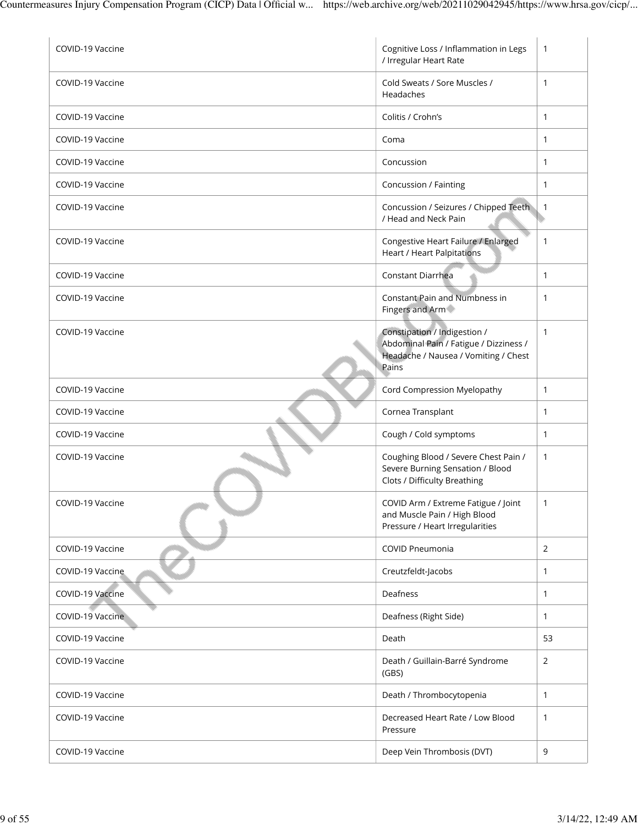| COVID-19 Vaccine | Cognitive Loss / Inflammation in Legs<br>/ Irregular Heart Rate                                                         | $\mathbf{1}$   |
|------------------|-------------------------------------------------------------------------------------------------------------------------|----------------|
| COVID-19 Vaccine | Cold Sweats / Sore Muscles /<br>Headaches                                                                               | $\mathbf{1}$   |
| COVID-19 Vaccine | Colitis / Crohn's                                                                                                       | $\mathbf{1}$   |
| COVID-19 Vaccine | Coma                                                                                                                    | 1              |
| COVID-19 Vaccine | Concussion                                                                                                              | $\mathbf{1}$   |
| COVID-19 Vaccine | Concussion / Fainting                                                                                                   | $\mathbf{1}$   |
| COVID-19 Vaccine | Concussion / Seizures / Chipped Teeth<br>/ Head and Neck Pain                                                           | $\overline{1}$ |
| COVID-19 Vaccine | Congestive Heart Failure / Enlarged<br><b>Heart / Heart Palpitations</b>                                                | $\mathbf{1}$   |
| COVID-19 Vaccine | Constant Diarrhea                                                                                                       | 1              |
| COVID-19 Vaccine | <b>Constant Pain and Numbness in</b><br>Fingers and Arm                                                                 | $\mathbf{1}$   |
| COVID-19 Vaccine | Constipation / Indigestion /<br>Abdominal Pain / Fatigue / Dizziness /<br>Headache / Nausea / Vomiting / Chest<br>Pains | $\mathbf{1}$   |
| COVID-19 Vaccine | Cord Compression Myelopathy                                                                                             | $\mathbf{1}$   |
| COVID-19 Vaccine | Cornea Transplant                                                                                                       | $\mathbf{1}$   |
| COVID-19 Vaccine | Cough / Cold symptoms                                                                                                   | $\mathbf{1}$   |
| COVID-19 Vaccine | Coughing Blood / Severe Chest Pain /<br>Severe Burning Sensation / Blood<br>Clots / Difficulty Breathing                | $\mathbf{1}$   |
| COVID-19 Vaccine | COVID Arm / Extreme Fatigue / Joint<br>and Muscle Pain / High Blood<br>Pressure / Heart Irregularities                  | 1              |
| COVID-19 Vaccine | COVID Pneumonia                                                                                                         | 2              |
| COVID-19 Vaccine | Creutzfeldt-Jacobs                                                                                                      | 1              |
| COVID-19 Vaccine | Deafness                                                                                                                | $\mathbf{1}$   |
| COVID-19 Vaccine | Deafness (Right Side)                                                                                                   | $\mathbf{1}$   |
| COVID-19 Vaccine | Death                                                                                                                   | 53             |
| COVID-19 Vaccine | Death / Guillain-Barré Syndrome<br>(GBS)                                                                                | $\overline{2}$ |
| COVID-19 Vaccine | Death / Thrombocytopenia                                                                                                | $\mathbf{1}$   |
| COVID-19 Vaccine | Decreased Heart Rate / Low Blood<br>Pressure                                                                            | 1              |
| COVID-19 Vaccine | Deep Vein Thrombosis (DVT)                                                                                              | 9              |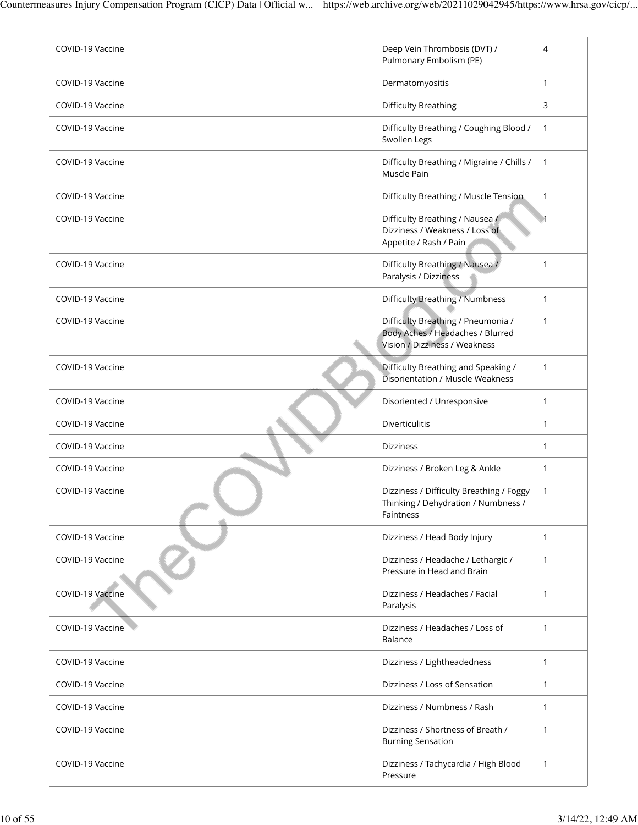| COVID-19 Vaccine | Deep Vein Thrombosis (DVT) /<br>Pulmonary Embolism (PE)                                                 | 4                |
|------------------|---------------------------------------------------------------------------------------------------------|------------------|
| COVID-19 Vaccine | Dermatomyositis                                                                                         | 1                |
| COVID-19 Vaccine | <b>Difficulty Breathing</b>                                                                             | 3                |
| COVID-19 Vaccine | Difficulty Breathing / Coughing Blood /<br>Swollen Legs                                                 | 1                |
| COVID-19 Vaccine | Difficulty Breathing / Migraine / Chills /<br>Muscle Pain                                               | 1                |
| COVID-19 Vaccine | Difficulty Breathing / Muscle Tension                                                                   | $\mathbf{1}$     |
| COVID-19 Vaccine | Difficulty Breathing / Nausea /<br>Dizziness / Weakness / Loss of<br>Appetite / Rash / Pain             | $\blacksquare$ 1 |
| COVID-19 Vaccine | Difficulty Breathing / Nausea /<br>Paralysis / Dizziness                                                | 1                |
| COVID-19 Vaccine | Difficulty Breathing / Numbness                                                                         | $\mathbf{1}$     |
| COVID-19 Vaccine | Difficulty Breathing / Pneumonia /<br>Body Aches / Headaches / Blurred<br>Vision / Dizziness / Weakness | 1                |
| COVID-19 Vaccine | Difficulty Breathing and Speaking /<br><b>Disorientation / Muscle Weakness</b>                          | 1                |
| COVID-19 Vaccine | Disoriented / Unresponsive                                                                              | 1                |
| COVID-19 Vaccine | Diverticulitis                                                                                          | 1                |
| COVID-19 Vaccine | <b>Dizziness</b>                                                                                        | 1                |
| COVID-19 Vaccine | Dizziness / Broken Leg & Ankle                                                                          | 1                |
| COVID-19 Vaccine | Dizziness / Difficulty Breathing / Foggy<br>Thinking / Dehydration / Numbness /<br>Faintness            | 1                |
| COVID-19 Vaccine | Dizziness / Head Body Injury                                                                            | $\mathbf{1}$     |
| COVID-19 Vaccine | Dizziness / Headache / Lethargic /<br>Pressure in Head and Brain                                        | 1                |
| COVID-19 Vaccine | Dizziness / Headaches / Facial<br>Paralysis                                                             | 1                |
| COVID-19 Vaccine | Dizziness / Headaches / Loss of<br>Balance                                                              | 1                |
| COVID-19 Vaccine | Dizziness / Lightheadedness                                                                             | $\mathbf{1}$     |
| COVID-19 Vaccine | Dizziness / Loss of Sensation                                                                           | $\mathbf{1}$     |
| COVID-19 Vaccine | Dizziness / Numbness / Rash                                                                             | $\mathbf{1}$     |
| COVID-19 Vaccine | Dizziness / Shortness of Breath /<br><b>Burning Sensation</b>                                           | 1                |
| COVID-19 Vaccine | Dizziness / Tachycardia / High Blood<br>Pressure                                                        | 1                |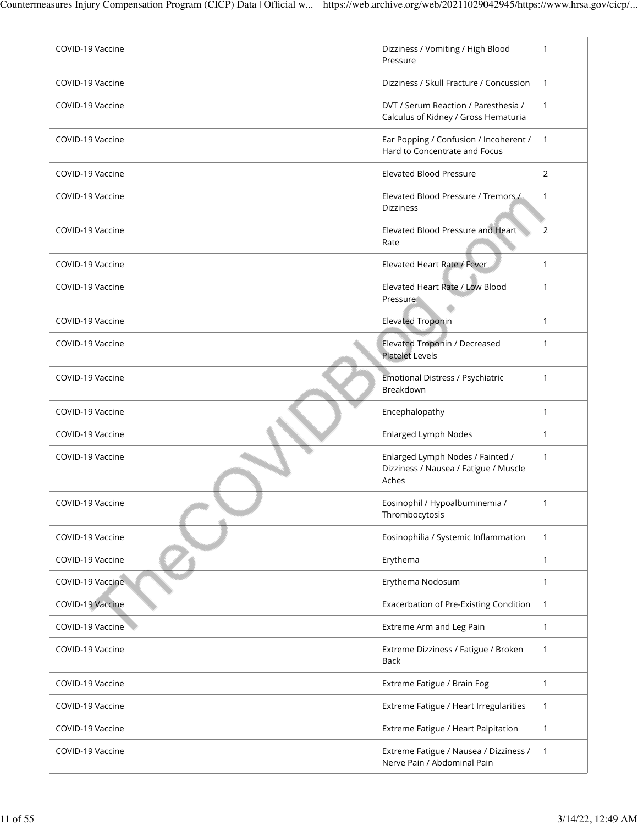| COVID-19 Vaccine | Dizziness / Vomiting / High Blood<br>Pressure                                      | 1            |
|------------------|------------------------------------------------------------------------------------|--------------|
| COVID-19 Vaccine | Dizziness / Skull Fracture / Concussion                                            | $\mathbf{1}$ |
| COVID-19 Vaccine | DVT / Serum Reaction / Paresthesia /<br>Calculus of Kidney / Gross Hematuria       | $\mathbf{1}$ |
| COVID-19 Vaccine | Ear Popping / Confusion / Incoherent /<br>Hard to Concentrate and Focus            | $\mathbf{1}$ |
| COVID-19 Vaccine | <b>Elevated Blood Pressure</b>                                                     | 2            |
| COVID-19 Vaccine | Elevated Blood Pressure / Tremors /<br><b>Dizziness</b>                            | 1            |
| COVID-19 Vaccine | Elevated Blood Pressure and Heart<br>Rate                                          | 2            |
| COVID-19 Vaccine | Elevated Heart Rate / Fever                                                        | $\mathbf{1}$ |
| COVID-19 Vaccine | Elevated Heart Rate / Low Blood<br>Pressure                                        | $\mathbf{1}$ |
| COVID-19 Vaccine | <b>Elevated Troponin</b>                                                           | 1            |
| COVID-19 Vaccine | Elevated Troponin / Decreased<br><b>Platelet Levels</b>                            | $\mathbf{1}$ |
| COVID-19 Vaccine | Emotional Distress / Psychiatric<br>Breakdown                                      | $\mathbf{1}$ |
| COVID-19 Vaccine | Encephalopathy                                                                     | 1            |
| COVID-19 Vaccine | Enlarged Lymph Nodes                                                               | $\mathbf{1}$ |
| COVID-19 Vaccine | Enlarged Lymph Nodes / Fainted /<br>Dizziness / Nausea / Fatigue / Muscle<br>Aches | $\mathbf{1}$ |
| COVID-19 Vaccine | Eosinophil / Hypoalbuminemia /<br>Thrombocytosis                                   | 1            |
| COVID-19 Vaccine | Eosinophilia / Systemic Inflammation                                               | $\mathbf{1}$ |
| COVID-19 Vaccine | Erythema                                                                           | $\mathbf{1}$ |
| COVID-19 Vaccine | Erythema Nodosum                                                                   | $\mathbf{1}$ |
| COVID-19 Vaccine | Exacerbation of Pre-Existing Condition                                             | $\mathbf{1}$ |
| COVID-19 Vaccine | Extreme Arm and Leg Pain                                                           | $\mathbf{1}$ |
| COVID-19 Vaccine | Extreme Dizziness / Fatigue / Broken<br><b>Back</b>                                | 1            |
| COVID-19 Vaccine | Extreme Fatigue / Brain Fog                                                        | $\mathbf{1}$ |
| COVID-19 Vaccine | Extreme Fatigue / Heart Irregularities                                             | $\mathbf{1}$ |
| COVID-19 Vaccine | Extreme Fatigue / Heart Palpitation                                                | $\mathbf{1}$ |
| COVID-19 Vaccine | Extreme Fatigue / Nausea / Dizziness /<br>Nerve Pain / Abdominal Pain              | $\mathbf{1}$ |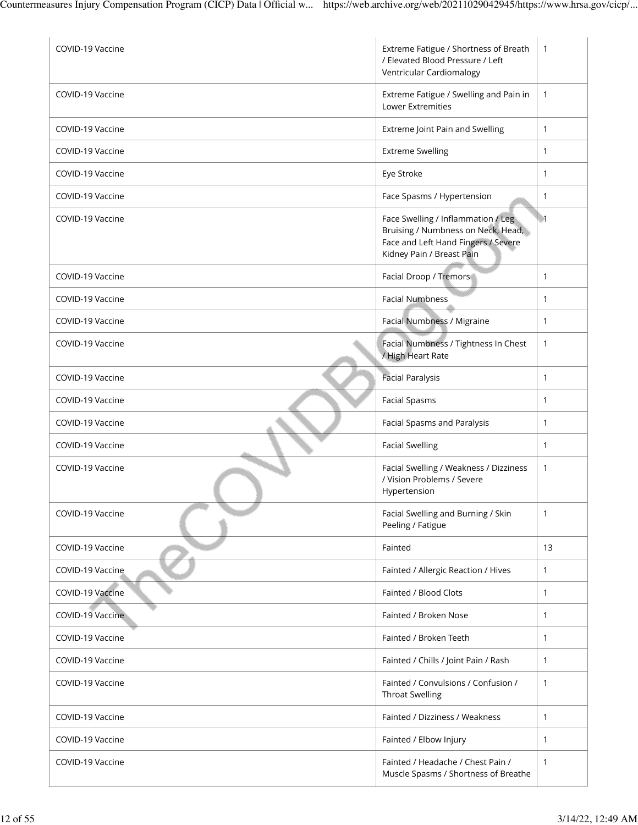| COVID-19 Vaccine | Extreme Fatigue / Shortness of Breath<br>/ Elevated Blood Pressure / Left<br>Ventricular Cardiomalogy                                        | $\mathbf{1}$     |
|------------------|----------------------------------------------------------------------------------------------------------------------------------------------|------------------|
| COVID-19 Vaccine | Extreme Fatigue / Swelling and Pain in<br>Lower Extremities                                                                                  | $\mathbf{1}$     |
| COVID-19 Vaccine | Extreme Joint Pain and Swelling                                                                                                              | $\mathbf{1}$     |
| COVID-19 Vaccine | <b>Extreme Swelling</b>                                                                                                                      | $\mathbf{1}$     |
| COVID-19 Vaccine | Eye Stroke                                                                                                                                   | $\mathbf{1}$     |
| COVID-19 Vaccine | Face Spasms / Hypertension                                                                                                                   | $\mathbf{1}$     |
| COVID-19 Vaccine | Face Swelling / Inflammation / Leg<br>Bruising / Numbness on Neck, Head,<br>Face and Left Hand Fingers / Severe<br>Kidney Pain / Breast Pain | $\blacksquare$ 1 |
| COVID-19 Vaccine | Facial Droop / Tremors                                                                                                                       | $\mathbf{1}$     |
| COVID-19 Vaccine | <b>Facial Numbness</b>                                                                                                                       | $\mathbf{1}$     |
| COVID-19 Vaccine | Facial Numbness / Migraine                                                                                                                   | $\mathbf{1}$     |
| COVID-19 Vaccine | Facial Numbness / Tightness In Chest<br>/ High Heart Rate                                                                                    | $\mathbf{1}$     |
| COVID-19 Vaccine | <b>Facial Paralysis</b>                                                                                                                      | $\mathbf{1}$     |
| COVID-19 Vaccine | <b>Facial Spasms</b>                                                                                                                         | $\mathbf{1}$     |
| COVID-19 Vaccine | Facial Spasms and Paralysis                                                                                                                  | $\mathbf{1}$     |
| COVID-19 Vaccine | <b>Facial Swelling</b>                                                                                                                       | $\mathbf{1}$     |
| COVID-19 Vaccine | Facial Swelling / Weakness / Dizziness<br>/ Vision Problems / Severe<br>Hypertension                                                         | $\mathbf{1}$     |
| COVID-19 Vaccine | Facial Swelling and Burning / Skin<br>Peeling / Fatigue                                                                                      | $\mathbf{1}$     |
| COVID-19 Vaccine | Fainted                                                                                                                                      | 13               |
| COVID-19 Vaccine | Fainted / Allergic Reaction / Hives                                                                                                          | $\mathbf{1}$     |
| COVID-19 Vaccine | Fainted / Blood Clots                                                                                                                        | $\mathbf{1}$     |
| COVID-19 Vaccine | Fainted / Broken Nose                                                                                                                        | $\mathbf{1}$     |
| COVID-19 Vaccine | Fainted / Broken Teeth                                                                                                                       | $\mathbf{1}$     |
| COVID-19 Vaccine | Fainted / Chills / Joint Pain / Rash                                                                                                         | $\mathbf{1}$     |
| COVID-19 Vaccine | Fainted / Convulsions / Confusion /<br><b>Throat Swelling</b>                                                                                | $\mathbf{1}$     |
| COVID-19 Vaccine | Fainted / Dizziness / Weakness                                                                                                               | $\mathbf{1}$     |
| COVID-19 Vaccine | Fainted / Elbow Injury                                                                                                                       | $\mathbf{1}$     |
| COVID-19 Vaccine | Fainted / Headache / Chest Pain /<br>Muscle Spasms / Shortness of Breathe                                                                    | $\mathbf{1}$     |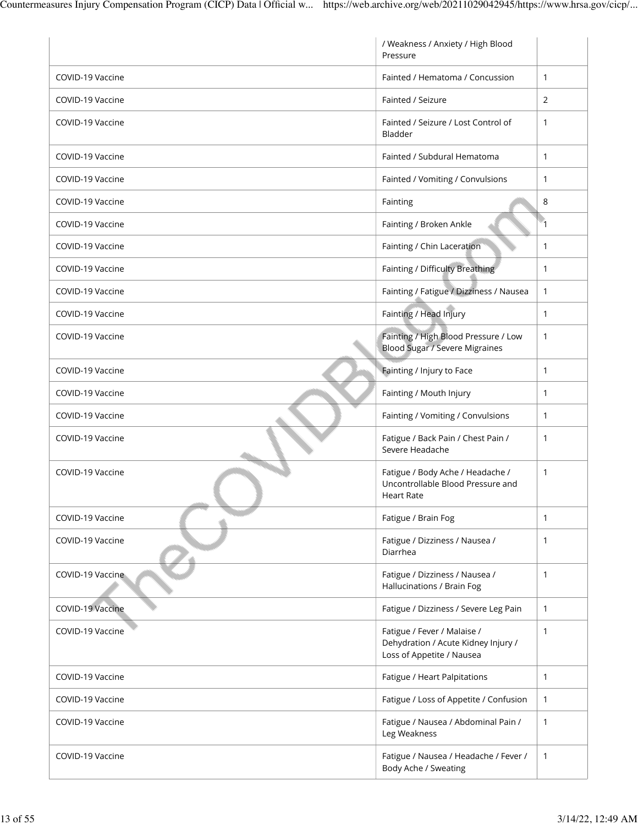|                  | / Weakness / Anxiety / High Blood<br>Pressure                                                   |                |
|------------------|-------------------------------------------------------------------------------------------------|----------------|
| COVID-19 Vaccine | Fainted / Hematoma / Concussion                                                                 | 1              |
| COVID-19 Vaccine | Fainted / Seizure                                                                               | $\overline{2}$ |
| COVID-19 Vaccine | Fainted / Seizure / Lost Control of<br>Bladder                                                  | $\mathbf{1}$   |
| COVID-19 Vaccine | Fainted / Subdural Hematoma                                                                     | $\mathbf{1}$   |
| COVID-19 Vaccine | Fainted / Vomiting / Convulsions                                                                | 1              |
| COVID-19 Vaccine | Fainting                                                                                        | 8              |
| COVID-19 Vaccine | Fainting / Broken Ankle                                                                         | $\overline{1}$ |
| COVID-19 Vaccine | Fainting / Chin Laceration                                                                      | 1              |
| COVID-19 Vaccine | Fainting / Difficulty Breathing                                                                 | $\mathbf{1}$   |
| COVID-19 Vaccine | Fainting / Fatigue / Dizziness / Nausea                                                         | 1              |
| COVID-19 Vaccine | Fainting / Head Injury                                                                          | 1              |
| COVID-19 Vaccine | Fainting / High Blood Pressure / Low<br><b>Blood Sugar / Severe Migraines</b>                   | 1              |
| COVID-19 Vaccine | Fainting / Injury to Face                                                                       | 1              |
| COVID-19 Vaccine | Fainting / Mouth Injury                                                                         | 1              |
| COVID-19 Vaccine | Fainting / Vomiting / Convulsions                                                               | 1              |
| COVID-19 Vaccine | Fatigue / Back Pain / Chest Pain /<br>Severe Headache                                           | $\mathbf{1}$   |
| COVID-19 Vaccine | Fatigue / Body Ache / Headache /<br>Uncontrollable Blood Pressure and<br><b>Heart Rate</b>      | $\mathbf{1}$   |
| COVID-19 Vaccine | Fatigue / Brain Fog                                                                             | 1              |
| COVID-19 Vaccine | Fatigue / Dizziness / Nausea /<br>Diarrhea                                                      | 1              |
| COVID-19 Vaccine | Fatigue / Dizziness / Nausea /<br>Hallucinations / Brain Fog                                    | 1              |
| COVID-19 Vaccine | Fatigue / Dizziness / Severe Leg Pain                                                           | $\mathbf{1}$   |
| COVID-19 Vaccine | Fatigue / Fever / Malaise /<br>Dehydration / Acute Kidney Injury /<br>Loss of Appetite / Nausea | 1              |
| COVID-19 Vaccine | Fatigue / Heart Palpitations                                                                    | $\mathbf{1}$   |
| COVID-19 Vaccine | Fatigue / Loss of Appetite / Confusion                                                          | 1              |
| COVID-19 Vaccine | Fatigue / Nausea / Abdominal Pain /<br>Leg Weakness                                             | 1              |
| COVID-19 Vaccine | Fatigue / Nausea / Headache / Fever /<br>Body Ache / Sweating                                   | 1              |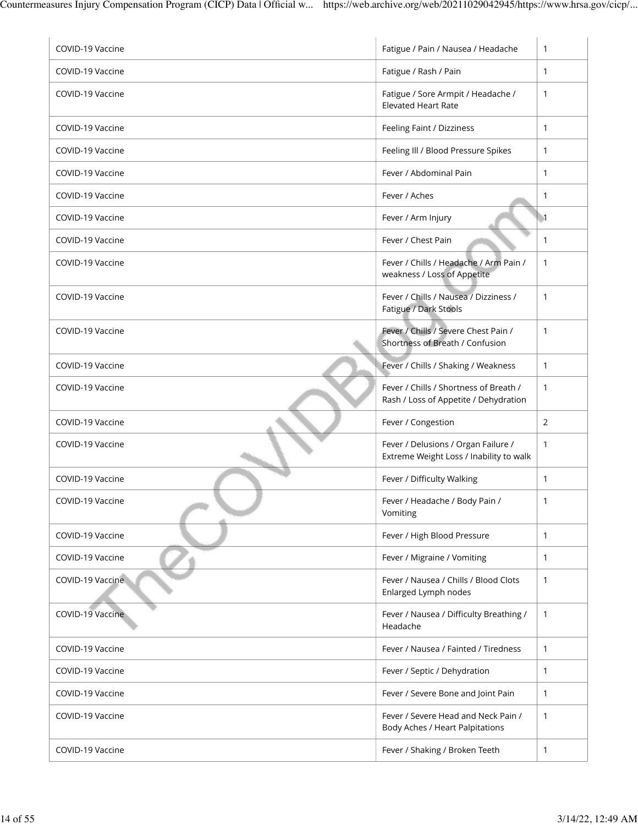| COVID-19 Vaccine | Fatigue / Pain / Nausea / Headache                                              | $\mathbf{1}$     |
|------------------|---------------------------------------------------------------------------------|------------------|
| COVID-19 Vaccine | Fatigue / Rash / Pain                                                           | 1                |
| COVID-19 Vaccine | Fatigue / Sore Armpit / Headache /<br><b>Elevated Heart Rate</b>                | 1                |
| COVID-19 Vaccine | Feeling Faint / Dizziness                                                       | 1                |
| COVID-19 Vaccine | Feeling III / Blood Pressure Spikes                                             | $\mathbf{1}$     |
| COVID-19 Vaccine | Fever / Abdominal Pain                                                          | 1                |
| COVID-19 Vaccine | Fever / Aches                                                                   | 1                |
| COVID-19 Vaccine | Fever / Arm Injury                                                              | $\blacksquare$ 1 |
| COVID-19 Vaccine | Fever / Chest Pain                                                              | 1                |
| COVID-19 Vaccine | Fever / Chills / Headache / Arm Pain /<br>weakness / Loss of Appetite           | 1                |
| COVID-19 Vaccine | Fever / Chills / Nausea / Dizziness /<br>Fatigue / Dark Stools                  | 1                |
| COVID-19 Vaccine | Fever / Chills / Severe Chest Pain /<br>Shortness of Breath / Confusion         | 1                |
| COVID-19 Vaccine | Fever / Chills / Shaking / Weakness                                             | $\mathbf{1}$     |
| COVID-19 Vaccine | Fever / Chills / Shortness of Breath /<br>Rash / Loss of Appetite / Dehydration | $\mathbf{1}$     |
| COVID-19 Vaccine | Fever / Congestion                                                              | 2                |
| COVID-19 Vaccine | Fever / Delusions / Organ Failure /<br>Extreme Weight Loss / Inability to walk  | 1                |
| COVID-19 Vaccine | Fever / Difficulty Walking                                                      | $\mathbf{1}$     |
| COVID-19 Vaccine | Fever / Headache / Body Pain /<br>Vomiting                                      | 1                |
| COVID-19 Vaccine | Fever / High Blood Pressure                                                     | $\mathbf{1}$     |
| COVID-19 Vaccine | Fever / Migraine / Vomiting                                                     | 1                |
| COVID-19 Vaccine | Fever / Nausea / Chills / Blood Clots<br>Enlarged Lymph nodes                   | $\mathbf{1}$     |
| COVID-19 Vaccine | Fever / Nausea / Difficulty Breathing /<br>Headache                             | 1                |
| COVID-19 Vaccine | Fever / Nausea / Fainted / Tiredness                                            | $\mathbf{1}$     |
| COVID-19 Vaccine | Fever / Septic / Dehydration                                                    | $\mathbf{1}$     |
| COVID-19 Vaccine | Fever / Severe Bone and Joint Pain                                              | $\mathbf{1}$     |
| COVID-19 Vaccine | Fever / Severe Head and Neck Pain /<br>Body Aches / Heart Palpitations          | 1                |
| COVID-19 Vaccine | Fever / Shaking / Broken Teeth                                                  | 1                |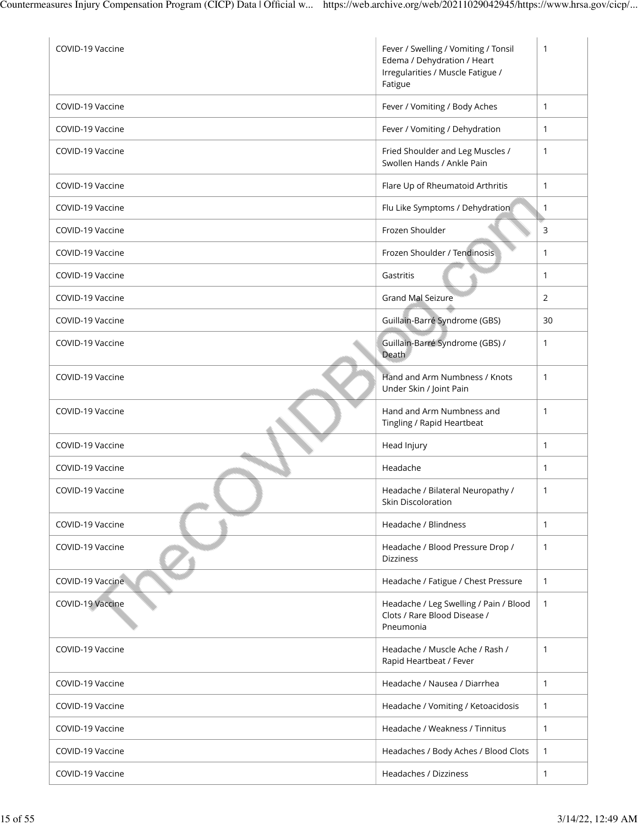| COVID-19 Vaccine | Fever / Swelling / Vomiting / Tonsil<br>Edema / Dehydration / Heart<br>Irregularities / Muscle Fatigue /<br>Fatigue | $\mathbf{1}$ |
|------------------|---------------------------------------------------------------------------------------------------------------------|--------------|
| COVID-19 Vaccine | Fever / Vomiting / Body Aches                                                                                       | $\mathbf{1}$ |
| COVID-19 Vaccine | Fever / Vomiting / Dehydration                                                                                      | $\mathbf{1}$ |
| COVID-19 Vaccine | Fried Shoulder and Leg Muscles /<br>Swollen Hands / Ankle Pain                                                      | $\mathbf{1}$ |
| COVID-19 Vaccine | Flare Up of Rheumatoid Arthritis                                                                                    | $\mathbf{1}$ |
| COVID-19 Vaccine | Flu Like Symptoms / Dehydration                                                                                     | $\mathbf{1}$ |
| COVID-19 Vaccine | Frozen Shoulder                                                                                                     | 3            |
| COVID-19 Vaccine | Frozen Shoulder / Tendinosis                                                                                        | $\mathbf{1}$ |
| COVID-19 Vaccine | Gastritis                                                                                                           | $\mathbf{1}$ |
| COVID-19 Vaccine | <b>Grand Mal Seizure</b>                                                                                            | 2            |
| COVID-19 Vaccine | Guillain-Barré Syndrome (GBS)                                                                                       | 30           |
| COVID-19 Vaccine | Guillain-Barré Syndrome (GBS) /<br>Death                                                                            | $\mathbf{1}$ |
| COVID-19 Vaccine | Hand and Arm Numbness / Knots<br>Under Skin / Joint Pain                                                            | $\mathbf{1}$ |
| COVID-19 Vaccine | Hand and Arm Numbness and<br>Tingling / Rapid Heartbeat                                                             | $\mathbf{1}$ |
| COVID-19 Vaccine | Head Injury                                                                                                         | $\mathbf{1}$ |
| COVID-19 Vaccine | Headache                                                                                                            | $\mathbf{1}$ |
| COVID-19 Vaccine | Headache / Bilateral Neuropathy /<br>Skin Discoloration                                                             | $\mathbf{1}$ |
| COVID-19 Vaccine | Headache / Blindness                                                                                                | $\mathbf{1}$ |
| COVID-19 Vaccine | Headache / Blood Pressure Drop /<br><b>Dizziness</b>                                                                | $\mathbf{1}$ |
| COVID-19 Vaccine | Headache / Fatigue / Chest Pressure                                                                                 | $\mathbf{1}$ |
| COVID-19 Vaccine | Headache / Leg Swelling / Pain / Blood<br>Clots / Rare Blood Disease /<br>Pneumonia                                 | 1            |
| COVID-19 Vaccine | Headache / Muscle Ache / Rash /<br>Rapid Heartbeat / Fever                                                          | $\mathbf{1}$ |
| COVID-19 Vaccine | Headache / Nausea / Diarrhea                                                                                        | $\mathbf{1}$ |
| COVID-19 Vaccine | Headache / Vomiting / Ketoacidosis                                                                                  | 1            |
| COVID-19 Vaccine | Headache / Weakness / Tinnitus                                                                                      | $\mathbf{1}$ |
| COVID-19 Vaccine | Headaches / Body Aches / Blood Clots                                                                                | 1            |
| COVID-19 Vaccine | Headaches / Dizziness                                                                                               | 1            |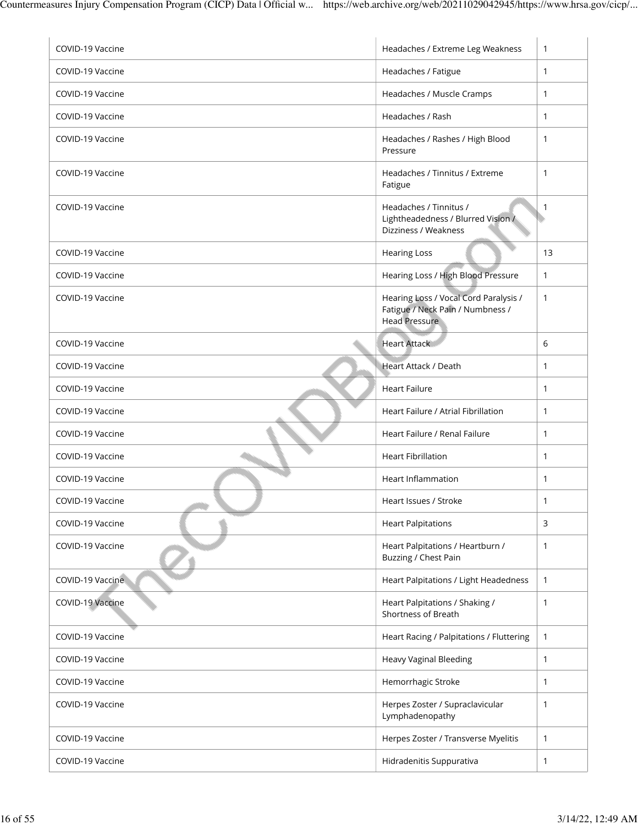| COVID-19 Vaccine | Headaches / Extreme Leg Weakness                                                                  | $\mathbf{1}$ |
|------------------|---------------------------------------------------------------------------------------------------|--------------|
| COVID-19 Vaccine | Headaches / Fatigue                                                                               | $\mathbf{1}$ |
| COVID-19 Vaccine | Headaches / Muscle Cramps                                                                         | $\mathbf{1}$ |
| COVID-19 Vaccine | Headaches / Rash                                                                                  | 1            |
| COVID-19 Vaccine | Headaches / Rashes / High Blood<br>Pressure                                                       | 1            |
| COVID-19 Vaccine | Headaches / Tinnitus / Extreme<br>Fatigue                                                         | 1            |
| COVID-19 Vaccine | Headaches / Tinnitus /<br>Lightheadedness / Blurred Vision /<br>Dizziness / Weakness              | 1            |
| COVID-19 Vaccine | <b>Hearing Loss</b>                                                                               | 13           |
| COVID-19 Vaccine | Hearing Loss / High Blood Pressure                                                                | 1            |
| COVID-19 Vaccine | Hearing Loss / Vocal Cord Paralysis /<br>Fatigue / Neck Pain / Numbness /<br><b>Head Pressure</b> | $\mathbf{1}$ |
| COVID-19 Vaccine | <b>Heart Attack</b>                                                                               | 6            |
| COVID-19 Vaccine | Heart Attack / Death                                                                              | 1            |
| COVID-19 Vaccine | <b>Heart Failure</b>                                                                              | 1            |
| COVID-19 Vaccine | Heart Failure / Atrial Fibrillation                                                               | $\mathbf{1}$ |
| COVID-19 Vaccine | Heart Failure / Renal Failure                                                                     | 1            |
| COVID-19 Vaccine | <b>Heart Fibrillation</b>                                                                         | 1            |
| COVID-19 Vaccine | <b>Heart Inflammation</b>                                                                         | 1            |
| COVID-19 Vaccine | Heart Issues / Stroke                                                                             | 1            |
| COVID-19 Vaccine | <b>Heart Palpitations</b>                                                                         | 3            |
| COVID-19 Vaccine | Heart Palpitations / Heartburn /<br>Buzzing / Chest Pain                                          | 1            |
| COVID-19 Vaccine | Heart Palpitations / Light Headedness                                                             | $\mathbf{1}$ |
| COVID-19 Vaccine | Heart Palpitations / Shaking /<br>Shortness of Breath                                             | 1            |
| COVID-19 Vaccine | Heart Racing / Palpitations / Fluttering                                                          | $\mathbf{1}$ |
| COVID-19 Vaccine | Heavy Vaginal Bleeding                                                                            | 1            |
| COVID-19 Vaccine | Hemorrhagic Stroke                                                                                | 1            |
| COVID-19 Vaccine | Herpes Zoster / Supraclavicular<br>Lymphadenopathy                                                | 1            |
| COVID-19 Vaccine | Herpes Zoster / Transverse Myelitis                                                               | $\mathbf{1}$ |
| COVID-19 Vaccine | Hidradenitis Suppurativa                                                                          | 1            |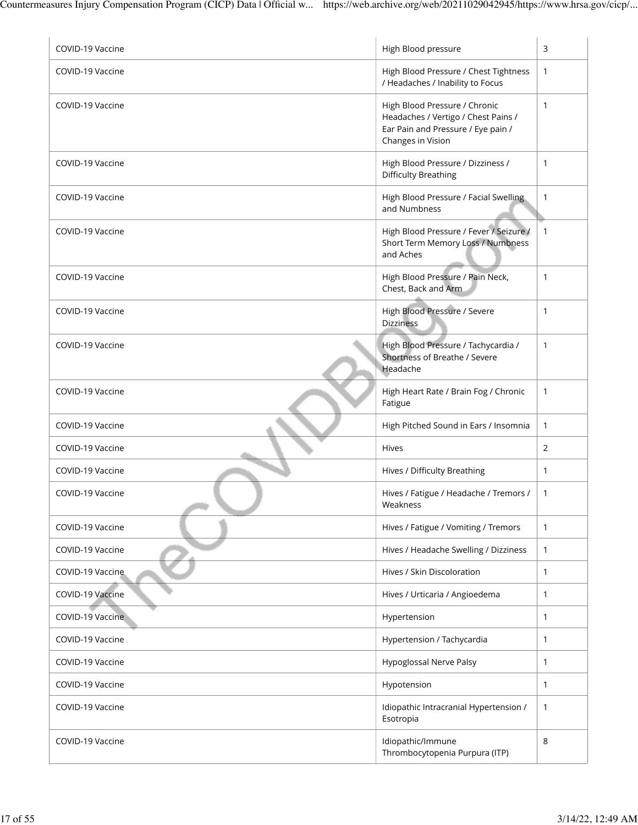| COVID-19 Vaccine | High Blood pressure                                                                                                             | 3            |
|------------------|---------------------------------------------------------------------------------------------------------------------------------|--------------|
| COVID-19 Vaccine | High Blood Pressure / Chest Tightness<br>/ Headaches / Inability to Focus                                                       | 1            |
| COVID-19 Vaccine | High Blood Pressure / Chronic<br>Headaches / Vertigo / Chest Pains /<br>Ear Pain and Pressure / Eye pain /<br>Changes in Vision | 1            |
| COVID-19 Vaccine | High Blood Pressure / Dizziness /<br><b>Difficulty Breathing</b>                                                                | 1            |
| COVID-19 Vaccine | High Blood Pressure / Facial Swelling<br>and Numbness                                                                           | 1            |
| COVID-19 Vaccine | High Blood Pressure / Fever / Seizure /<br>Short Term Memory Loss / Numbness<br>and Aches                                       | $\mathbf{1}$ |
| COVID-19 Vaccine | High Blood Pressure / Pain Neck,<br>Chest, Back and Arm                                                                         | $\mathbf{1}$ |
| COVID-19 Vaccine | High Blood Pressure / Severe<br><b>Dizziness</b>                                                                                | 1            |
| COVID-19 Vaccine | High Blood Pressure / Tachycardia /<br>Shortness of Breathe / Severe<br>Headache                                                | 1            |
| COVID-19 Vaccine | High Heart Rate / Brain Fog / Chronic<br>Fatigue                                                                                | $\mathbf{1}$ |
| COVID-19 Vaccine | High Pitched Sound in Ears / Insomnia                                                                                           | $\mathbf{1}$ |
| COVID-19 Vaccine | Hives                                                                                                                           | 2            |
| COVID-19 Vaccine | Hives / Difficulty Breathing                                                                                                    | 1            |
| COVID-19 Vaccine | Hives / Fatigue / Headache / Tremors /<br>Weakness                                                                              | $\mathbf{1}$ |
| COVID-19 Vaccine | Hives / Fatigue / Vomiting / Tremors                                                                                            | $\mathbf{1}$ |
| COVID-19 Vaccine | Hives / Headache Swelling / Dizziness                                                                                           | $\mathbf{1}$ |
| COVID-19 Vaccine | Hives / Skin Discoloration                                                                                                      | $\mathbf{1}$ |
| COVID-19 Vaccine | Hives / Urticaria / Angioedema                                                                                                  | $\mathbf{1}$ |
| COVID-19 Vaccine | Hypertension                                                                                                                    | 1            |
| COVID-19 Vaccine | Hypertension / Tachycardia                                                                                                      | 1            |
| COVID-19 Vaccine | <b>Hypoglossal Nerve Palsy</b>                                                                                                  | $\mathbf{1}$ |
| COVID-19 Vaccine | Hypotension                                                                                                                     | $\mathbf{1}$ |
| COVID-19 Vaccine | Idiopathic Intracranial Hypertension /<br>Esotropia                                                                             | $\mathbf{1}$ |
| COVID-19 Vaccine | Idiopathic/Immune<br>Thrombocytopenia Purpura (ITP)                                                                             | 8            |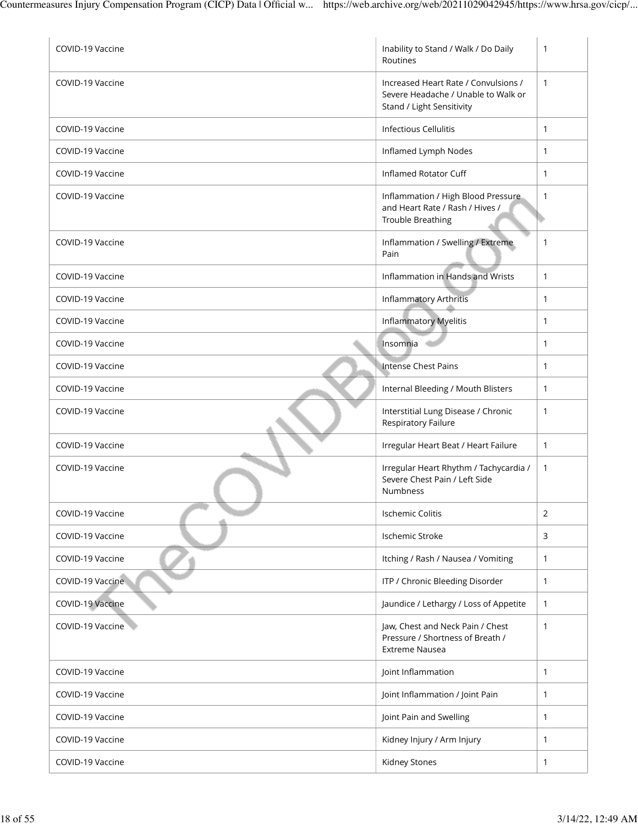| COVID-19 Vaccine | Inability to Stand / Walk / Do Daily<br>Routines                                                         | 1            |
|------------------|----------------------------------------------------------------------------------------------------------|--------------|
| COVID-19 Vaccine | Increased Heart Rate / Convulsions /<br>Severe Headache / Unable to Walk or<br>Stand / Light Sensitivity | $\mathbf{1}$ |
| COVID-19 Vaccine | <b>Infectious Cellulitis</b>                                                                             | $\mathbf{1}$ |
| COVID-19 Vaccine | Inflamed Lymph Nodes                                                                                     | 1            |
| COVID-19 Vaccine | Inflamed Rotator Cuff                                                                                    | $\mathbf{1}$ |
| COVID-19 Vaccine | Inflammation / High Blood Pressure<br>and Heart Rate / Rash / Hives /<br><b>Trouble Breathing</b>        | 1            |
| COVID-19 Vaccine | Inflammation / Swelling / Extreme<br>Pain                                                                | 1            |
| COVID-19 Vaccine | Inflammation in Hands and Wrists                                                                         | $\mathbf{1}$ |
| COVID-19 Vaccine | Inflammatory Arthritis                                                                                   | $\mathbf{1}$ |
| COVID-19 Vaccine | Inflammatory Myelitis                                                                                    | $\mathbf{1}$ |
| COVID-19 Vaccine | Insomnia                                                                                                 | $\mathbf{1}$ |
| COVID-19 Vaccine | <b>Intense Chest Pains</b>                                                                               | $\mathbf{1}$ |
| COVID-19 Vaccine | Internal Bleeding / Mouth Blisters                                                                       | $\mathbf{1}$ |
| COVID-19 Vaccine | Interstitial Lung Disease / Chronic<br>Respiratory Failure                                               | 1            |
| COVID-19 Vaccine | Irregular Heart Beat / Heart Failure                                                                     | $\mathbf{1}$ |
| COVID-19 Vaccine | Irregular Heart Rhythm / Tachycardia /<br>Severe Chest Pain / Left Side<br><b>Numbness</b>               | $\mathbf{1}$ |
| COVID-19 Vaccine | Ischemic Colitis                                                                                         | 2            |
| COVID-19 Vaccine | Ischemic Stroke                                                                                          | 3            |
| COVID-19 Vaccine | Itching / Rash / Nausea / Vomiting                                                                       | $\mathbf{1}$ |
| COVID-19 Vaccine | ITP / Chronic Bleeding Disorder                                                                          | $\mathbf{1}$ |
| COVID-19 Vaccine | Jaundice / Lethargy / Loss of Appetite                                                                   | $\mathbf{1}$ |
| COVID-19 Vaccine | Jaw, Chest and Neck Pain / Chest<br>Pressure / Shortness of Breath /<br><b>Extreme Nausea</b>            | $\mathbf{1}$ |
| COVID-19 Vaccine | Joint Inflammation                                                                                       | $\mathbf{1}$ |
| COVID-19 Vaccine | Joint Inflammation / Joint Pain                                                                          | $\mathbf{1}$ |
| COVID-19 Vaccine | Joint Pain and Swelling                                                                                  | $\mathbf{1}$ |
| COVID-19 Vaccine | Kidney Injury / Arm Injury                                                                               | $\mathbf{1}$ |
| COVID-19 Vaccine | Kidney Stones                                                                                            | 1            |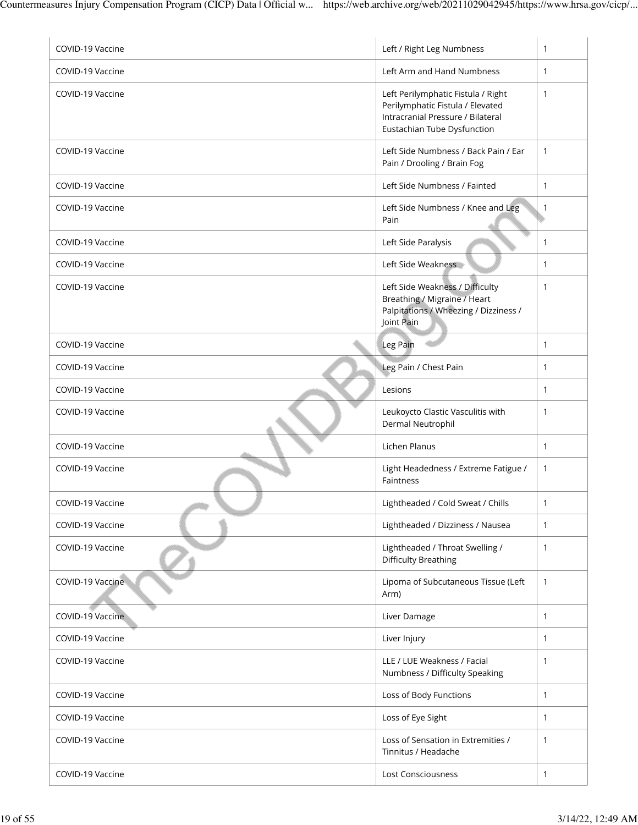| COVID-19 Vaccine | Left / Right Leg Numbness                                                                                                                  | $\mathbf{1}$ |
|------------------|--------------------------------------------------------------------------------------------------------------------------------------------|--------------|
| COVID-19 Vaccine | Left Arm and Hand Numbness                                                                                                                 | $\mathbf{1}$ |
| COVID-19 Vaccine | Left Perilymphatic Fistula / Right<br>Perilymphatic Fistula / Elevated<br>Intracranial Pressure / Bilateral<br>Eustachian Tube Dysfunction | $\mathbf{1}$ |
| COVID-19 Vaccine | Left Side Numbness / Back Pain / Ear<br>Pain / Drooling / Brain Fog                                                                        | $\mathbf{1}$ |
| COVID-19 Vaccine | Left Side Numbness / Fainted                                                                                                               | $\mathbf{1}$ |
| COVID-19 Vaccine | Left Side Numbness / Knee and Leg<br>Pain                                                                                                  | $\mathbf{1}$ |
| COVID-19 Vaccine | Left Side Paralysis                                                                                                                        | $\mathbf{1}$ |
| COVID-19 Vaccine | Left Side Weakness                                                                                                                         | $\mathbf{1}$ |
| COVID-19 Vaccine | Left Side Weakness / Difficulty<br>Breathing / Migraine / Heart<br>Palpitations / Wheezing / Dizziness /<br>Joint Pain                     | 1            |
| COVID-19 Vaccine | Leg Pain                                                                                                                                   | $\mathbf{1}$ |
| COVID-19 Vaccine | Leg Pain / Chest Pain                                                                                                                      | $\mathbf{1}$ |
| COVID-19 Vaccine | Lesions                                                                                                                                    | $\mathbf{1}$ |
| COVID-19 Vaccine | Leukoycto Clastic Vasculitis with<br>Dermal Neutrophil                                                                                     | 1            |
| COVID-19 Vaccine | Lichen Planus                                                                                                                              | $\mathbf{1}$ |
| COVID-19 Vaccine | Light Headedness / Extreme Fatigue /<br>Faintness                                                                                          | $\mathbf{1}$ |
| COVID-19 Vaccine | Lightheaded / Cold Sweat / Chills                                                                                                          | 1            |
| COVID-19 Vaccine | Lightheaded / Dizziness / Nausea                                                                                                           | $\mathbf{1}$ |
| COVID-19 Vaccine | Lightheaded / Throat Swelling /<br><b>Difficulty Breathing</b>                                                                             | $\mathbf{1}$ |
| COVID-19 Vaccine | Lipoma of Subcutaneous Tissue (Left<br>Arm)                                                                                                | $\mathbf{1}$ |
| COVID-19 Vaccine | Liver Damage                                                                                                                               | $\mathbf{1}$ |
| COVID-19 Vaccine | Liver Injury                                                                                                                               | $\mathbf{1}$ |
| COVID-19 Vaccine | LLE / LUE Weakness / Facial<br>Numbness / Difficulty Speaking                                                                              | $\mathbf{1}$ |
| COVID-19 Vaccine | Loss of Body Functions                                                                                                                     | $\mathbf{1}$ |
| COVID-19 Vaccine | Loss of Eye Sight                                                                                                                          | $\mathbf{1}$ |
| COVID-19 Vaccine | Loss of Sensation in Extremities /<br>Tinnitus / Headache                                                                                  | 1            |
| COVID-19 Vaccine | Lost Consciousness                                                                                                                         | $\mathbf{1}$ |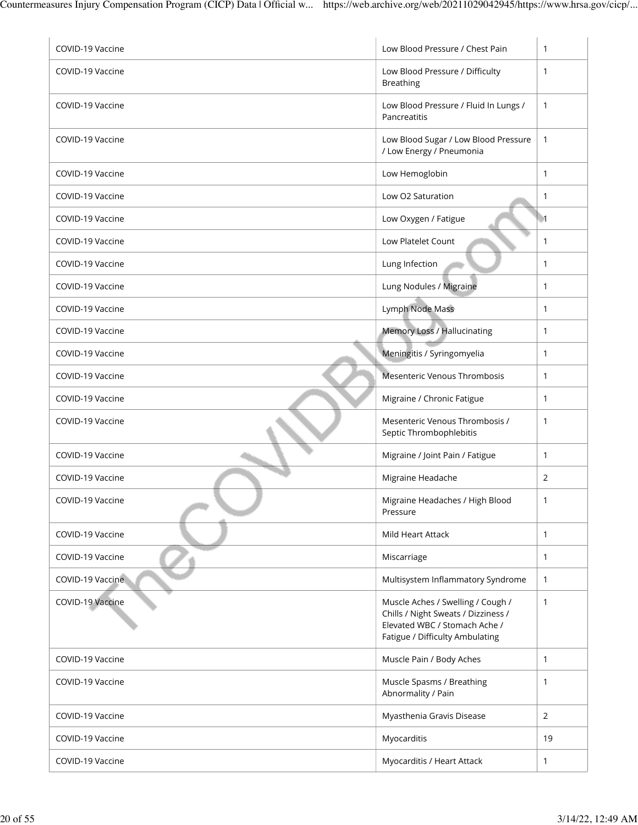| COVID-19 Vaccine | Low Blood Pressure / Chest Pain                                          | $\mathbf{1}$ |
|------------------|--------------------------------------------------------------------------|--------------|
| COVID-19 Vaccine | Low Blood Pressure / Difficulty<br><b>Breathing</b>                      | $\mathbf{1}$ |
| COVID-19 Vaccine | Low Blood Pressure / Fluid In Lungs /<br>Pancreatitis                    | $\mathbf{1}$ |
| COVID-19 Vaccine | Low Blood Sugar / Low Blood Pressure<br>/ Low Energy / Pneumonia         | $\mathbf{1}$ |
| COVID-19 Vaccine | Low Hemoglobin                                                           | $\mathbf{1}$ |
| COVID-19 Vaccine | Low O2 Saturation                                                        | $\mathbf{1}$ |
| COVID-19 Vaccine | Low Oxygen / Fatigue                                                     | -1           |
| COVID-19 Vaccine | Low Platelet Count                                                       | $\mathbf{1}$ |
| COVID-19 Vaccine | Lung Infection                                                           | $\mathbf{1}$ |
| COVID-19 Vaccine | Lung Nodules / Migraine                                                  | $\mathbf{1}$ |
| COVID-19 Vaccine | Lymph Node Mass                                                          | $\mathbf{1}$ |
| COVID-19 Vaccine | Memory Loss / Hallucinating                                              | $\mathbf{1}$ |
| COVID-19 Vaccine | Meningitis / Syringomyelia                                               | $\mathbf{1}$ |
| COVID-19 Vaccine | Mesenteric Venous Thrombosis                                             | $\mathbf{1}$ |
| COVID-19 Vaccine | Migraine / Chronic Fatigue                                               | $\mathbf{1}$ |
| COVID-19 Vaccine | Mesenteric Venous Thrombosis /<br>Septic Thrombophlebitis                | $\mathbf{1}$ |
| COVID-19 Vaccine | Migraine / Joint Pain / Fatigue                                          | $\mathbf{1}$ |
| COVID-19 Vaccine | Migraine Headache                                                        | 2            |
| COVID-19 Vaccine | Migraine Headaches / High Blood<br>Pressure                              | 1            |
| COVID-19 Vaccine | Mild Heart Attack                                                        | $\mathbf{1}$ |
| COVID-19 Vaccine | Miscarriage                                                              | $\mathbf{1}$ |
| COVID-19 Vaccine | Multisystem Inflammatory Syndrome                                        | $\mathbf{1}$ |
| COVID-19 Vaccine | Muscle Aches / Swelling / Cough /<br>Chills / Night Sweats / Dizziness / | $\mathbf{1}$ |
|                  | Elevated WBC / Stomach Ache /<br>Fatigue / Difficulty Ambulating         |              |
| COVID-19 Vaccine | Muscle Pain / Body Aches                                                 | $\mathbf{1}$ |
| COVID-19 Vaccine | Muscle Spasms / Breathing<br>Abnormality / Pain                          | 1            |
| COVID-19 Vaccine | Myasthenia Gravis Disease                                                | 2            |
| COVID-19 Vaccine | Myocarditis                                                              | 19           |
| COVID-19 Vaccine | Myocarditis / Heart Attack                                               | $\mathbf{1}$ |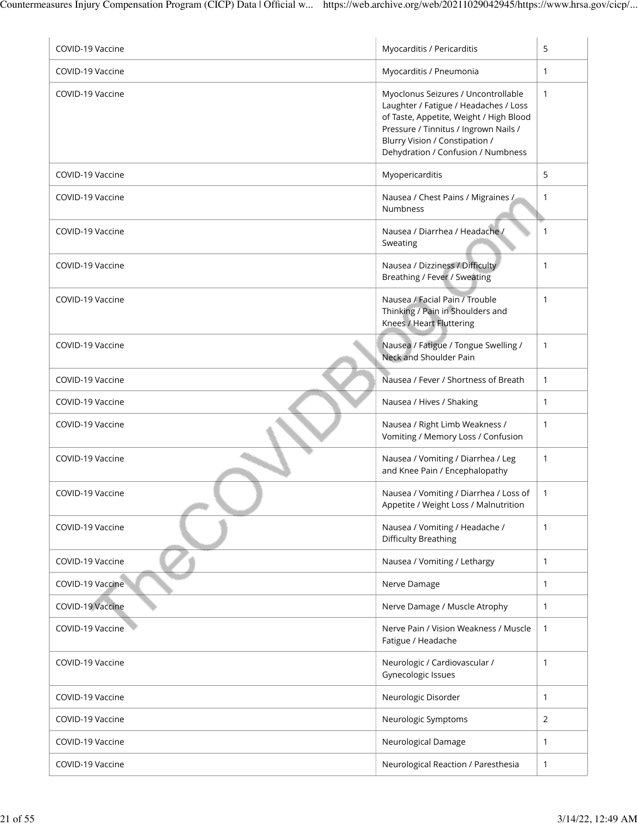| COVID-19 Vaccine | Myocarditis / Pericarditis                                                                                                                                                                                                               | 5            |
|------------------|------------------------------------------------------------------------------------------------------------------------------------------------------------------------------------------------------------------------------------------|--------------|
| COVID-19 Vaccine | Myocarditis / Pneumonia                                                                                                                                                                                                                  | 1            |
| COVID-19 Vaccine | Myoclonus Seizures / Uncontrollable<br>Laughter / Fatigue / Headaches / Loss<br>of Taste, Appetite, Weight / High Blood<br>Pressure / Tinnitus / Ingrown Nails /<br>Blurry Vision / Constipation /<br>Dehydration / Confusion / Numbness | 1            |
| COVID-19 Vaccine | Myopericarditis                                                                                                                                                                                                                          | 5            |
| COVID-19 Vaccine | Nausea / Chest Pains / Migraines /<br><b>Numbness</b>                                                                                                                                                                                    | 1            |
| COVID-19 Vaccine | Nausea / Diarrhea / Headache /<br>Sweating                                                                                                                                                                                               | 1            |
| COVID-19 Vaccine | Nausea / Dizziness / Difficulty<br>Breathing / Fever / Sweating                                                                                                                                                                          | 1            |
| COVID-19 Vaccine | Nausea / Facial Pain / Trouble<br>Thinking / Pain in Shoulders and<br>Knees / Heart Fluttering                                                                                                                                           | 1            |
| COVID-19 Vaccine | Nausea / Fatigue / Tongue Swelling /<br>Neck and Shoulder Pain                                                                                                                                                                           | $\mathbf{1}$ |
| COVID-19 Vaccine | Nausea / Fever / Shortness of Breath                                                                                                                                                                                                     | 1            |
| COVID-19 Vaccine | Nausea / Hives / Shaking                                                                                                                                                                                                                 | 1            |
| COVID-19 Vaccine | Nausea / Right Limb Weakness /<br>Vomiting / Memory Loss / Confusion                                                                                                                                                                     | 1            |
| COVID-19 Vaccine | Nausea / Vomiting / Diarrhea / Leg<br>and Knee Pain / Encephalopathy                                                                                                                                                                     | $\mathbf{1}$ |
| COVID-19 Vaccine | Nausea / Vomiting / Diarrhea / Loss of<br>Appetite / Weight Loss / Malnutrition                                                                                                                                                          | 1            |
| COVID-19 Vaccine | Nausea / Vomiting / Headache /<br><b>Difficulty Breathing</b>                                                                                                                                                                            | 1            |
| COVID-19 Vaccine | Nausea / Vomiting / Lethargy                                                                                                                                                                                                             | 1            |
| COVID-19 Vaccine | Nerve Damage                                                                                                                                                                                                                             | 1            |
| COVID-19 Vaccine | Nerve Damage / Muscle Atrophy                                                                                                                                                                                                            | 1            |
| COVID-19 Vaccine | Nerve Pain / Vision Weakness / Muscle<br>Fatigue / Headache                                                                                                                                                                              | $\mathbf{1}$ |
| COVID-19 Vaccine | Neurologic / Cardiovascular /<br>Gynecologic Issues                                                                                                                                                                                      | 1            |
| COVID-19 Vaccine | Neurologic Disorder                                                                                                                                                                                                                      | 1            |
| COVID-19 Vaccine | Neurologic Symptoms                                                                                                                                                                                                                      | 2            |
| COVID-19 Vaccine | Neurological Damage                                                                                                                                                                                                                      | 1            |
| COVID-19 Vaccine | Neurological Reaction / Paresthesia                                                                                                                                                                                                      | 1            |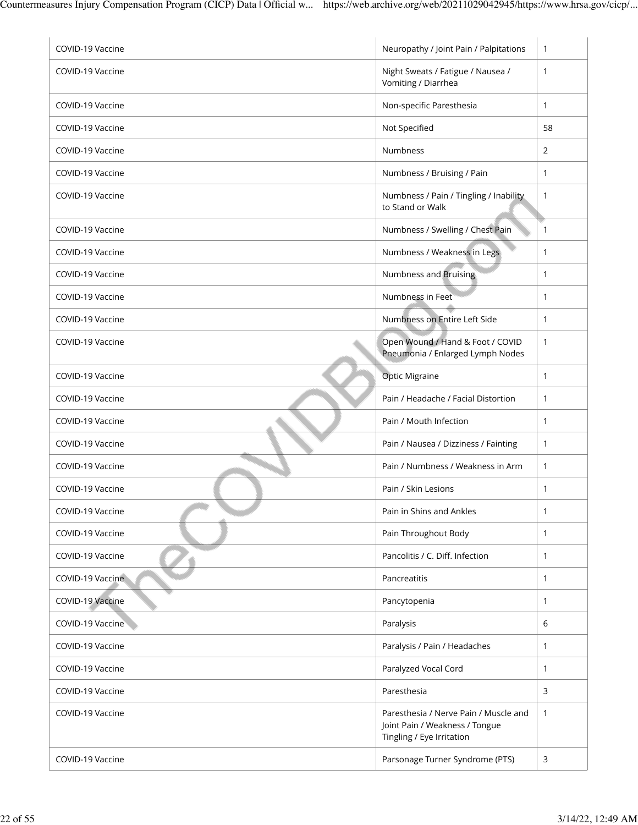| COVID-19 Vaccine | Neuropathy / Joint Pain / Palpitations                                                               | $\mathbf{1}$ |
|------------------|------------------------------------------------------------------------------------------------------|--------------|
| COVID-19 Vaccine | Night Sweats / Fatigue / Nausea /<br>Vomiting / Diarrhea                                             | $\mathbf{1}$ |
| COVID-19 Vaccine | Non-specific Paresthesia                                                                             | 1            |
| COVID-19 Vaccine | Not Specified                                                                                        | 58           |
| COVID-19 Vaccine | <b>Numbness</b>                                                                                      | 2            |
| COVID-19 Vaccine | Numbness / Bruising / Pain                                                                           | $\mathbf{1}$ |
| COVID-19 Vaccine | Numbness / Pain / Tingling / Inability<br>to Stand or Walk                                           | $\mathbf{1}$ |
| COVID-19 Vaccine | Numbness / Swelling / Chest Pain                                                                     | $\mathbf{1}$ |
| COVID-19 Vaccine | Numbness / Weakness in Legs                                                                          | 1            |
| COVID-19 Vaccine | Numbness and Bruising                                                                                | $\mathbf{1}$ |
| COVID-19 Vaccine | Numbness in Feet                                                                                     | $\mathbf{1}$ |
| COVID-19 Vaccine | Numbness on Entire Left Side                                                                         | $\mathbf{1}$ |
| COVID-19 Vaccine | Open Wound / Hand & Foot / COVID<br>Pneumonia / Enlarged Lymph Nodes                                 | $\mathbf{1}$ |
| COVID-19 Vaccine | <b>Optic Migraine</b>                                                                                | $\mathbf{1}$ |
| COVID-19 Vaccine | Pain / Headache / Facial Distortion                                                                  | $\mathbf{1}$ |
| COVID-19 Vaccine | Pain / Mouth Infection                                                                               | $\mathbf{1}$ |
| COVID-19 Vaccine | Pain / Nausea / Dizziness / Fainting                                                                 | $\mathbf{1}$ |
| COVID-19 Vaccine | Pain / Numbness / Weakness in Arm                                                                    | $\mathbf{1}$ |
| COVID-19 Vaccine | Pain / Skin Lesions                                                                                  | 1            |
| COVID-19 Vaccine | Pain in Shins and Ankles                                                                             | 1            |
| COVID-19 Vaccine | Pain Throughout Body                                                                                 | 1            |
| COVID-19 Vaccine | Pancolitis / C. Diff. Infection                                                                      | 1            |
| COVID-19 Vaccine | Pancreatitis                                                                                         | $\mathbf{1}$ |
| COVID-19 Vaccine | Pancytopenia                                                                                         | $\mathbf{1}$ |
| COVID-19 Vaccine | Paralysis                                                                                            | 6            |
| COVID-19 Vaccine | Paralysis / Pain / Headaches                                                                         | $\mathbf{1}$ |
| COVID-19 Vaccine | Paralyzed Vocal Cord                                                                                 | 1            |
| COVID-19 Vaccine | Paresthesia                                                                                          | 3            |
| COVID-19 Vaccine | Paresthesia / Nerve Pain / Muscle and<br>Joint Pain / Weakness / Tongue<br>Tingling / Eye Irritation | 1            |
| COVID-19 Vaccine | Parsonage Turner Syndrome (PTS)                                                                      | 3            |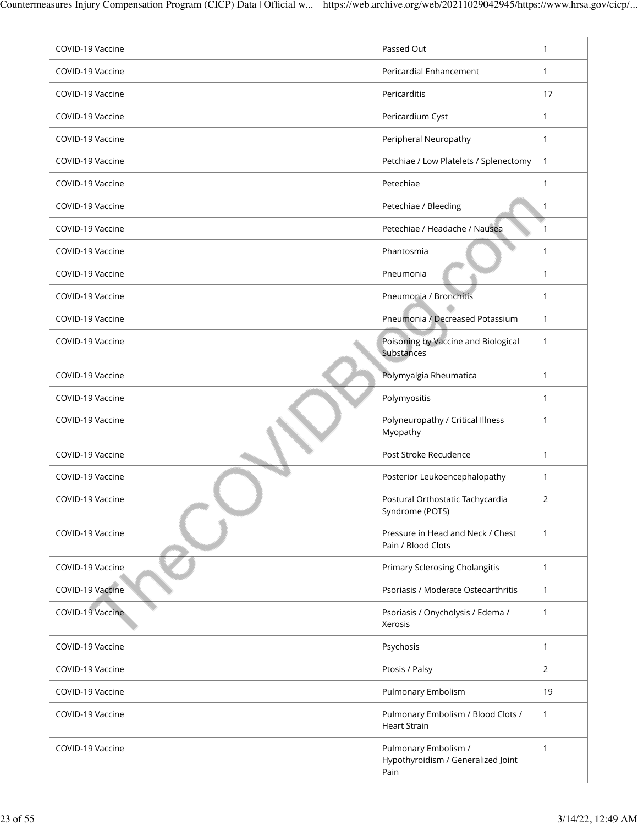| COVID-19 Vaccine | Passed Out                                                         | $\mathbf{1}$ |
|------------------|--------------------------------------------------------------------|--------------|
| COVID-19 Vaccine | Pericardial Enhancement                                            | $\mathbf{1}$ |
| COVID-19 Vaccine | Pericarditis                                                       | 17           |
| COVID-19 Vaccine | Pericardium Cyst                                                   | $\mathbf{1}$ |
| COVID-19 Vaccine | Peripheral Neuropathy                                              | 1            |
| COVID-19 Vaccine | Petchiae / Low Platelets / Splenectomy                             | $\mathbf{1}$ |
| COVID-19 Vaccine | Petechiae                                                          | $\mathbf{1}$ |
| COVID-19 Vaccine | Petechiae / Bleeding                                               | 1            |
| COVID-19 Vaccine | Petechiae / Headache / Nausea                                      | $\mathbf{1}$ |
| COVID-19 Vaccine | Phantosmia                                                         | $\mathbf{1}$ |
| COVID-19 Vaccine | Pneumonia                                                          | $\mathbf{1}$ |
| COVID-19 Vaccine | Pneumonia / Bronchitis                                             | $\mathbf{1}$ |
| COVID-19 Vaccine | Pneumonia / Decreased Potassium                                    | $\mathbf{1}$ |
| COVID-19 Vaccine | Poisoning by Vaccine and Biological<br>Substances                  | $\mathbf{1}$ |
| COVID-19 Vaccine | Polymyalgia Rheumatica                                             | $\mathbf{1}$ |
| COVID-19 Vaccine | Polymyositis                                                       | $\mathbf{1}$ |
| COVID-19 Vaccine | Polyneuropathy / Critical Illness<br>Myopathy                      | 1            |
| COVID-19 Vaccine | Post Stroke Recudence                                              | $\mathbf{1}$ |
| COVID-19 Vaccine | Posterior Leukoencephalopathy                                      | 1            |
| COVID-19 Vaccine | Postural Orthostatic Tachycardia<br>Syndrome (POTS)                | 2            |
| COVID-19 Vaccine | Pressure in Head and Neck / Chest<br>Pain / Blood Clots            | 1            |
| COVID-19 Vaccine | <b>Primary Sclerosing Cholangitis</b>                              | $\mathbf{1}$ |
| COVID-19 Vaccine | Psoriasis / Moderate Osteoarthritis                                | 1            |
| COVID-19 Vaccine | Psoriasis / Onycholysis / Edema /<br>Xerosis                       | $\mathbf{1}$ |
| COVID-19 Vaccine | Psychosis                                                          | $\mathbf{1}$ |
| COVID-19 Vaccine | Ptosis / Palsy                                                     | 2            |
| COVID-19 Vaccine | Pulmonary Embolism                                                 | 19           |
| COVID-19 Vaccine | Pulmonary Embolism / Blood Clots /<br><b>Heart Strain</b>          | 1            |
| COVID-19 Vaccine | Pulmonary Embolism /<br>Hypothyroidism / Generalized Joint<br>Pain | $\mathbf{1}$ |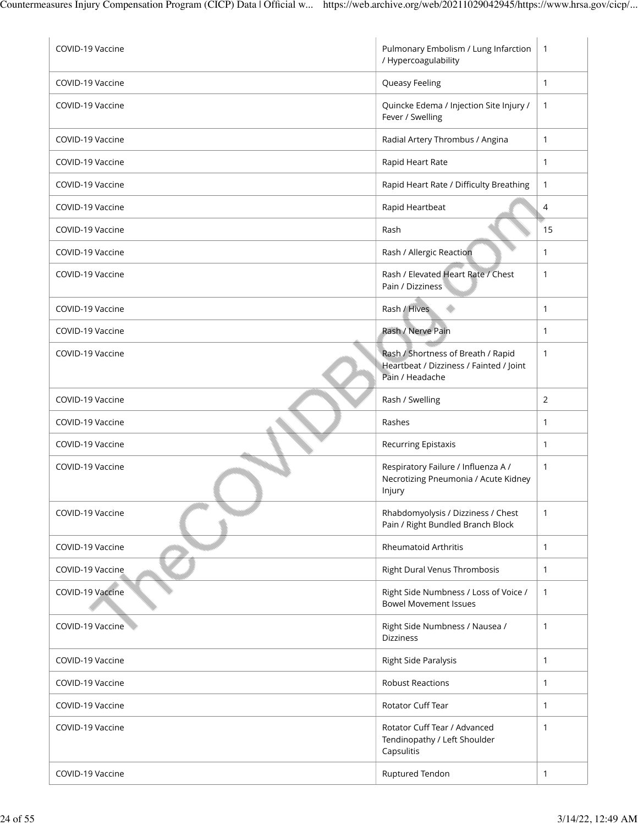| COVID-19 Vaccine | Pulmonary Embolism / Lung Infarction<br>/ Hypercoagulability                                     | $\overline{1}$ |
|------------------|--------------------------------------------------------------------------------------------------|----------------|
| COVID-19 Vaccine | Queasy Feeling                                                                                   | $\mathbf{1}$   |
| COVID-19 Vaccine | Quincke Edema / Injection Site Injury /<br>Fever / Swelling                                      | $\mathbf{1}$   |
| COVID-19 Vaccine | Radial Artery Thrombus / Angina                                                                  | $\mathbf{1}$   |
| COVID-19 Vaccine | Rapid Heart Rate                                                                                 | $\mathbf{1}$   |
| COVID-19 Vaccine | Rapid Heart Rate / Difficulty Breathing                                                          | $\mathbf{1}$   |
| COVID-19 Vaccine | Rapid Heartbeat                                                                                  | $\overline{4}$ |
| COVID-19 Vaccine | Rash                                                                                             | 15             |
| COVID-19 Vaccine | Rash / Allergic Reaction                                                                         | $\mathbf{1}$   |
| COVID-19 Vaccine | Rash / Elevated Heart Rate / Chest<br>Pain / Dizziness                                           | $\mathbf{1}$   |
| COVID-19 Vaccine | Rash / Hives                                                                                     | $\mathbf{1}$   |
| COVID-19 Vaccine | Rash / Nerve Pain                                                                                | $\mathbf{1}$   |
| COVID-19 Vaccine | Rash / Shortness of Breath / Rapid<br>Heartbeat / Dizziness / Fainted / Joint<br>Pain / Headache | $\mathbf{1}$   |
| COVID-19 Vaccine | Rash / Swelling                                                                                  | 2              |
| COVID-19 Vaccine | Rashes                                                                                           | 1              |
| COVID-19 Vaccine | <b>Recurring Epistaxis</b>                                                                       | 1              |
| COVID-19 Vaccine | Respiratory Failure / Influenza A /<br>Necrotizing Pneumonia / Acute Kidney<br>Injury            | $\mathbf{1}$   |
| COVID-19 Vaccine | Rhabdomyolysis / Dizziness / Chest<br>Pain / Right Bundled Branch Block                          | 1              |
| COVID-19 Vaccine | <b>Rheumatoid Arthritis</b>                                                                      | $\mathbf{1}$   |
| COVID-19 Vaccine | Right Dural Venus Thrombosis                                                                     | $\mathbf{1}$   |
| COVID-19 Vaccine | Right Side Numbness / Loss of Voice /<br><b>Bowel Movement Issues</b>                            | $\mathbf{1}$   |
| COVID-19 Vaccine | Right Side Numbness / Nausea /<br><b>Dizziness</b>                                               | 1              |
| COVID-19 Vaccine | Right Side Paralysis                                                                             | $\mathbf{1}$   |
| COVID-19 Vaccine | <b>Robust Reactions</b>                                                                          | $\mathbf{1}$   |
| COVID-19 Vaccine | Rotator Cuff Tear                                                                                | $\mathbf{1}$   |
| COVID-19 Vaccine | Rotator Cuff Tear / Advanced<br>Tendinopathy / Left Shoulder<br>Capsulitis                       | $\mathbf{1}$   |
| COVID-19 Vaccine | Ruptured Tendon                                                                                  | $\mathbf{1}$   |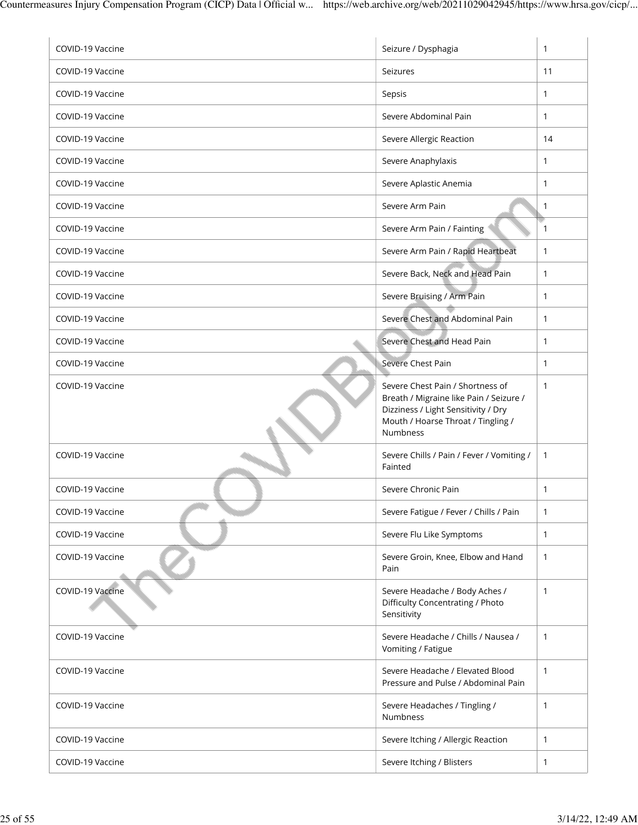| COVID-19 Vaccine | Seizure / Dysphagia                                                                                                                                                         | 1            |
|------------------|-----------------------------------------------------------------------------------------------------------------------------------------------------------------------------|--------------|
| COVID-19 Vaccine | Seizures                                                                                                                                                                    | 11           |
| COVID-19 Vaccine | Sepsis                                                                                                                                                                      | $\mathbf{1}$ |
| COVID-19 Vaccine | Severe Abdominal Pain                                                                                                                                                       | $\mathbf{1}$ |
| COVID-19 Vaccine | Severe Allergic Reaction                                                                                                                                                    | 14           |
| COVID-19 Vaccine | Severe Anaphylaxis                                                                                                                                                          | $\mathbf{1}$ |
| COVID-19 Vaccine | Severe Aplastic Anemia                                                                                                                                                      | 1            |
| COVID-19 Vaccine | Severe Arm Pain                                                                                                                                                             | 1            |
| COVID-19 Vaccine | Severe Arm Pain / Fainting                                                                                                                                                  | 1            |
| COVID-19 Vaccine | Severe Arm Pain / Rapid Heartbeat                                                                                                                                           | $\mathbf{1}$ |
| COVID-19 Vaccine | Severe Back, Neck and Head Pain                                                                                                                                             | $\mathbf{1}$ |
| COVID-19 Vaccine | Severe Bruising / Arm Pain                                                                                                                                                  | 1            |
| COVID-19 Vaccine | Severe Chest and Abdominal Pain                                                                                                                                             | $\mathbf{1}$ |
| COVID-19 Vaccine | Severe Chest and Head Pain                                                                                                                                                  | $\mathbf{1}$ |
| COVID-19 Vaccine | Severe Chest Pain                                                                                                                                                           | $\mathbf{1}$ |
| COVID-19 Vaccine | Severe Chest Pain / Shortness of<br>Breath / Migraine like Pain / Seizure /<br>Dizziness / Light Sensitivity / Dry<br>Mouth / Hoarse Throat / Tingling /<br><b>Numbness</b> | 1            |
| COVID-19 Vaccine | Severe Chills / Pain / Fever / Vomiting /<br>Fainted                                                                                                                        | $\mathbf{1}$ |
| COVID-19 Vaccine | Severe Chronic Pain                                                                                                                                                         | 1            |
| COVID-19 Vaccine | Severe Fatigue / Fever / Chills / Pain                                                                                                                                      | $\mathbf{1}$ |
| COVID-19 Vaccine | Severe Flu Like Symptoms                                                                                                                                                    | 1            |
| COVID-19 Vaccine | Severe Groin, Knee, Elbow and Hand<br>Pain                                                                                                                                  | 1            |
| COVID-19 Vaccine | Severe Headache / Body Aches /<br>Difficulty Concentrating / Photo<br>Sensitivity                                                                                           | 1            |
| COVID-19 Vaccine | Severe Headache / Chills / Nausea /<br>Vomiting / Fatigue                                                                                                                   | 1            |
| COVID-19 Vaccine | Severe Headache / Elevated Blood<br>Pressure and Pulse / Abdominal Pain                                                                                                     | $\mathbf{1}$ |
| COVID-19 Vaccine | Severe Headaches / Tingling /<br>Numbness                                                                                                                                   | $\mathbf{1}$ |
| COVID-19 Vaccine | Severe Itching / Allergic Reaction                                                                                                                                          | $\mathbf{1}$ |
| COVID-19 Vaccine | Severe Itching / Blisters                                                                                                                                                   | $\mathbf{1}$ |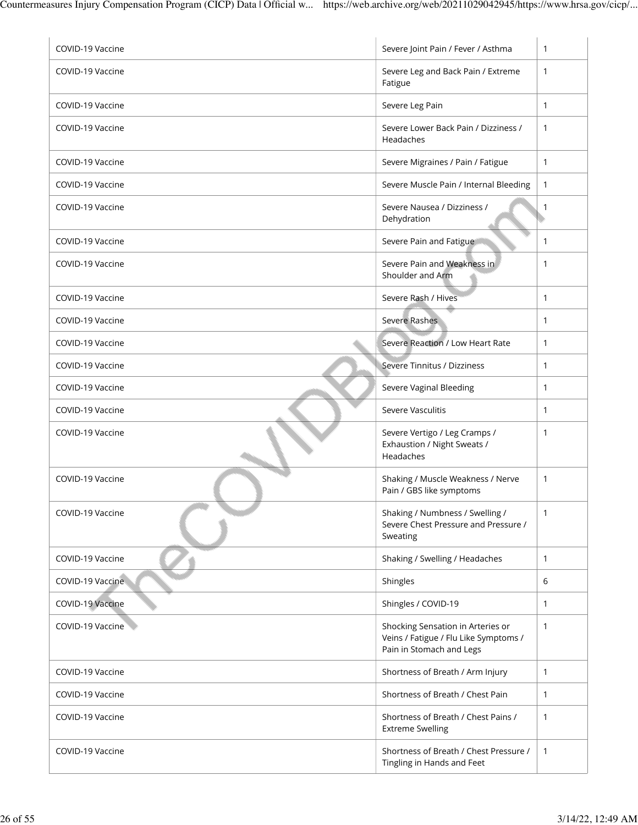| COVID-19 Vaccine | Severe Joint Pain / Fever / Asthma                                                                     | $\mathbf{1}$ |
|------------------|--------------------------------------------------------------------------------------------------------|--------------|
| COVID-19 Vaccine | Severe Leg and Back Pain / Extreme<br>Fatigue                                                          | $\mathbf{1}$ |
| COVID-19 Vaccine | Severe Leg Pain                                                                                        | $\mathbf{1}$ |
| COVID-19 Vaccine | Severe Lower Back Pain / Dizziness /<br>Headaches                                                      | $\mathbf{1}$ |
| COVID-19 Vaccine | Severe Migraines / Pain / Fatigue                                                                      | $\mathbf{1}$ |
| COVID-19 Vaccine | Severe Muscle Pain / Internal Bleeding                                                                 | $\mathbf{1}$ |
| COVID-19 Vaccine | Severe Nausea / Dizziness /<br>Dehydration                                                             | 1            |
| COVID-19 Vaccine | Severe Pain and Fatigue                                                                                | $\mathbf{1}$ |
| COVID-19 Vaccine | Severe Pain and Weakness in<br>Shoulder and Arm                                                        | 1            |
| COVID-19 Vaccine | Severe Rash / Hives                                                                                    | $\mathbf{1}$ |
| COVID-19 Vaccine | Severe Rashes                                                                                          | $\mathbf{1}$ |
| COVID-19 Vaccine | Severe Reaction / Low Heart Rate                                                                       | $\mathbf{1}$ |
| COVID-19 Vaccine | Severe Tinnitus / Dizziness                                                                            | $\mathbf{1}$ |
| COVID-19 Vaccine | Severe Vaginal Bleeding                                                                                | $\mathbf{1}$ |
| COVID-19 Vaccine | Severe Vasculitis                                                                                      | $\mathbf{1}$ |
| COVID-19 Vaccine | Severe Vertigo / Leg Cramps /<br>Exhaustion / Night Sweats /<br>Headaches                              | $\mathbf{1}$ |
| COVID-19 Vaccine | Shaking / Muscle Weakness / Nerve<br>Pain / GBS like symptoms                                          | $\mathbf{1}$ |
| COVID-19 Vaccine | Shaking / Numbness / Swelling /<br>Severe Chest Pressure and Pressure /<br>Sweating                    | $\mathbf{1}$ |
| COVID-19 Vaccine | Shaking / Swelling / Headaches                                                                         | $\mathbf{1}$ |
| COVID-19 Vaccine | Shingles                                                                                               | 6            |
| COVID-19 Vaccine | Shingles / COVID-19                                                                                    | 1            |
| COVID-19 Vaccine | Shocking Sensation in Arteries or<br>Veins / Fatigue / Flu Like Symptoms /<br>Pain in Stomach and Legs | $\mathbf{1}$ |
| COVID-19 Vaccine | Shortness of Breath / Arm Injury                                                                       | $\mathbf{1}$ |
| COVID-19 Vaccine | Shortness of Breath / Chest Pain                                                                       | $\mathbf{1}$ |
| COVID-19 Vaccine | Shortness of Breath / Chest Pains /<br><b>Extreme Swelling</b>                                         | $\mathbf{1}$ |
| COVID-19 Vaccine | Shortness of Breath / Chest Pressure /<br>Tingling in Hands and Feet                                   | $\mathbf{1}$ |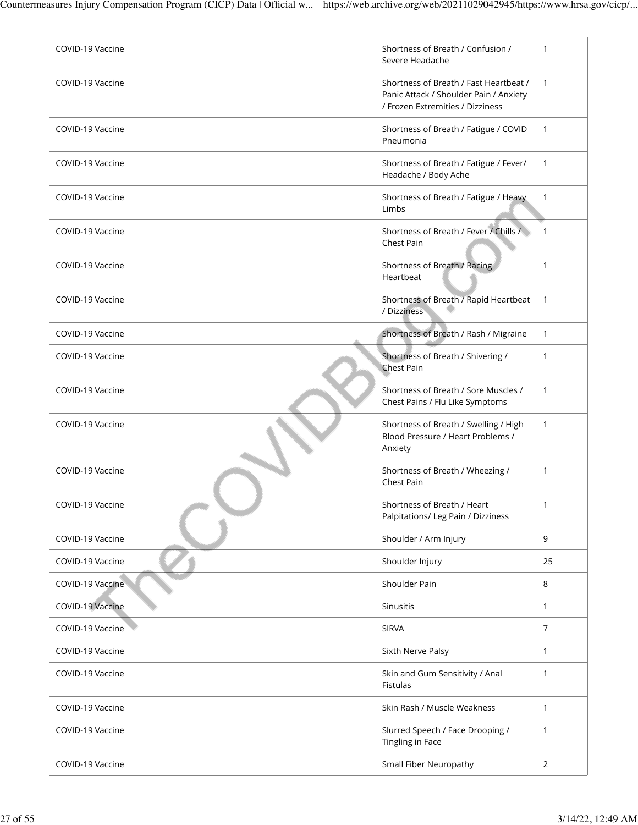| COVID-19 Vaccine | Shortness of Breath / Confusion /<br>Severe Headache                                                                 | 1              |
|------------------|----------------------------------------------------------------------------------------------------------------------|----------------|
| COVID-19 Vaccine | Shortness of Breath / Fast Heartbeat /<br>Panic Attack / Shoulder Pain / Anxiety<br>/ Frozen Extremities / Dizziness | $\mathbf{1}$   |
| COVID-19 Vaccine | Shortness of Breath / Fatigue / COVID<br>Pneumonia                                                                   | $\mathbf{1}$   |
| COVID-19 Vaccine | Shortness of Breath / Fatigue / Fever/<br>Headache / Body Ache                                                       | 1              |
| COVID-19 Vaccine | Shortness of Breath / Fatigue / Heavy<br>Limbs                                                                       | 1              |
| COVID-19 Vaccine | Shortness of Breath / Fever / Chills /<br>Chest Pain                                                                 | $\mathbf{1}$   |
| COVID-19 Vaccine | Shortness of Breath / Racing<br>Heartbeat                                                                            | $\mathbf{1}$   |
| COVID-19 Vaccine | Shortness of Breath / Rapid Heartbeat<br>/ Dizziness                                                                 | $\mathbf{1}$   |
| COVID-19 Vaccine | Shortness of Breath / Rash / Migraine                                                                                | $\mathbf{1}$   |
| COVID-19 Vaccine | Shortness of Breath / Shivering /<br><b>Chest Pain</b>                                                               | $\mathbf{1}$   |
| COVID-19 Vaccine | Shortness of Breath / Sore Muscles /<br>Chest Pains / Flu Like Symptoms                                              | $\mathbf{1}$   |
| COVID-19 Vaccine | Shortness of Breath / Swelling / High<br>Blood Pressure / Heart Problems /<br>Anxiety                                | 1              |
| COVID-19 Vaccine | Shortness of Breath / Wheezing /<br>Chest Pain                                                                       | $\mathbf{1}$   |
| COVID-19 Vaccine | Shortness of Breath / Heart<br>Palpitations/ Leg Pain / Dizziness                                                    | 1              |
| COVID-19 Vaccine | Shoulder / Arm Injury                                                                                                | 9              |
| COVID-19 Vaccine | Shoulder Injury                                                                                                      | 25             |
| COVID-19 Vaccine | Shoulder Pain                                                                                                        | 8              |
| COVID-19 Vaccine | <b>Sinusitis</b>                                                                                                     | $\mathbf{1}$   |
| COVID-19 Vaccine | <b>SIRVA</b>                                                                                                         | $\overline{7}$ |
| COVID-19 Vaccine | Sixth Nerve Palsy                                                                                                    | 1              |
| COVID-19 Vaccine | Skin and Gum Sensitivity / Anal<br>Fistulas                                                                          | $\mathbf{1}$   |
| COVID-19 Vaccine | Skin Rash / Muscle Weakness                                                                                          | $\mathbf{1}$   |
| COVID-19 Vaccine | Slurred Speech / Face Drooping /<br>Tingling in Face                                                                 | 1              |
| COVID-19 Vaccine | Small Fiber Neuropathy                                                                                               | 2              |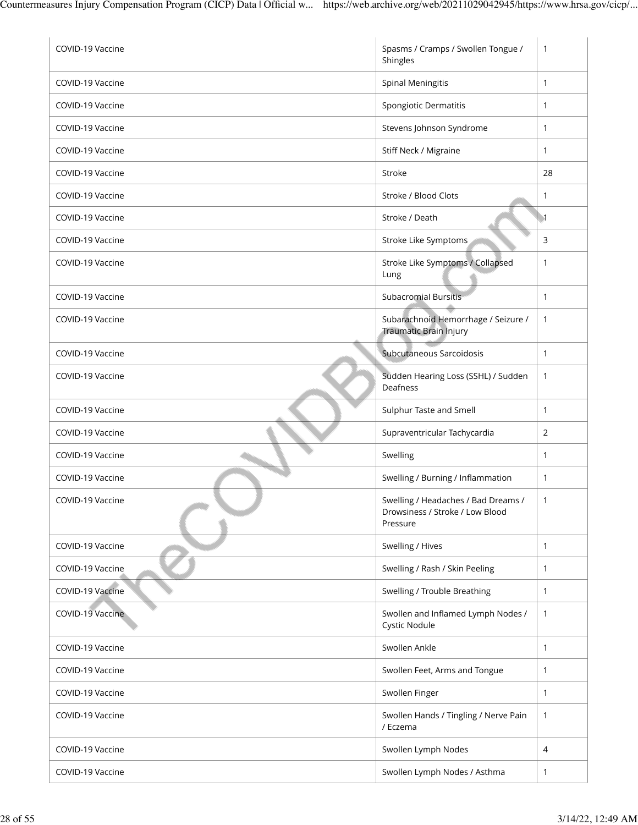| COVID-19 Vaccine | Spasms / Cramps / Swollen Tongue /<br>Shingles                                     | $\mathbf{1}$     |
|------------------|------------------------------------------------------------------------------------|------------------|
| COVID-19 Vaccine | <b>Spinal Meningitis</b>                                                           | $\mathbf{1}$     |
| COVID-19 Vaccine | Spongiotic Dermatitis                                                              | $\mathbf{1}$     |
| COVID-19 Vaccine | Stevens Johnson Syndrome                                                           | $\mathbf{1}$     |
| COVID-19 Vaccine | Stiff Neck / Migraine                                                              | 1                |
| COVID-19 Vaccine | Stroke                                                                             | 28               |
| COVID-19 Vaccine | Stroke / Blood Clots                                                               | 1                |
| COVID-19 Vaccine | Stroke / Death                                                                     | $\blacksquare$ 1 |
| COVID-19 Vaccine | Stroke Like Symptoms                                                               | 3                |
| COVID-19 Vaccine | Stroke Like Symptoms / Collapsed<br>Lung                                           | 1                |
| COVID-19 Vaccine | <b>Subacromial Bursitis</b>                                                        | $\mathbf{1}$     |
| COVID-19 Vaccine | Subarachnoid Hemorrhage / Seizure /<br>Traumatic Brain Injury                      | $\mathbf{1}$     |
| COVID-19 Vaccine | Subcutaneous Sarcoidosis                                                           | $\mathbf{1}$     |
| COVID-19 Vaccine | Sudden Hearing Loss (SSHL) / Sudden<br>Deafness                                    | 1                |
| COVID-19 Vaccine | Sulphur Taste and Smell                                                            | 1                |
| COVID-19 Vaccine | Supraventricular Tachycardia                                                       | 2                |
| COVID-19 Vaccine | Swelling                                                                           | $\mathbf{1}$     |
| COVID-19 Vaccine | Swelling / Burning / Inflammation                                                  | $\mathbf{1}$     |
| COVID-19 Vaccine | Swelling / Headaches / Bad Dreams /<br>Drowsiness / Stroke / Low Blood<br>Pressure | 1                |
| COVID-19 Vaccine | Swelling / Hives                                                                   | $\mathbf{1}$     |
| COVID-19 Vaccine | Swelling / Rash / Skin Peeling                                                     | $\mathbf{1}$     |
| COVID-19 Vaccine | Swelling / Trouble Breathing                                                       | $\mathbf{1}$     |
| COVID-19 Vaccine | Swollen and Inflamed Lymph Nodes /<br>Cystic Nodule                                | $\mathbf{1}$     |
| COVID-19 Vaccine | Swollen Ankle                                                                      | $\mathbf{1}$     |
| COVID-19 Vaccine | Swollen Feet, Arms and Tongue                                                      | $\mathbf{1}$     |
| COVID-19 Vaccine | Swollen Finger                                                                     | 1                |
| COVID-19 Vaccine | Swollen Hands / Tingling / Nerve Pain<br>/ Eczema                                  | $\mathbf{1}$     |
| COVID-19 Vaccine | Swollen Lymph Nodes                                                                | 4                |
| COVID-19 Vaccine | Swollen Lymph Nodes / Asthma                                                       | 1                |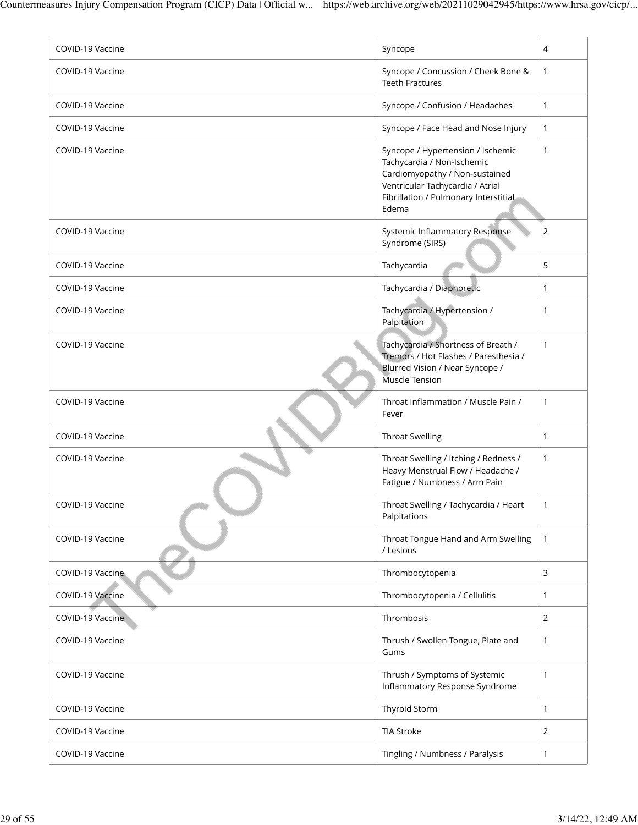| COVID-19 Vaccine | Syncope                                                                                                                                                                                 | 4            |
|------------------|-----------------------------------------------------------------------------------------------------------------------------------------------------------------------------------------|--------------|
| COVID-19 Vaccine | Syncope / Concussion / Cheek Bone &<br><b>Teeth Fractures</b>                                                                                                                           | $\mathbf{1}$ |
| COVID-19 Vaccine | Syncope / Confusion / Headaches                                                                                                                                                         | $\mathbf{1}$ |
| COVID-19 Vaccine | Syncope / Face Head and Nose Injury                                                                                                                                                     | $\mathbf{1}$ |
| COVID-19 Vaccine | Syncope / Hypertension / Ischemic<br>Tachycardia / Non-Ischemic<br>Cardiomyopathy / Non-sustained<br>Ventricular Tachycardia / Atrial<br>Fibrillation / Pulmonary Interstitial<br>Edema | $\mathbf{1}$ |
| COVID-19 Vaccine | Systemic Inflammatory Response<br>Syndrome (SIRS)                                                                                                                                       | 2            |
| COVID-19 Vaccine | Tachycardia                                                                                                                                                                             | 5            |
| COVID-19 Vaccine | Tachycardia / Diaphoretic                                                                                                                                                               | 1            |
| COVID-19 Vaccine | Tachycardia / Hypertension /<br>Palpitation                                                                                                                                             | 1            |
| COVID-19 Vaccine | Tachycardia / Shortness of Breath /<br>Tremors / Hot Flashes / Paresthesia /<br>Blurred Vision / Near Syncope /<br>Muscle Tension                                                       | $\mathbf{1}$ |
| COVID-19 Vaccine | Throat Inflammation / Muscle Pain /<br>Fever                                                                                                                                            | $\mathbf{1}$ |
| COVID-19 Vaccine | <b>Throat Swelling</b>                                                                                                                                                                  | $\mathbf{1}$ |
| COVID-19 Vaccine | Throat Swelling / Itching / Redness /<br>Heavy Menstrual Flow / Headache /<br>Fatigue / Numbness / Arm Pain                                                                             | $\mathbf{1}$ |
| COVID-19 Vaccine | Throat Swelling / Tachycardia / Heart<br>Palpitations                                                                                                                                   | 1            |
| COVID-19 Vaccine | Throat Tongue Hand and Arm Swelling<br>/ Lesions                                                                                                                                        | $\mathbf{1}$ |
| COVID-19 Vaccine | Thrombocytopenia                                                                                                                                                                        | 3            |
| COVID-19 Vaccine | Thrombocytopenia / Cellulitis                                                                                                                                                           | $\mathbf{1}$ |
| COVID-19 Vaccine | Thrombosis                                                                                                                                                                              | 2            |
| COVID-19 Vaccine | Thrush / Swollen Tongue, Plate and<br>Gums                                                                                                                                              | $\mathbf{1}$ |
| COVID-19 Vaccine | Thrush / Symptoms of Systemic<br>Inflammatory Response Syndrome                                                                                                                         | $\mathbf{1}$ |
| COVID-19 Vaccine | Thyroid Storm                                                                                                                                                                           | $\mathbf{1}$ |
| COVID-19 Vaccine | <b>TIA Stroke</b>                                                                                                                                                                       | 2            |
| COVID-19 Vaccine | Tingling / Numbness / Paralysis                                                                                                                                                         | 1            |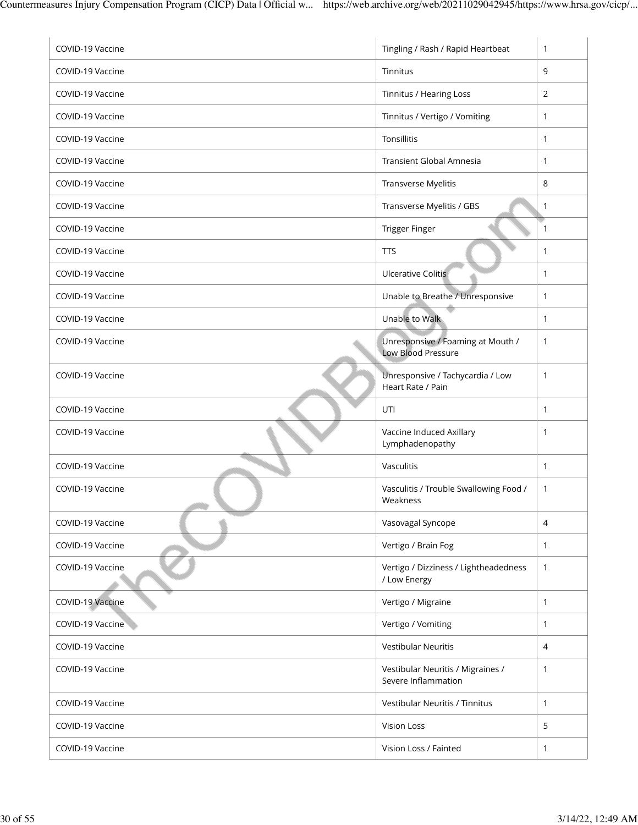| COVID-19 Vaccine | Tingling / Rash / Rapid Heartbeat                              | 1            |
|------------------|----------------------------------------------------------------|--------------|
| COVID-19 Vaccine | Tinnitus                                                       | 9            |
| COVID-19 Vaccine | Tinnitus / Hearing Loss                                        | 2            |
| COVID-19 Vaccine | Tinnitus / Vertigo / Vomiting                                  | 1            |
| COVID-19 Vaccine | Tonsillitis                                                    | 1            |
| COVID-19 Vaccine | <b>Transient Global Amnesia</b>                                | 1            |
| COVID-19 Vaccine | Transverse Myelitis                                            | 8            |
| COVID-19 Vaccine | Transverse Myelitis / GBS                                      | 1            |
| COVID-19 Vaccine | Trigger Finger                                                 | 1            |
| COVID-19 Vaccine | <b>TTS</b>                                                     | $\mathbf{1}$ |
| COVID-19 Vaccine | <b>Ulcerative Colitis</b>                                      | 1            |
| COVID-19 Vaccine | Unable to Breathe / Unresponsive                               | 1            |
| COVID-19 Vaccine | Unable to Walk                                                 | $\mathbf{1}$ |
| COVID-19 Vaccine | Unresponsive / Foaming at Mouth /<br><b>Low Blood Pressure</b> | 1            |
| COVID-19 Vaccine | Unresponsive / Tachycardia / Low<br>Heart Rate / Pain          | $\mathbf{1}$ |
| COVID-19 Vaccine | UTI                                                            | 1            |
| COVID-19 Vaccine | Vaccine Induced Axillary<br>Lymphadenopathy                    | 1            |
| COVID-19 Vaccine | Vasculitis                                                     | $\mathbf{1}$ |
| COVID-19 Vaccine | Vasculitis / Trouble Swallowing Food /<br>Weakness             | 1            |
| COVID-19 Vaccine | Vasovagal Syncope                                              | 4            |
| COVID-19 Vaccine | Vertigo / Brain Fog                                            | 1            |
| COVID-19 Vaccine | Vertigo / Dizziness / Lightheadedness<br>/ Low Energy          | $\mathbf{1}$ |
| COVID-19 Vaccine | Vertigo / Migraine                                             | $\mathbf{1}$ |
| COVID-19 Vaccine | Vertigo / Vomiting                                             | $\mathbf{1}$ |
| COVID-19 Vaccine | <b>Vestibular Neuritis</b>                                     | 4            |
| COVID-19 Vaccine | Vestibular Neuritis / Migraines /<br>Severe Inflammation       | 1            |
| COVID-19 Vaccine | Vestibular Neuritis / Tinnitus                                 | $\mathbf{1}$ |
| COVID-19 Vaccine | <b>Vision Loss</b>                                             | 5            |
| COVID-19 Vaccine | Vision Loss / Fainted                                          | 1            |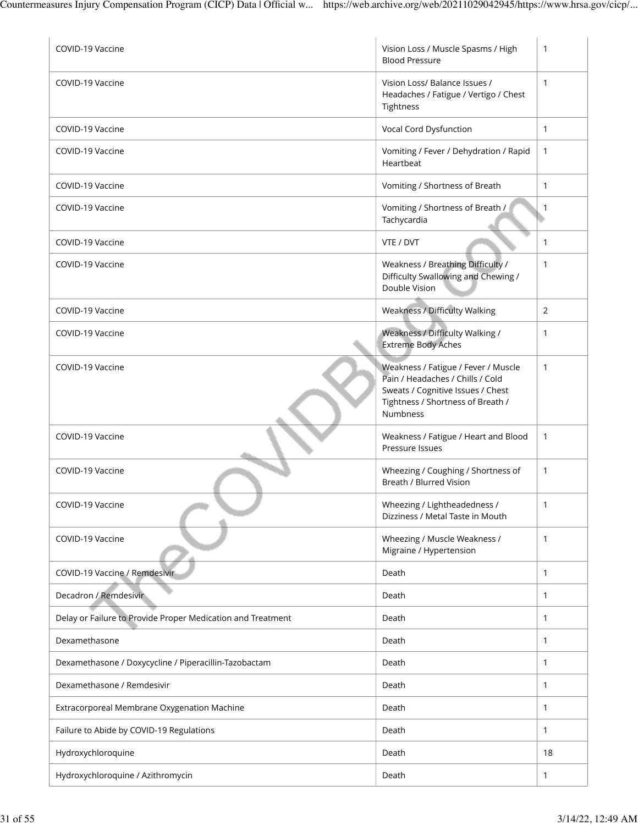| COVID-19 Vaccine                                            | Vision Loss / Muscle Spasms / High<br><b>Blood Pressure</b>                                                                                                          | $\mathbf{1}$ |
|-------------------------------------------------------------|----------------------------------------------------------------------------------------------------------------------------------------------------------------------|--------------|
| COVID-19 Vaccine                                            | Vision Loss/ Balance Issues /<br>Headaches / Fatigue / Vertigo / Chest<br>Tightness                                                                                  | $\mathbf{1}$ |
| COVID-19 Vaccine                                            | Vocal Cord Dysfunction                                                                                                                                               | $\mathbf{1}$ |
| COVID-19 Vaccine                                            | Vomiting / Fever / Dehydration / Rapid<br>Heartbeat                                                                                                                  | $\mathbf{1}$ |
| COVID-19 Vaccine                                            | Vomiting / Shortness of Breath                                                                                                                                       | $\mathbf{1}$ |
| COVID-19 Vaccine                                            | Vomiting / Shortness of Breath /<br>Tachycardia                                                                                                                      | $\mathbf{1}$ |
| COVID-19 Vaccine                                            | VTE / DVT                                                                                                                                                            | $\mathbf{1}$ |
| COVID-19 Vaccine                                            | Weakness / Breathing Difficulty /<br>Difficulty Swallowing and Chewing /<br>Double Vision                                                                            | $\mathbf{1}$ |
| COVID-19 Vaccine                                            | Weakness / Difficulty Walking                                                                                                                                        | 2            |
| COVID-19 Vaccine                                            | Weakness / Difficulty Walking /<br><b>Extreme Body Aches</b>                                                                                                         | $\mathbf{1}$ |
| COVID-19 Vaccine                                            | Weakness / Fatigue / Fever / Muscle<br>Pain / Headaches / Chills / Cold<br>Sweats / Cognitive Issues / Chest<br>Tightness / Shortness of Breath /<br><b>Numbness</b> | $\mathbf{1}$ |
| COVID-19 Vaccine                                            | Weakness / Fatigue / Heart and Blood<br>Pressure Issues                                                                                                              | $\mathbf{1}$ |
| COVID-19 Vaccine                                            | Wheezing / Coughing / Shortness of<br>Breath / Blurred Vision                                                                                                        | $\mathbf{1}$ |
| COVID-19 Vaccine                                            | Wheezing / Lightheadedness /<br>Dizziness / Metal Taste in Mouth                                                                                                     |              |
| COVID-19 Vaccine                                            | Wheezing / Muscle Weakness /<br>Migraine / Hypertension                                                                                                              | $\mathbf{1}$ |
| COVID-19 Vaccine / Remdesivir                               | Death                                                                                                                                                                | $\mathbf{1}$ |
| Decadron / Remdesivir                                       | Death                                                                                                                                                                | $\mathbf{1}$ |
| Delay or Failure to Provide Proper Medication and Treatment | Death                                                                                                                                                                | $\mathbf{1}$ |
| Dexamethasone                                               | Death                                                                                                                                                                | $\mathbf{1}$ |
| Dexamethasone / Doxycycline / Piperacillin-Tazobactam       | Death                                                                                                                                                                | $\mathbf{1}$ |
| Dexamethasone / Remdesivir                                  | Death                                                                                                                                                                | $\mathbf{1}$ |
| Extracorporeal Membrane Oxygenation Machine                 | Death                                                                                                                                                                | $\mathbf{1}$ |
| Failure to Abide by COVID-19 Regulations                    | Death                                                                                                                                                                | $\mathbf{1}$ |
| Hydroxychloroquine                                          | Death                                                                                                                                                                | 18           |
| Hydroxychloroquine / Azithromycin                           | Death                                                                                                                                                                | $\mathbf{1}$ |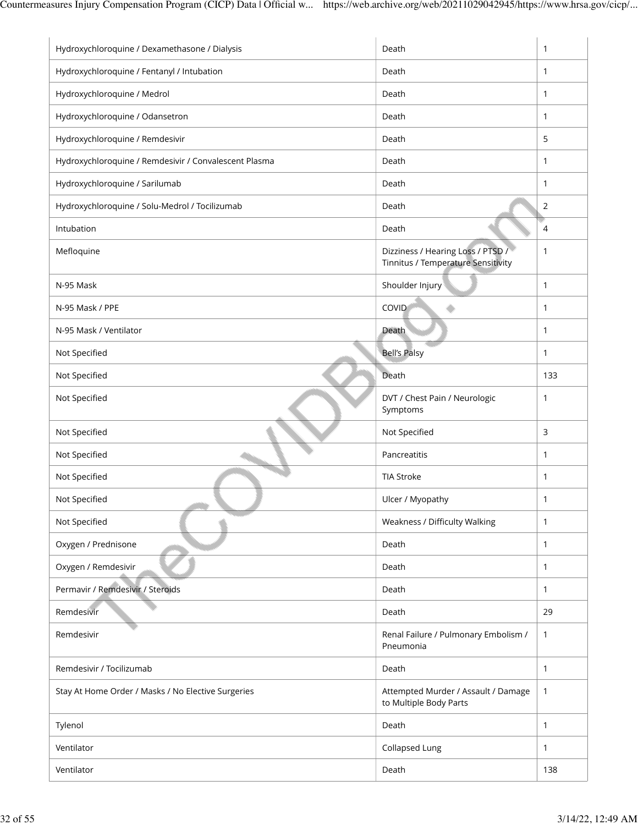| Hydroxychloroquine / Dexamethasone / Dialysis         | Death                                                                   | 1              |
|-------------------------------------------------------|-------------------------------------------------------------------------|----------------|
| Hydroxychloroquine / Fentanyl / Intubation            | Death                                                                   | $\mathbf{1}$   |
| Hydroxychloroquine / Medrol                           | Death                                                                   | 1              |
| Hydroxychloroquine / Odansetron                       | Death                                                                   | $\mathbf{1}$   |
| Hydroxychloroquine / Remdesivir                       | Death                                                                   | 5              |
| Hydroxychloroquine / Remdesivir / Convalescent Plasma | Death                                                                   | 1              |
| Hydroxychloroquine / Sarilumab                        | Death                                                                   | 1              |
| Hydroxychloroquine / Solu-Medrol / Tocilizumab        | Death                                                                   | $\overline{2}$ |
| Intubation                                            | Death                                                                   | 4              |
| Mefloquine                                            | Dizziness / Hearing Loss / PTSD /<br>Tinnitus / Temperature Sensitivity | 1              |
| N-95 Mask                                             | Shoulder Injury                                                         | 1              |
| N-95 Mask / PPE                                       | COVID                                                                   | 1              |
| N-95 Mask / Ventilator                                | Death                                                                   | $\mathbf{1}$   |
| Not Specified                                         | <b>Bell's Palsy</b>                                                     | $\mathbf{1}$   |
| Not Specified                                         | Death                                                                   | 133            |
| Not Specified                                         | DVT / Chest Pain / Neurologic<br>Symptoms                               | 1              |
| Not Specified                                         | Not Specified                                                           | 3              |
| Not Specified                                         | Pancreatitis                                                            | 1              |
| Not Specified                                         | <b>TIA Stroke</b>                                                       | 1              |
| Not Specified                                         | Ulcer / Myopathy                                                        | 1              |
| Not Specified                                         | Weakness / Difficulty Walking                                           | 1              |
| Oxygen / Prednisone                                   | Death                                                                   | 1              |
| Oxygen / Remdesivir                                   | Death                                                                   | 1              |
| Permavir / Remdesivir / Steroids                      | Death                                                                   | 1              |
| Remdesivir                                            | Death                                                                   | 29             |
| Remdesivir                                            | Renal Failure / Pulmonary Embolism /<br>Pneumonia                       | 1              |
| Remdesivir / Tocilizumab                              | Death                                                                   | 1              |
| Stay At Home Order / Masks / No Elective Surgeries    | Attempted Murder / Assault / Damage<br>to Multiple Body Parts           | 1              |
| Tylenol                                               | Death                                                                   | 1              |
| Ventilator                                            | Collapsed Lung                                                          | 1              |
| Ventilator                                            | Death                                                                   | 138            |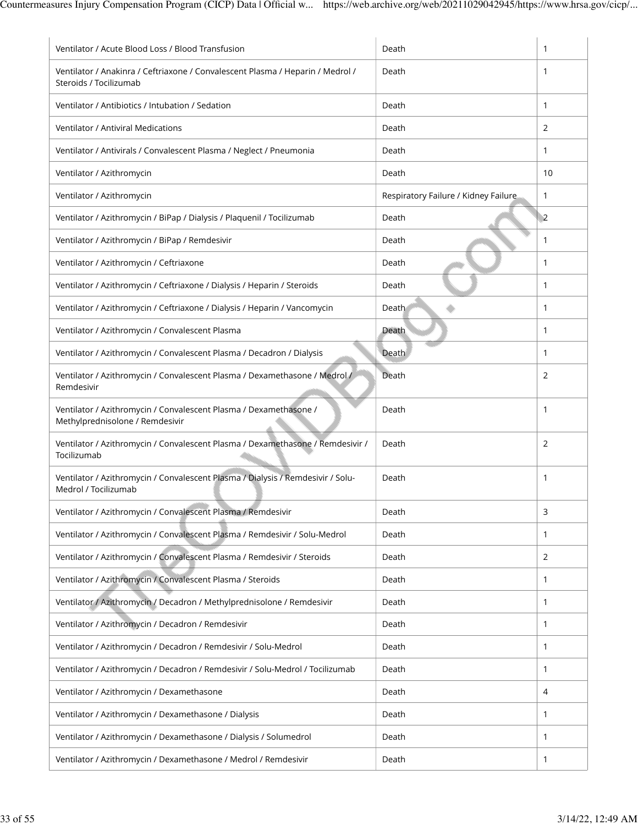| Ventilator / Acute Blood Loss / Blood Transfusion                                                        | Death                                | 1              |
|----------------------------------------------------------------------------------------------------------|--------------------------------------|----------------|
| Ventilator / Anakinra / Ceftriaxone / Convalescent Plasma / Heparin / Medrol /<br>Steroids / Tocilizumab | Death                                | 1              |
| Ventilator / Antibiotics / Intubation / Sedation                                                         | Death                                | $\mathbf{1}$   |
| <b>Ventilator / Antiviral Medications</b>                                                                | Death                                | 2              |
| Ventilator / Antivirals / Convalescent Plasma / Neglect / Pneumonia                                      | Death                                | 1              |
| Ventilator / Azithromycin                                                                                | Death                                | 10             |
| Ventilator / Azithromycin                                                                                | Respiratory Failure / Kidney Failure | 1              |
| Ventilator / Azithromycin / BiPap / Dialysis / Plaquenil / Tocilizumab                                   | Death                                | $\overline{2}$ |
| Ventilator / Azithromycin / BiPap / Remdesivir                                                           | Death                                | 1              |
| Ventilator / Azithromycin / Ceftriaxone                                                                  | Death                                | 1              |
| Ventilator / Azithromycin / Ceftriaxone / Dialysis / Heparin / Steroids                                  | Death                                | $\mathbf{1}$   |
| Ventilator / Azithromycin / Ceftriaxone / Dialysis / Heparin / Vancomycin                                | Death                                | 1              |
| Ventilator / Azithromycin / Convalescent Plasma                                                          | Death                                | 1              |
| Ventilator / Azithromycin / Convalescent Plasma / Decadron / Dialysis                                    | Death                                | $\mathbf{1}$   |
| Ventilator / Azithromycin / Convalescent Plasma / Dexamethasone / Medrol /<br>Remdesivir                 | Death                                | 2              |
| Ventilator / Azithromycin / Convalescent Plasma / Dexamethasone /<br>Methylprednisolone / Remdesivir     | Death                                | 1              |
| Ventilator / Azithromycin / Convalescent Plasma / Dexamethasone / Remdesivir /<br>Tocilizumab            | Death                                | 2              |
| Ventilator / Azithromycin / Convalescent Plasma / Dialysis / Remdesivir / Solu-<br>Medrol / Tocilizumab  | Death                                | $\mathbf{1}$   |
| Ventilator / Azithromycin / Convalescent Plasma / Remdesivir                                             | Death                                | 3              |
| Ventilator / Azithromycin / Convalescent Plasma / Remdesivir / Solu-Medrol                               | Death                                | 1              |
| Ventilator / Azithromycin / Convalescent Plasma / Remdesivir / Steroids                                  | Death                                | 2              |
| Ventilator / Azithromycin / Convalescent Plasma / Steroids                                               | Death                                | 1              |
| Ventilator / Azithromycin / Decadron / Methylprednisolone / Remdesivir                                   | Death                                | 1              |
| Ventilator / Azithromycin / Decadron / Remdesivir                                                        | Death                                | 1              |
| Ventilator / Azithromycin / Decadron / Remdesivir / Solu-Medrol                                          | Death                                | 1              |
| Ventilator / Azithromycin / Decadron / Remdesivir / Solu-Medrol / Tocilizumab                            | Death                                | 1              |
| Ventilator / Azithromycin / Dexamethasone                                                                | Death                                | 4              |
| Ventilator / Azithromycin / Dexamethasone / Dialysis                                                     | Death                                | 1              |
| Ventilator / Azithromycin / Dexamethasone / Dialysis / Solumedrol                                        | Death                                | 1              |
| Ventilator / Azithromycin / Dexamethasone / Medrol / Remdesivir                                          | Death                                | 1              |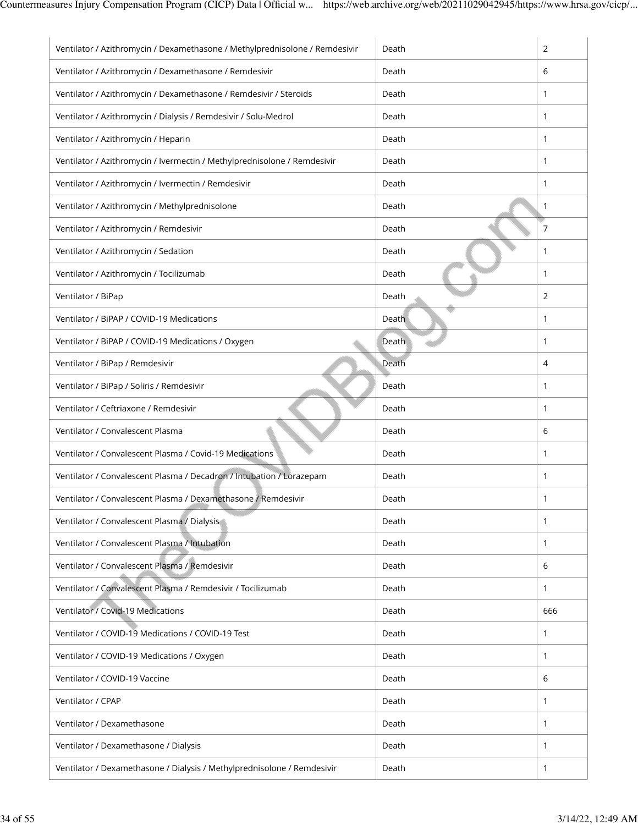| Ventilator / Azithromycin / Dexamethasone / Methylprednisolone / Remdesivir | Death | 2              |
|-----------------------------------------------------------------------------|-------|----------------|
| Ventilator / Azithromycin / Dexamethasone / Remdesivir                      | Death | 6              |
| Ventilator / Azithromycin / Dexamethasone / Remdesivir / Steroids           | Death | 1              |
| Ventilator / Azithromycin / Dialysis / Remdesivir / Solu-Medrol             | Death | 1              |
| Ventilator / Azithromycin / Heparin                                         | Death | 1              |
| Ventilator / Azithromycin / Ivermectin / Methylprednisolone / Remdesivir    | Death | 1              |
| Ventilator / Azithromycin / Ivermectin / Remdesivir                         | Death | 1              |
| Ventilator / Azithromycin / Methylprednisolone                              | Death | 1              |
| Ventilator / Azithromycin / Remdesivir                                      | Death | 7              |
| Ventilator / Azithromycin / Sedation                                        | Death | 1              |
| Ventilator / Azithromycin / Tocilizumab                                     | Death | 1              |
| Ventilator / BiPap                                                          | Death | $\overline{2}$ |
| Ventilator / BiPAP / COVID-19 Medications                                   | Death | 1              |
| Ventilator / BiPAP / COVID-19 Medications / Oxygen                          | Death | 1              |
| Ventilator / BiPap / Remdesivir                                             | Death | 4              |
| Ventilator / BiPap / Soliris / Remdesivir                                   | Death | 1              |
| Ventilator / Ceftriaxone / Remdesivir                                       | Death | 1              |
| Ventilator / Convalescent Plasma                                            | Death | 6              |
| Ventilator / Convalescent Plasma / Covid-19 Medications                     | Death | 1              |
| Ventilator / Convalescent Plasma / Decadron / Intubation / Lorazepam        | Death | 1              |
| Ventilator / Convalescent Plasma / Dexamethasone / Remdesivir               | Death | 1              |
| Ventilator / Convalescent Plasma / Dialysis                                 | Death | 1              |
| Ventilator / Convalescent Plasma / Intubation                               | Death | 1              |
| Ventilator / Convalescent Plasma / Remdesivir                               | Death | 6              |
| Ventilator / Convalescent Plasma / Remdesivir / Tocilizumab                 | Death | 1              |
| Ventilator / Covid-19 Medications                                           | Death | 666            |
| Ventilator / COVID-19 Medications / COVID-19 Test                           | Death | 1              |
| Ventilator / COVID-19 Medications / Oxygen                                  | Death | 1              |
| Ventilator / COVID-19 Vaccine                                               | Death | 6              |
| Ventilator / CPAP                                                           | Death | 1              |
| Ventilator / Dexamethasone                                                  | Death | 1              |
| Ventilator / Dexamethasone / Dialysis                                       | Death | 1              |
| Ventilator / Dexamethasone / Dialysis / Methylprednisolone / Remdesivir     | Death | 1              |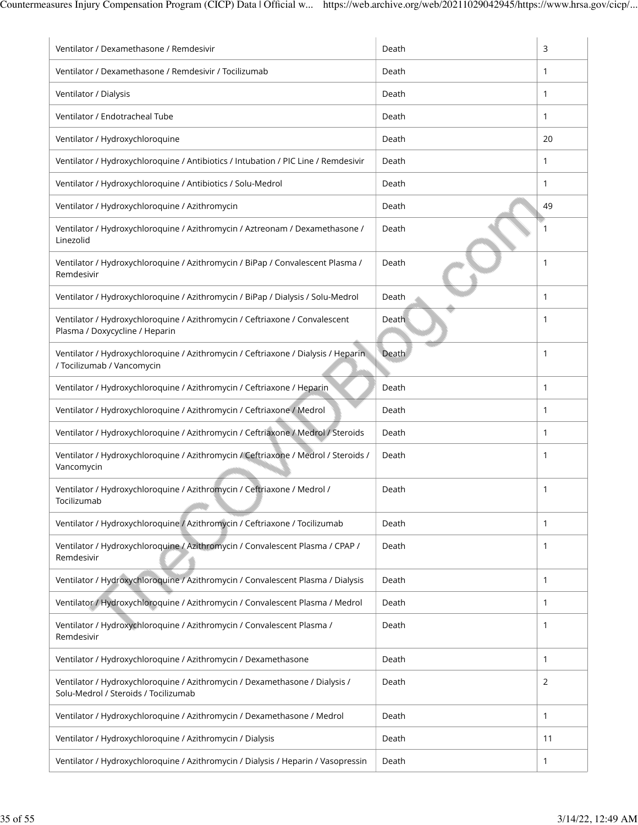| Ventilator / Dexamethasone / Remdesivir                                                                             | Death | 3            |
|---------------------------------------------------------------------------------------------------------------------|-------|--------------|
| Ventilator / Dexamethasone / Remdesivir / Tocilizumab                                                               | Death | 1            |
| Ventilator / Dialysis                                                                                               | Death | $\mathbf{1}$ |
| Ventilator / Endotracheal Tube                                                                                      | Death | 1            |
| Ventilator / Hydroxychloroquine                                                                                     | Death | 20           |
| Ventilator / Hydroxychloroquine / Antibiotics / Intubation / PIC Line / Remdesivir                                  | Death | 1            |
| Ventilator / Hydroxychloroquine / Antibiotics / Solu-Medrol                                                         | Death | 1            |
| Ventilator / Hydroxychloroquine / Azithromycin                                                                      | Death | 49           |
| Ventilator / Hydroxychloroquine / Azithromycin / Aztreonam / Dexamethasone /<br>Linezolid                           | Death | 1            |
| Ventilator / Hydroxychloroquine / Azithromycin / BiPap / Convalescent Plasma /<br>Remdesivir                        | Death | 1            |
| Ventilator / Hydroxychloroquine / Azithromycin / BiPap / Dialysis / Solu-Medrol                                     | Death | 1            |
| Ventilator / Hydroxychloroquine / Azithromycin / Ceftriaxone / Convalescent<br>Plasma / Doxycycline / Heparin       | Death | 1            |
| Ventilator / Hydroxychloroquine / Azithromycin / Ceftriaxone / Dialysis / Heparin<br>/ Tocilizumab / Vancomycin     | Death | 1            |
| Ventilator / Hydroxychloroquine / Azithromycin / Ceftriaxone / Heparin                                              | Death | 1            |
| Ventilator / Hydroxychloroquine / Azithromycin / Ceftriaxone / Medrol                                               | Death | 1            |
| Ventilator / Hydroxychloroquine / Azithromycin / Ceftriaxone / Medrol / Steroids                                    | Death | 1            |
| Ventilator / Hydroxychloroquine / Azithromycin / Ceftriaxone / Medrol / Steroids /<br>Vancomycin                    | Death | $\mathbf{1}$ |
| Ventilator / Hydroxychloroquine / Azithromycin / Ceftriaxone / Medrol /<br>Tocilizumab                              | Death | 1            |
| Ventilator / Hydroxychloroquine / Azithromycin / Ceftriaxone / Tocilizumab                                          | Death | $\mathbf{1}$ |
| Ventilator / Hydroxychloroquine / Azithromycin / Convalescent Plasma / CPAP /<br>Remdesivir                         | Death | $\mathbf{1}$ |
| Ventilator / Hydroxychloroquine / Azithromycin / Convalescent Plasma / Dialysis                                     | Death | $\mathbf{1}$ |
| Ventilator / Hydroxychloroquine / Azithromycin / Convalescent Plasma / Medrol                                       | Death | 1            |
| Ventilator / Hydroxychloroquine / Azithromycin / Convalescent Plasma /<br>Remdesivir                                | Death | $\mathbf{1}$ |
| Ventilator / Hydroxychloroquine / Azithromycin / Dexamethasone                                                      | Death | $\mathbf{1}$ |
| Ventilator / Hydroxychloroquine / Azithromycin / Dexamethasone / Dialysis /<br>Solu-Medrol / Steroids / Tocilizumab | Death | 2            |
| Ventilator / Hydroxychloroquine / Azithromycin / Dexamethasone / Medrol                                             | Death | $\mathbf{1}$ |
| Ventilator / Hydroxychloroquine / Azithromycin / Dialysis                                                           | Death | 11           |
| Ventilator / Hydroxychloroquine / Azithromycin / Dialysis / Heparin / Vasopressin                                   | Death | 1            |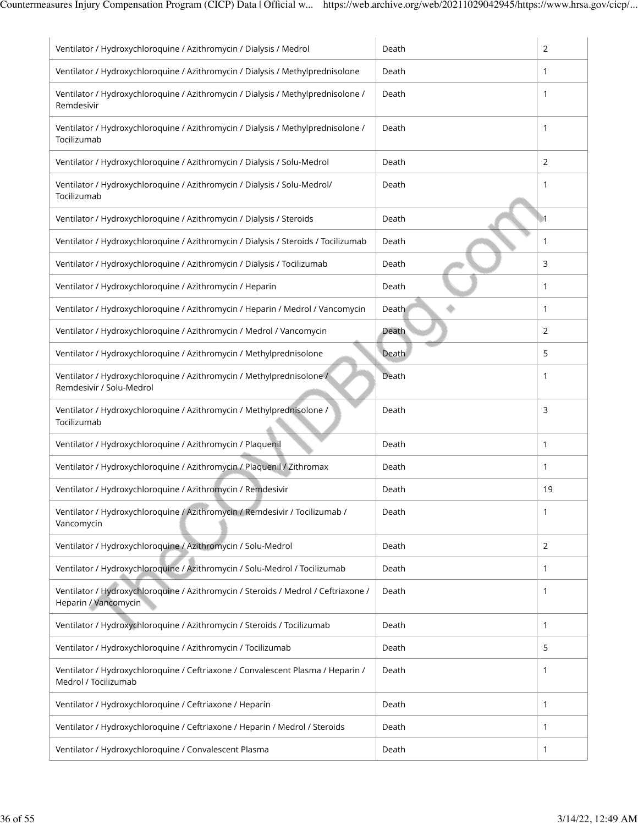| Ventilator / Hydroxychloroquine / Azithromycin / Dialysis / Medrol                                         | Death | 2                |
|------------------------------------------------------------------------------------------------------------|-------|------------------|
| Ventilator / Hydroxychloroquine / Azithromycin / Dialysis / Methylprednisolone                             | Death | 1                |
| Ventilator / Hydroxychloroquine / Azithromycin / Dialysis / Methylprednisolone /<br>Remdesivir             | Death | 1                |
| Ventilator / Hydroxychloroquine / Azithromycin / Dialysis / Methylprednisolone /<br>Tocilizumab            | Death | 1                |
| Ventilator / Hydroxychloroquine / Azithromycin / Dialysis / Solu-Medrol                                    | Death | $\overline{2}$   |
| Ventilator / Hydroxychloroquine / Azithromycin / Dialysis / Solu-Medrol/<br>Tocilizumab                    | Death | 1                |
| Ventilator / Hydroxychloroquine / Azithromycin / Dialysis / Steroids                                       | Death | $\blacksquare$ 1 |
| Ventilator / Hydroxychloroquine / Azithromycin / Dialysis / Steroids / Tocilizumab                         | Death | 1                |
| Ventilator / Hydroxychloroquine / Azithromycin / Dialysis / Tocilizumab                                    | Death | 3                |
| Ventilator / Hydroxychloroquine / Azithromycin / Heparin                                                   | Death | $\mathbf{1}$     |
| Ventilator / Hydroxychloroquine / Azithromycin / Heparin / Medrol / Vancomycin                             | Death | 1                |
| Ventilator / Hydroxychloroquine / Azithromycin / Medrol / Vancomycin                                       | Death | 2                |
| Ventilator / Hydroxychloroquine / Azithromycin / Methylprednisolone                                        | Death | 5                |
| Ventilator / Hydroxychloroquine / Azithromycin / Methylprednisolone /<br>Remdesivir / Solu-Medrol          | Death | 1                |
| Ventilator / Hydroxychloroquine / Azithromycin / Methylprednisolone /<br>Tocilizumab                       | Death | 3                |
| Ventilator / Hydroxychloroquine / Azithromycin / Plaquenil                                                 | Death | 1                |
| Ventilator / Hydroxychloroquine / Azithromycin / Plaquenil / Zithromax                                     | Death | 1                |
| Ventilator / Hydroxychloroquine / Azithromycin / Remdesivir                                                | Death | 19               |
| Ventilator / Hydroxychloroquine / Azithromycin / Remdesivir / Tocilizumab /<br>Vancomycin                  | Death | 1                |
| Ventilator / Hydroxychloroquine / Azithromycin / Solu-Medrol                                               | Death | 2                |
| Ventilator / Hydroxychloroquine / Azithromycin / Solu-Medrol / Tocilizumab                                 | Death | 1                |
| Ventilator / Hydroxychloroquine / Azithromycin / Steroids / Medrol / Ceftriaxone /<br>Heparin / Vancomycin | Death | 1                |
| Ventilator / Hydroxychloroquine / Azithromycin / Steroids / Tocilizumab                                    | Death | 1                |
| Ventilator / Hydroxychloroquine / Azithromycin / Tocilizumab                                               | Death | 5                |
| Ventilator / Hydroxychloroquine / Ceftriaxone / Convalescent Plasma / Heparin /<br>Medrol / Tocilizumab    | Death | 1                |
| Ventilator / Hydroxychloroquine / Ceftriaxone / Heparin                                                    | Death | 1                |
| Ventilator / Hydroxychloroquine / Ceftriaxone / Heparin / Medrol / Steroids                                | Death | $\mathbf{1}$     |
| Ventilator / Hydroxychloroquine / Convalescent Plasma                                                      | Death | 1                |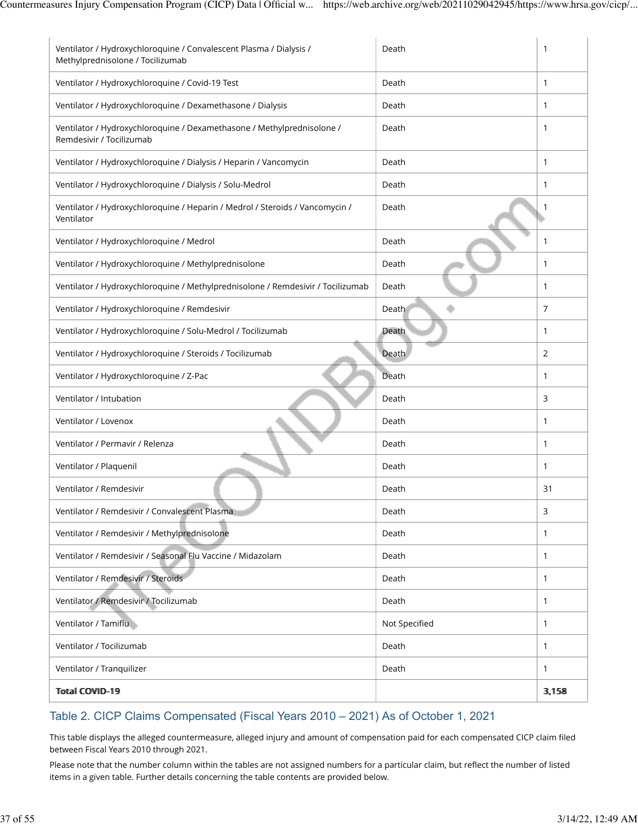| Ventilator / Hydroxychloroquine / Convalescent Plasma / Dialysis /<br>Methylprednisolone / Tocilizumab | Death         | 1            |
|--------------------------------------------------------------------------------------------------------|---------------|--------------|
| Ventilator / Hydroxychloroquine / Covid-19 Test                                                        | Death         | $\mathbf{1}$ |
| Ventilator / Hydroxychloroquine / Dexamethasone / Dialysis                                             | Death         | $\mathbf{1}$ |
| Ventilator / Hydroxychloroquine / Dexamethasone / Methylprednisolone /<br>Remdesivir / Tocilizumab     | Death         | $\mathbf{1}$ |
| Ventilator / Hydroxychloroquine / Dialysis / Heparin / Vancomycin                                      | Death         | $\mathbf{1}$ |
| Ventilator / Hydroxychloroquine / Dialysis / Solu-Medrol                                               | Death         | $\mathbf{1}$ |
| Ventilator / Hydroxychloroquine / Heparin / Medrol / Steroids / Vancomycin /<br>Ventilator             | Death         | 1            |
| Ventilator / Hydroxychloroquine / Medrol                                                               | Death         | $\mathbf{1}$ |
| Ventilator / Hydroxychloroquine / Methylprednisolone                                                   | Death         | $\mathbf{1}$ |
| Ventilator / Hydroxychloroquine / Methylprednisolone / Remdesivir / Tocilizumab                        | Death         | $\mathbf{1}$ |
| Ventilator / Hydroxychloroquine / Remdesivir                                                           | Death         | 7            |
| Ventilator / Hydroxychloroquine / Solu-Medrol / Tocilizumab                                            | Death         | $\mathbf{1}$ |
| Ventilator / Hydroxychloroquine / Steroids / Tocilizumab                                               | Death         | 2            |
| Ventilator / Hydroxychloroquine / Z-Pac                                                                | Death         | $\mathbf{1}$ |
| Ventilator / Intubation                                                                                | Death         | 3            |
| Ventilator / Lovenox                                                                                   | Death         | $\mathbf{1}$ |
| Ventilator / Permavir / Relenza                                                                        | Death         | $\mathbf{1}$ |
| Ventilator / Plaquenil                                                                                 | Death         | $\mathbf{1}$ |
| Ventilator / Remdesivir                                                                                | Death         | 31           |
| Ventilator / Remdesivir / Convalescent Plasma                                                          | Death         | 3            |
| Ventilator / Remdesivir / Methylprednisolone                                                           | Death         | $\mathbf{1}$ |
| Ventilator / Remdesivir / Seasonal Flu Vaccine / Midazolam                                             | Death         | $\mathbf{1}$ |
| Ventilator / Remdesivir / Steroids                                                                     | Death         | $\mathbf{1}$ |
| Ventilator / Remdesivir / Tocilizumab                                                                  | Death         | $\mathbf{1}$ |
| Ventilator / Tamiflu                                                                                   | Not Specified | $\mathbf{1}$ |
| Ventilator / Tocilizumab                                                                               | Death         | $\mathbf{1}$ |
| Ventilator / Tranquilizer                                                                              | Death         | $\mathbf{1}$ |
| <b>Total COVID-19</b>                                                                                  |               | 3,158        |

### Table 2. CICP Claims Compensated (Fiscal Years 2010 – 2021) As of October 1, 2021

This table displays the alleged countermeasure, alleged injury and amount of compensation paid for each compensated CICP claim filed between Fiscal Years 2010 through 2021.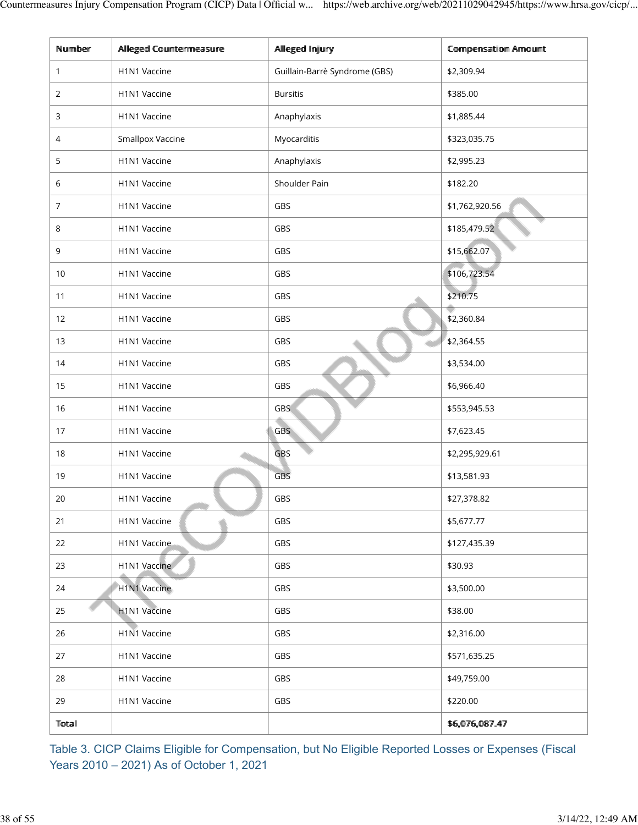| Number       | Allleged Countermeasure | Allleged Injury               | <b>Compensation Amount</b> |
|--------------|-------------------------|-------------------------------|----------------------------|
| 1            | H1N1 Vaccine            | Guillain-Barrè Syndrome (GBS) | \$2,309.94                 |
| 2            | H1N1 Vaccine            | <b>Bursitis</b>               | \$385.00                   |
| 3            | H1N1 Vaccine            | Anaphylaxis                   | \$1,885.44                 |
| 4            | <b>Smallpox Vaccine</b> | Myocarditis                   | \$323,035.75               |
| 5            | H1N1 Vaccine            | Anaphylaxis                   | \$2,995.23                 |
| 6            | H1N1 Vaccine            | Shoulder Pain                 | \$182.20                   |
| 7            | H1N1 Vaccine            | GBS                           | \$1,762,920.56             |
| 8            | H1N1 Vaccine            | GBS                           | \$185,479.52               |
| 9            | H1N1 Vaccine            | GBS                           | \$15,662.07                |
| 10           | H1N1 Vaccine            | GBS                           | \$106,723.54               |
| 11           | H1N1 Vaccine            | GBS                           | \$210.75                   |
| 12           | H1N1 Vaccine            | GBS                           | \$2,360.84                 |
| 13           | H1N1 Vaccine            | GBS                           | \$2,364.55                 |
| 14           | H1N1 Vaccine            | GBS                           | \$3,534.00                 |
| 15           | H1N1 Vaccine            | GBS                           | \$6,966.40                 |
| 16           | H1N1 Vaccine            | <b>GBS</b>                    | \$553,945.53               |
| 17           | H1N1 Vaccine            | <b>GBS</b>                    | \$7,623.45                 |
| 18           | H1N1 Vaccine            | <b>GBS</b>                    | \$2,295,929.61             |
| 19           | H1N1 Vaccine            | <b>GBS</b>                    | \$13,581.93                |
| 20           | H1N1 Vaccine            | GBS                           | \$27,378.82                |
| 21           | H1N1 Vaccine            | GBS                           | \$5,677.77                 |
| 22           | H1N1 Vaccine            | GBS                           | \$127,435.39               |
| 23           | H1N1 Vaccine            | GBS                           | \$30.93                    |
| 24           | H1N1 Vaccine            | GBS                           | \$3,500.00                 |
| 25           | H1N1 Vaccine            | GBS                           | \$38.00                    |
| 26           | H1N1 Vaccine            | GBS                           | \$2,316.00                 |
| 27           | H1N1 Vaccine            | GBS                           | \$571,635.25               |
| 28           | H1N1 Vaccine            | GBS                           | \$49,759.00                |
| 29           | H1N1 Vaccine            | GBS                           | \$220.00                   |
| <b>Total</b> |                         |                               | \$6,076,087.47             |

Table 3. CICP Claims Eligible for Compensation, but No Eligible Reported Losses or Expenses (Fiscal Years 2010 – 2021) As of October 1, 2021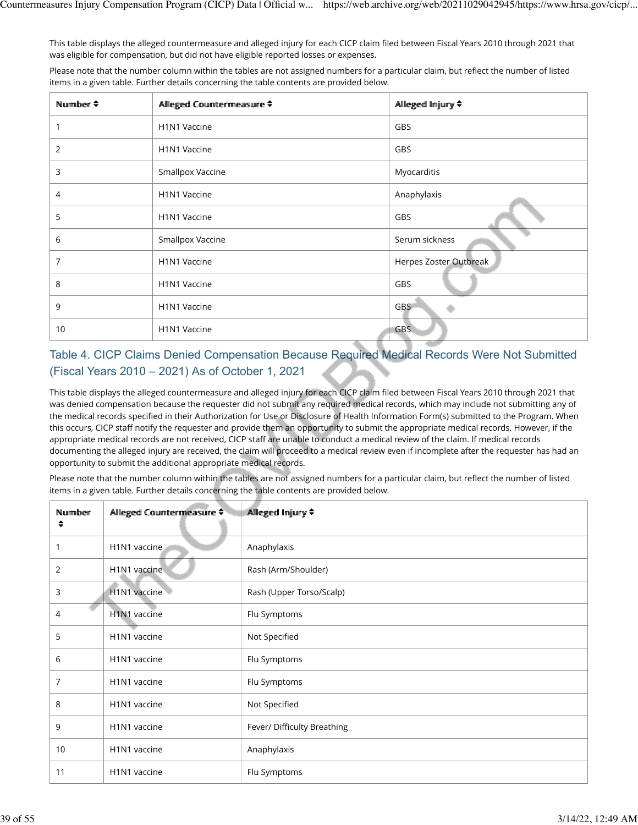This table displays the alleged countermeasure and alleged injury for each CICP claim filed between Fiscal Years 2010 through 2021 that was eligible for compensation, but did not have eligible reported losses or expenses.

Please note that the number column within the tables are not assigned numbers for a particular claim, but reflect the number of listed items in a given table. Further details concerning the table contents are provided below.

| Number $\triangle$ | Alleged Countermeasure ≑              | Allleged Injury ♦      |
|--------------------|---------------------------------------|------------------------|
|                    | H1N1 Vaccine                          | GBS                    |
| 2                  | H <sub>1</sub> N <sub>1</sub> Vaccine | GBS                    |
| 3                  | Smallpox Vaccine                      | Myocarditis            |
| 4                  | H <sub>1</sub> N <sub>1</sub> Vaccine | Anaphylaxis            |
| 5                  | H1N1 Vaccine                          | GBS                    |
| 6                  | Smallpox Vaccine                      | Serum sickness         |
| 7                  | H1N1 Vaccine                          | Herpes Zoster Outbreak |
| 8                  | H <sub>1</sub> N <sub>1</sub> Vaccine | GBS                    |
| 9                  | H1N1 Vaccine                          | <b>GBS</b>             |
| 10                 | H1N1 Vaccine                          | <b>GBS</b>             |

# Table 4. CICP Claims Denied Compensation Because Required Medical Records Were Not Submitted (Fiscal Years 2010 – 2021) As of October 1, 2021

This table displays the alleged countermeasure and alleged injury for each CICP claim filed between Fiscal Years 2010 through 2021 that was denied compensation because the requester did not submit any required medical records, which may include not submitting any of the medical records specified in their Authorization for Use or Disclosure of Health Information Form(s) submitted to the Program. When this occurs, CICP staff notify the requester and provide them an opportunity to submit the appropriate medical records. However, if the appropriate medical records are not received, CICP staff are unable to conduct a medical review of the claim. If medical records documenting the alleged injury are received, the claim will proceed to a medical review even if incomplete after the requester has had an opportunity to submit the additional appropriate medical records.

| Number<br>◆    | Alleged Countermeasure ≑ | Allleged Imjury ♦           |
|----------------|--------------------------|-----------------------------|
| 1              | H1N1 vaccine             | Anaphylaxis                 |
| 2              | H1N1 vaccine             | Rash (Arm/Shoulder)         |
| 3              | H1N1 vaccine             | Rash (Upper Torso/Scalp)    |
| $\overline{4}$ | H1N1 vaccine             | Flu Symptoms                |
| 5              | H1N1 vaccine             | Not Specified               |
| 6              | H1N1 vaccine             | Flu Symptoms                |
| 7              | H1N1 vaccine             | Flu Symptoms                |
| 8              | H1N1 vaccine             | Not Specified               |
| 9              | H1N1 vaccine             | Fever/ Difficulty Breathing |
| 10             | H1N1 vaccine             | Anaphylaxis                 |
| 11             | H1N1 vaccine             | Flu Symptoms                |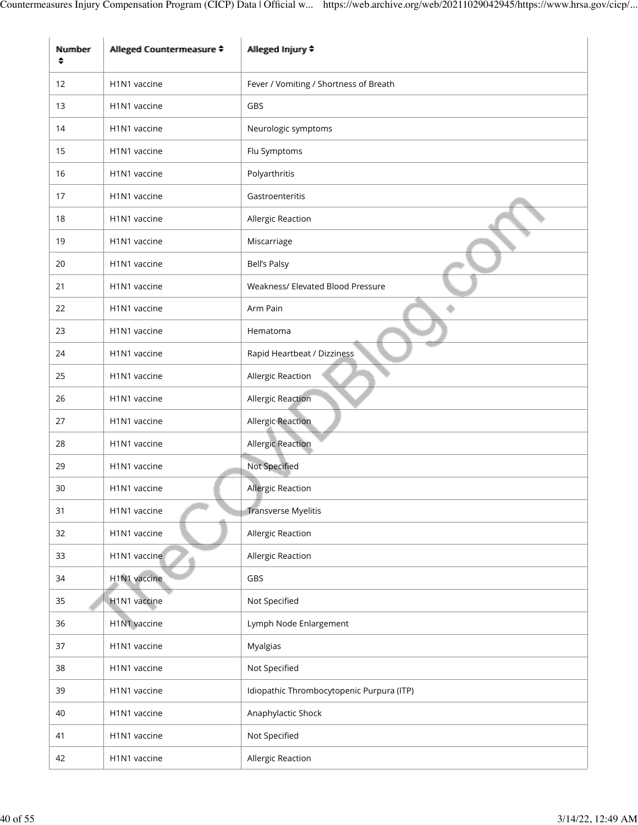| Number<br>$\hat{\bullet}$ | Allleged Countermeasure ≑             | Allleged Injjury ♦                        |
|---------------------------|---------------------------------------|-------------------------------------------|
| 12                        | H1N1 vaccine                          | Fever / Vomiting / Shortness of Breath    |
| 13                        | H1N1 vaccine                          | GBS                                       |
| 14                        | H1N1 vaccine                          | Neurologic symptoms                       |
| 15                        | H <sub>1</sub> N <sub>1</sub> vaccine | Flu Symptoms                              |
| 16                        | H1N1 vaccine                          | Polyarthritis                             |
| 17                        | H1N1 vaccine                          | Gastroenteritis                           |
| 18                        | H1N1 vaccine                          | Allergic Reaction                         |
| 19                        | H1N1 vaccine                          | Miscarriage                               |
| 20                        | H1N1 vaccine                          | <b>Bell's Palsy</b>                       |
| 21                        | H1N1 vaccine                          | Weakness/ Elevated Blood Pressure         |
| 22                        | H <sub>1</sub> N <sub>1</sub> vaccine | Arm Pain                                  |
| 23                        | H1N1 vaccine                          | Hematoma                                  |
| 24                        | H1N1 vaccine                          | Rapid Heartbeat / Dizziness               |
| 25                        | H1N1 vaccine                          | Allergic Reaction                         |
| 26                        | H1N1 vaccine                          | Allergic Reaction                         |
| 27                        | H1N1 vaccine                          | <b>Allergic Reaction</b>                  |
| 28                        | H1N1 vaccine                          | Allergic Reaction                         |
| 29                        | H1N1 vaccine                          | Not Specified                             |
| 30                        | H <sub>1</sub> N <sub>1</sub> vaccine | <b>Allergic Reaction</b>                  |
| 31                        | H1N1 vaccine                          | <b>Transverse Myelitis</b>                |
| 32                        | H1N1 vaccine                          | Allergic Reaction                         |
| 33                        | H1N1 vaccine                          | Allergic Reaction                         |
| 34                        | H1N1 vaccine                          | GBS                                       |
| 35                        | H1N1 vaccine                          | Not Specified                             |
| 36                        | H1N1 vaccine                          | Lymph Node Enlargement                    |
| 37                        | H1N1 vaccine                          | Myalgias                                  |
| 38                        | H1N1 vaccine                          | Not Specified                             |
| 39                        | H1N1 vaccine                          | Idiopathic Thrombocytopenic Purpura (ITP) |
| 40                        | H1N1 vaccine                          | Anaphylactic Shock                        |
| 41                        | H1N1 vaccine                          | Not Specified                             |
| 42                        | H1N1 vaccine                          | Allergic Reaction                         |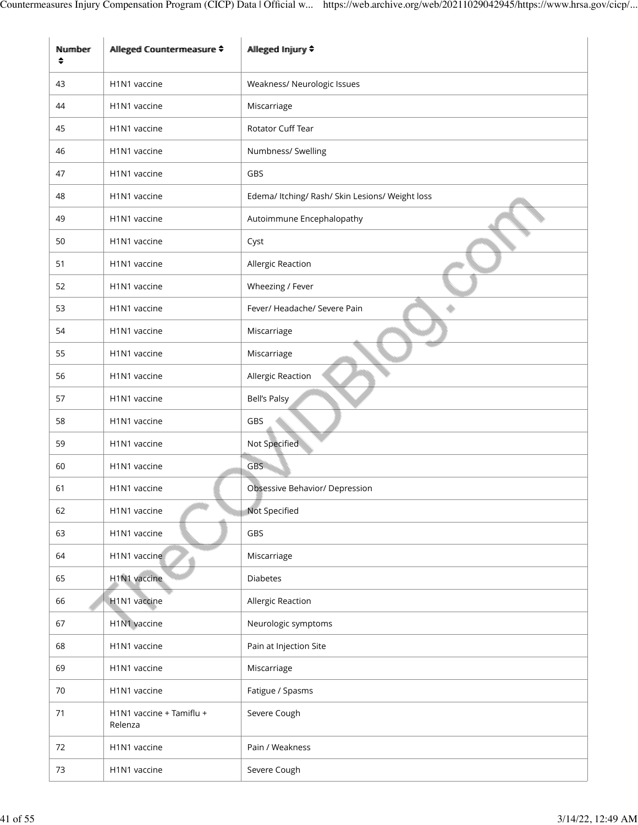| Number<br>$\div$ | Allleged Countermeasure ♦             | Allleged Injury ♦                               |
|------------------|---------------------------------------|-------------------------------------------------|
| 43               | H1N1 vaccine                          | Weakness/ Neurologic Issues                     |
| 44               | H1N1 vaccine                          | Miscarriage                                     |
| 45               | H1N1 vaccine                          | Rotator Cuff Tear                               |
| 46               | H1N1 vaccine                          | Numbness/ Swelling                              |
| 47               | H1N1 vaccine                          | GBS                                             |
| 48               | H1N1 vaccine                          | Edema/ Itching/ Rash/ Skin Lesions/ Weight loss |
| 49               | H1N1 vaccine                          | Autoimmune Encephalopathy                       |
| 50               | H1N1 vaccine                          | Cyst                                            |
| 51               | H1N1 vaccine                          | Allergic Reaction                               |
| 52               | H1N1 vaccine                          | Wheezing / Fever                                |
| 53               | H1N1 vaccine                          | Fever/ Headache/ Severe Pain                    |
| 54               | H1N1 vaccine                          | Miscarriage                                     |
| 55               | H1N1 vaccine                          | Miscarriage                                     |
| 56               | H1N1 vaccine                          | Allergic Reaction                               |
| 57               | H <sub>1</sub> N <sub>1</sub> vaccine | Bell's Palsy                                    |
| 58               | H1N1 vaccine                          | GBS                                             |
| 59               | H1N1 vaccine                          | Not Specified                                   |
| 60               | H1N1 vaccine                          | <b>GBS</b>                                      |
| 61               | H1N1 vaccine                          | Obsessive Behavior/ Depression                  |
| 62               | H1N1 vaccine                          | Not Specified                                   |
| 63               | H1N1 vaccine                          | GBS                                             |
| 64               | H1N1 vaccine                          | Miscarriage                                     |
| 65               | H1N1 vaccine                          | <b>Diabetes</b>                                 |
| 66               | H1N1 vaccine                          | Allergic Reaction                               |
| 67               | H1N1 vaccine                          | Neurologic symptoms                             |
| 68               | H1N1 vaccine                          | Pain at Injection Site                          |
| 69               | H1N1 vaccine                          | Miscarriage                                     |
| 70               | H1N1 vaccine                          | Fatigue / Spasms                                |
| 71               | H1N1 vaccine + Tamiflu +<br>Relenza   | Severe Cough                                    |
| 72               | H1N1 vaccine                          | Pain / Weakness                                 |
| 73               | H1N1 vaccine                          | Severe Cough                                    |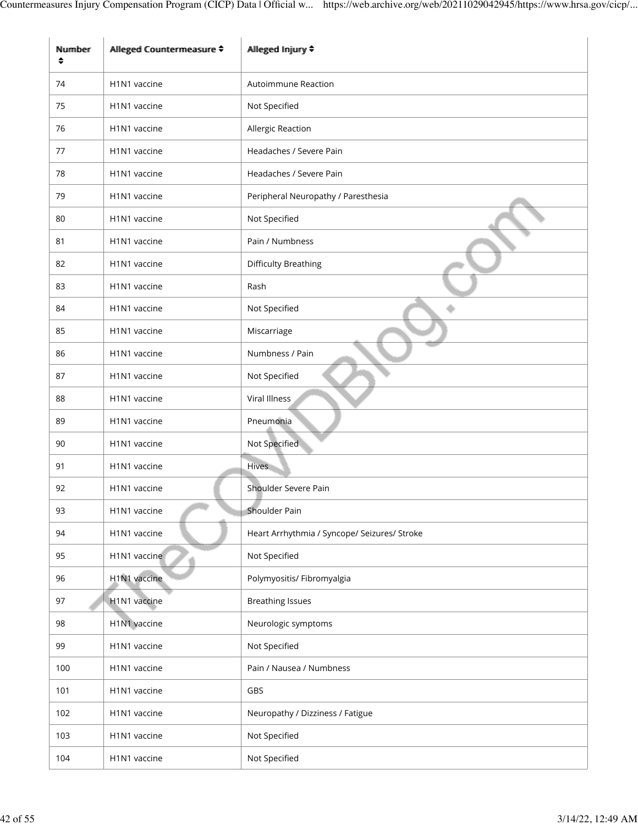| Number<br>♦ | Alleged Countermeasure ≑              | Allleged Injjury ♦                           |
|-------------|---------------------------------------|----------------------------------------------|
| 74          | H1N1 vaccine                          | <b>Autoimmune Reaction</b>                   |
| 75          | H1N1 vaccine                          | Not Specified                                |
| 76          | H1N1 vaccine                          | Allergic Reaction                            |
| 77          | H <sub>1</sub> N <sub>1</sub> vaccine | Headaches / Severe Pain                      |
| 78          | H1N1 vaccine                          | Headaches / Severe Pain                      |
| 79          | H1N1 vaccine                          | Peripheral Neuropathy / Paresthesia          |
| 80          | H1N1 vaccine                          | Not Specified                                |
| 81          | H1N1 vaccine                          | Pain / Numbness                              |
| 82          | H <sub>1</sub> N <sub>1</sub> vaccine | <b>Difficulty Breathing</b>                  |
| 83          | H1N1 vaccine                          | Rash                                         |
| 84          | H1N1 vaccine                          | Not Specified                                |
| 85          | H1N1 vaccine                          | Miscarriage                                  |
| 86          | H1N1 vaccine                          | Numbness / Pain                              |
| 87          | H1N1 vaccine                          | Not Specified                                |
| 88          | H1N1 vaccine                          | Viral Illness                                |
| 89          | H1N1 vaccine                          | Pneumonia                                    |
| 90          | H1N1 vaccine                          | Not Specified                                |
| 91          | H1N1 vaccine                          | <b>Hives</b>                                 |
| 92          | H1N1 vaccine                          | Shoulder Severe Pain                         |
| 93          | H1N1 vaccine                          | Shoulder Pain                                |
| 94          | H1N1 vaccine                          | Heart Arrhythmia / Syncope/ Seizures/ Stroke |
| 95          | H1N1 vaccine                          | Not Specified                                |
| 96          | H1N1 vaccine                          | Polymyositis/ Fibromyalgia                   |
| 97          | H1N1 vaccine                          | <b>Breathing Issues</b>                      |
| 98          | H1N1 vaccine                          | Neurologic symptoms                          |
| 99          | H1N1 vaccine                          | Not Specified                                |
| 100         | H1N1 vaccine                          | Pain / Nausea / Numbness                     |
| 101         | H1N1 vaccine                          | GBS                                          |
| 102         | H1N1 vaccine                          | Neuropathy / Dizziness / Fatigue             |
| 103         | H1N1 vaccine                          | Not Specified                                |
| 104         | H1N1 vaccine                          | Not Specified                                |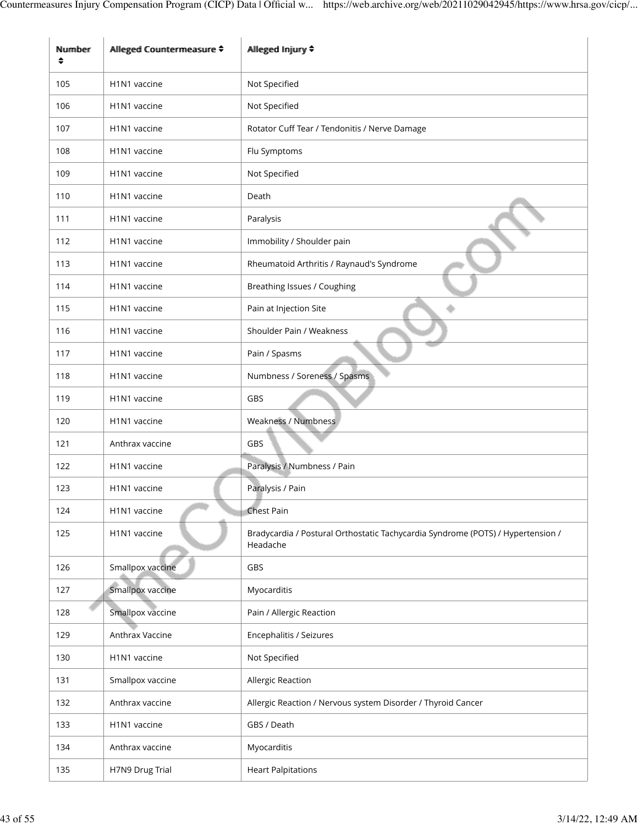| Nummber<br>$\hat{\bullet}$ | Alleged Countermeasure ♦              | Allleged Injjury ♦                                                                          |
|----------------------------|---------------------------------------|---------------------------------------------------------------------------------------------|
| 105                        | H <sub>1</sub> N <sub>1</sub> vaccine | Not Specified                                                                               |
| 106                        | H1N1 vaccine                          | Not Specified                                                                               |
| 107                        | H <sub>1</sub> N <sub>1</sub> vaccine | Rotator Cuff Tear / Tendonitis / Nerve Damage                                               |
| 108                        | H1N1 vaccine                          | Flu Symptoms                                                                                |
| 109                        | H <sub>1</sub> N <sub>1</sub> vaccine | Not Specified                                                                               |
| 110                        | H1N1 vaccine                          | Death                                                                                       |
| 111                        | H1N1 vaccine                          | Paralysis                                                                                   |
| 112                        | H <sub>1</sub> N <sub>1</sub> vaccine | Immobility / Shoulder pain                                                                  |
| 113                        | H1N1 vaccine                          | Rheumatoid Arthritis / Raynaud's Syndrome                                                   |
| 114                        | H1N1 vaccine                          | Breathing Issues / Coughing                                                                 |
| 115                        | H1N1 vaccine                          | Pain at Injection Site                                                                      |
| 116                        | H1N1 vaccine                          | Shoulder Pain / Weakness                                                                    |
| 117                        | H1N1 vaccine                          | Pain / Spasms                                                                               |
| 118                        | H1N1 vaccine                          | Numbness / Soreness / Spasms                                                                |
| 119                        | H1N1 vaccine                          | GBS                                                                                         |
| 120                        | H1N1 vaccine                          | Weakness / Numbness                                                                         |
| 121                        | Anthrax vaccine                       | GBS                                                                                         |
| 122                        | H1N1 vaccine                          | Paralysis / Numbness / Pain                                                                 |
| 123                        | H <sub>1</sub> N <sub>1</sub> vaccine | Paralysis / Pain                                                                            |
| 124                        | H1N1 vaccine                          | <b>Chest Pain</b>                                                                           |
| 125                        | H1N1 vaccine                          | Bradycardia / Postural Orthostatic Tachycardia Syndrome (POTS) / Hypertension /<br>Headache |
| 126                        | Smallpox vaccine                      | GBS                                                                                         |
| 127                        | Smallpox vaccine                      | Myocarditis                                                                                 |
| 128                        | Smallpox vaccine                      | Pain / Allergic Reaction                                                                    |
| 129                        | Anthrax Vaccine                       | Encephalitis / Seizures                                                                     |
| 130                        | H1N1 vaccine                          | Not Specified                                                                               |
| 131                        | Smallpox vaccine                      | Allergic Reaction                                                                           |
| 132                        | Anthrax vaccine                       | Allergic Reaction / Nervous system Disorder / Thyroid Cancer                                |
| 133                        | H1N1 vaccine                          | GBS / Death                                                                                 |
| 134                        | Anthrax vaccine                       | Myocarditis                                                                                 |
| 135                        | H7N9 Drug Trial                       | <b>Heart Palpitations</b>                                                                   |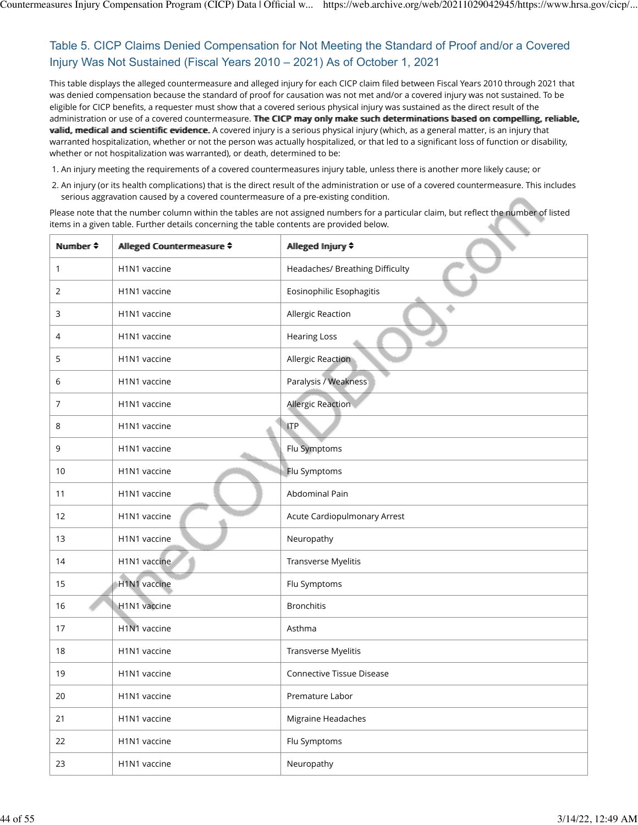# Table 5. CICP Claims Denied Compensation for Not Meeting the Standard of Proof and/or a Covered Injury Was Not Sustained (Fiscal Years 2010 – 2021) As of October 1, 2021

This table displays the alleged countermeasure and alleged injury for each CICP claim filed between Fiscal Years 2010 through 2021 that was denied compensation because the standard of proof for causation was not met and/or a covered injury was not sustained. To be eligible for CICP benefits, a requester must show that a covered serious physical injury was sustained as the direct result of the administration or use of a covered countermeasure. The CICP may only make such determinations based on compelling, reliable, vallid, medical and scientific evidence. A covered injury is a serious physical injury (which, as a general matter, is an injury that warranted hospitalization, whether or not the person was actually hospitalized, or that led to a significant loss of function or disability, whether or not hospitalization was warranted), or death, determined to be:

1. An injury meeting the requirements of a covered countermeasures injury table, unless there is another more likely cause; or

2. An injury (or its health complications) that is the direct result of the administration or use of a covered countermeasure. This includes serious aggravation caused by a covered countermeasure of a pre-existing condition.

| Number $\triangleq$ | Alleged Countermeasure ≑              | Alleged Injury ♦                 |
|---------------------|---------------------------------------|----------------------------------|
| 1                   | H1N1 vaccine                          | Headaches/ Breathing Difficulty  |
| $\overline{2}$      | H1N1 vaccine                          | Eosinophilic Esophagitis         |
| 3                   | H1N1 vaccine                          | Allergic Reaction                |
| $\overline{4}$      | H1N1 vaccine                          | <b>Hearing Loss</b>              |
| 5                   | H1N1 vaccine                          | <b>Allergic Reaction</b>         |
| 6                   | H1N1 vaccine                          | Paralysis / Weakness             |
| 7                   | H1N1 vaccine                          | <b>Allergic Reaction</b>         |
| 8                   | H1N1 vaccine                          | <b>ITP</b>                       |
| 9                   | H1N1 vaccine                          | Flu Symptoms                     |
| 10                  | H1N1 vaccine                          | Flu Symptoms                     |
| 11                  | H1N1 vaccine                          | Abdominal Pain                   |
| 12                  | H1N1 vaccine                          | Acute Cardiopulmonary Arrest     |
| 13                  | H1N1 vaccine                          | Neuropathy                       |
| 14                  | H1N1 vaccine                          | Transverse Myelitis              |
| 15                  | H1N1 vaccine                          | Flu Symptoms                     |
| 16                  | H1N1 vaccine                          | <b>Bronchitis</b>                |
| 17                  | H <sub>1</sub> N <sub>1</sub> vaccine | Asthma                           |
| 18                  | H1N1 vaccine                          | Transverse Myelitis              |
| 19                  | H1N1 vaccine                          | <b>Connective Tissue Disease</b> |
| 20                  | H1N1 vaccine                          | Premature Labor                  |
| 21                  | H1N1 vaccine                          | Migraine Headaches               |
| 22                  | H1N1 vaccine                          | Flu Symptoms                     |
| 23                  | H1N1 vaccine                          | Neuropathy                       |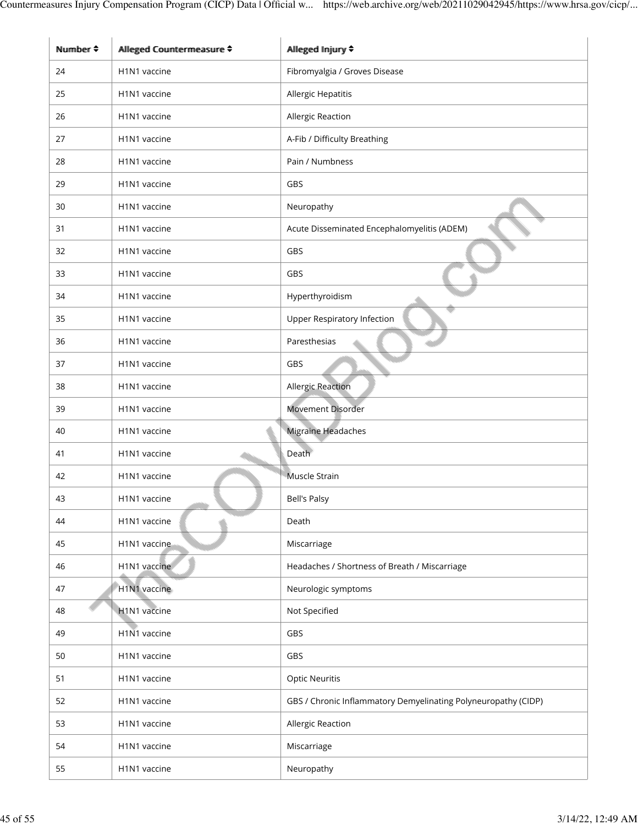| $N$ umber $\div$ | Alleged Countermeasure ≑ | Alleged Injury ♦                                               |
|------------------|--------------------------|----------------------------------------------------------------|
| 24               | H1N1 vaccine             | Fibromyalgia / Groves Disease                                  |
| 25               | H1N1 vaccine             | Allergic Hepatitis                                             |
| 26               | H1N1 vaccine             | Allergic Reaction                                              |
| 27               | H1N1 vaccine             | A-Fib / Difficulty Breathing                                   |
| 28               | H1N1 vaccine             | Pain / Numbness                                                |
| 29               | H1N1 vaccine             | GBS                                                            |
| 30               | H1N1 vaccine             | Neuropathy                                                     |
| 31               | H1N1 vaccine             | Acute Disseminated Encephalomyelitis (ADEM)                    |
| 32               | H1N1 vaccine             | GBS                                                            |
| 33               | H1N1 vaccine             | GBS                                                            |
| 34               | H1N1 vaccine             | Hyperthyroidism                                                |
| 35               | H1N1 vaccine             | <b>Upper Respiratory Infection</b>                             |
| 36               | H1N1 vaccine             | Paresthesias                                                   |
| 37               | H1N1 vaccine             | GBS                                                            |
| 38               | H1N1 vaccine             | Allergic Reaction                                              |
| 39               | H1N1 vaccine             | Movement Disorder                                              |
| 40               | H1N1 vaccine             | Migraine Headaches                                             |
| 41               | H1N1 vaccine             | Death                                                          |
| 42               | H1N1 vaccine             | Muscle Strain                                                  |
| 43               | H1N1 vaccine             | Bell's Palsy                                                   |
| 44               | H1N1 vaccine             | Death                                                          |
| 45               | H1N1 vaccine             | Miscarriage                                                    |
| 46               | H1N1 vaccine             | Headaches / Shortness of Breath / Miscarriage                  |
| 47               | H1N1 vaccine             | Neurologic symptoms                                            |
| 48               | H1N1 vaccine             | Not Specified                                                  |
| 49               | H1N1 vaccine             | GBS                                                            |
| 50               | H1N1 vaccine             | GBS                                                            |
| 51               | H1N1 vaccine             | <b>Optic Neuritis</b>                                          |
| 52               | H1N1 vaccine             | GBS / Chronic Inflammatory Demyelinating Polyneuropathy (CIDP) |
| 53               | H1N1 vaccine             | Allergic Reaction                                              |
| 54               | H1N1 vaccine             | Miscarriage                                                    |
| 55               | H1N1 vaccine             | Neuropathy                                                     |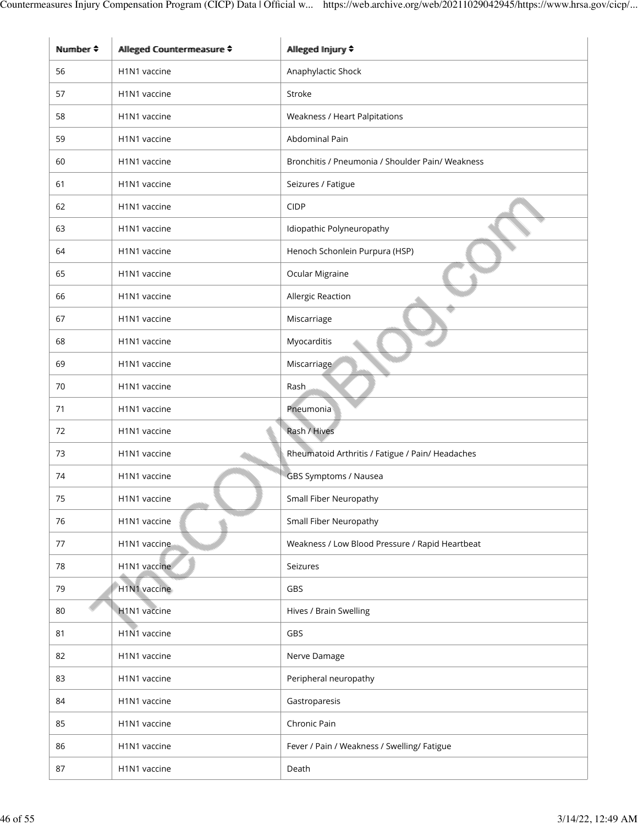| Number $\triangle$ | Alleged Countermeasure ♦ | Allleged Injjury ♦                               |
|--------------------|--------------------------|--------------------------------------------------|
| 56                 | H1N1 vaccine             | Anaphylactic Shock                               |
| 57                 | H1N1 vaccine             | Stroke                                           |
| 58                 | H1N1 vaccine             | Weakness / Heart Palpitations                    |
| 59                 | H1N1 vaccine             | Abdominal Pain                                   |
| 60                 | H1N1 vaccine             | Bronchitis / Pneumonia / Shoulder Pain/ Weakness |
| 61                 | H1N1 vaccine             | Seizures / Fatigue                               |
| 62                 | H1N1 vaccine             | <b>CIDP</b>                                      |
| 63                 | H1N1 vaccine             | Idiopathic Polyneuropathy                        |
| 64                 | H1N1 vaccine             | Henoch Schonlein Purpura (HSP)                   |
| 65                 | H1N1 vaccine             | Ocular Migraine                                  |
| 66                 | H1N1 vaccine             | Allergic Reaction                                |
| 67                 | H1N1 vaccine             | Miscarriage                                      |
| 68                 | H1N1 vaccine             | Myocarditis                                      |
| 69                 | H1N1 vaccine             | Miscarriage                                      |
| 70                 | H1N1 vaccine             | Rash                                             |
| 71                 | H1N1 vaccine             | Pneumonia                                        |
| 72                 | H1N1 vaccine             | Rash / Hives                                     |
| 73                 | H1N1 vaccine             | Rheumatoid Arthritis / Fatigue / Pain/ Headaches |
| 74                 | H1N1 vaccine             | GBS Symptoms / Nausea                            |
| 75                 | H1N1 vaccine             | Small Fiber Neuropathy                           |
| 76                 | H1N1 vaccine             | <b>Small Fiber Neuropathy</b>                    |
| 77                 | H1N1 vaccine             | Weakness / Low Blood Pressure / Rapid Heartbeat  |
| 78                 | H1N1 vaccine             | Seizures                                         |
| 79                 | H1N1 vaccine             | GBS                                              |
| 80                 | H1N1 vaccine             | Hives / Brain Swelling                           |
| 81                 | H1N1 vaccine             | GBS                                              |
| 82                 | H1N1 vaccine             | Nerve Damage                                     |
| 83                 | H1N1 vaccine             | Peripheral neuropathy                            |
| 84                 | H1N1 vaccine             | Gastroparesis                                    |
| 85                 | H1N1 vaccine             | Chronic Pain                                     |
| 86                 | H1N1 vaccine             | Fever / Pain / Weakness / Swelling/ Fatigue      |
| 87                 | H1N1 vaccine             | Death                                            |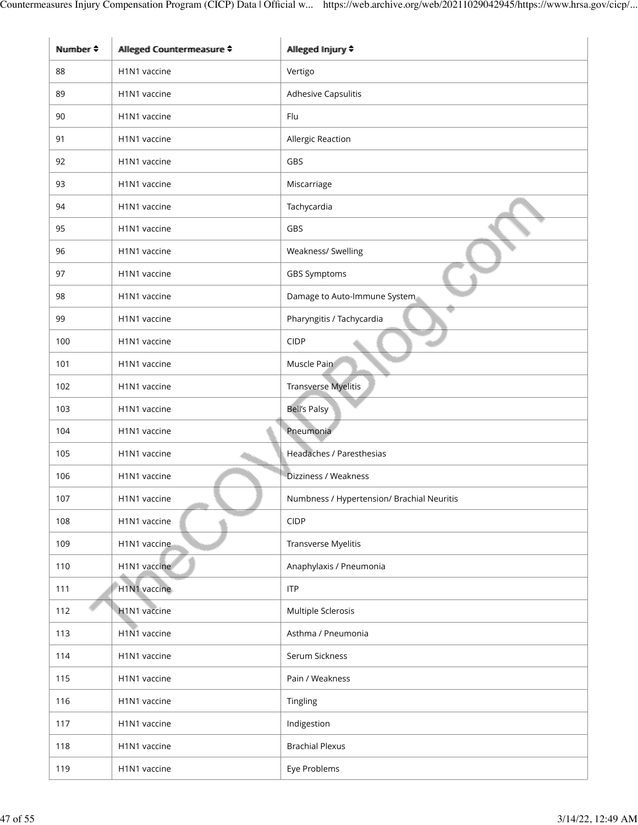| Number $\div$ | Alleged Countermeasure ≑              | Alleged Injury ♦                           |
|---------------|---------------------------------------|--------------------------------------------|
| 88            | H1N1 vaccine                          | Vertigo                                    |
| 89            | H1N1 vaccine                          | Adhesive Capsulitis                        |
| 90            | H1N1 vaccine                          | Flu                                        |
| 91            | H1N1 vaccine                          | Allergic Reaction                          |
| 92            | H1N1 vaccine                          | GBS                                        |
| 93            | H1N1 vaccine                          | Miscarriage                                |
| 94            | H1N1 vaccine                          | Tachycardia                                |
| 95            | H1N1 vaccine                          | GBS                                        |
| 96            | H1N1 vaccine                          | Weakness/ Swelling                         |
| 97            | H1N1 vaccine                          | <b>GBS Symptoms</b>                        |
| 98            | H1N1 vaccine                          | Damage to Auto-Immune System               |
| 99            | H1N1 vaccine                          | Pharyngitis / Tachycardia                  |
| 100           | H1N1 vaccine                          | <b>CIDP</b>                                |
| 101           | H1N1 vaccine                          | Muscle Pain                                |
| 102           | H1N1 vaccine                          | Transverse Myelitis                        |
| 103           | H1N1 vaccine                          | <b>Bell's Palsy</b>                        |
| 104           | H1N1 vaccine                          | Pneumonia                                  |
| 105           | H1N1 vaccine                          | Headaches / Paresthesias                   |
| 106           | H <sub>1</sub> N <sub>1</sub> vaccine | Dizziness / Weakness                       |
| 107           | H <sub>1</sub> N <sub>1</sub> vaccine | Numbness / Hypertension/ Brachial Neuritis |
| 108           | H1N1 vaccine                          | <b>CIDP</b>                                |
| 109           | H1N1 vaccine                          | Transverse Myelitis                        |
| 110           | H1N1 vaccine                          | Anaphylaxis / Pneumonia                    |
| 111           | H1N1 vaccine                          | <b>ITP</b>                                 |
| 112           | H1N1 vaccine                          | Multiple Sclerosis                         |
| 113           | H1N1 vaccine                          | Asthma / Pneumonia                         |
| 114           | H1N1 vaccine                          | Serum Sickness                             |
| 115           | H1N1 vaccine                          | Pain / Weakness                            |
| 116           | H1N1 vaccine                          | Tingling                                   |
| 117           | H1N1 vaccine                          | Indigestion                                |
| 118           | H1N1 vaccine                          | <b>Brachial Plexus</b>                     |
| 119           | H1N1 vaccine                          | Eye Problems                               |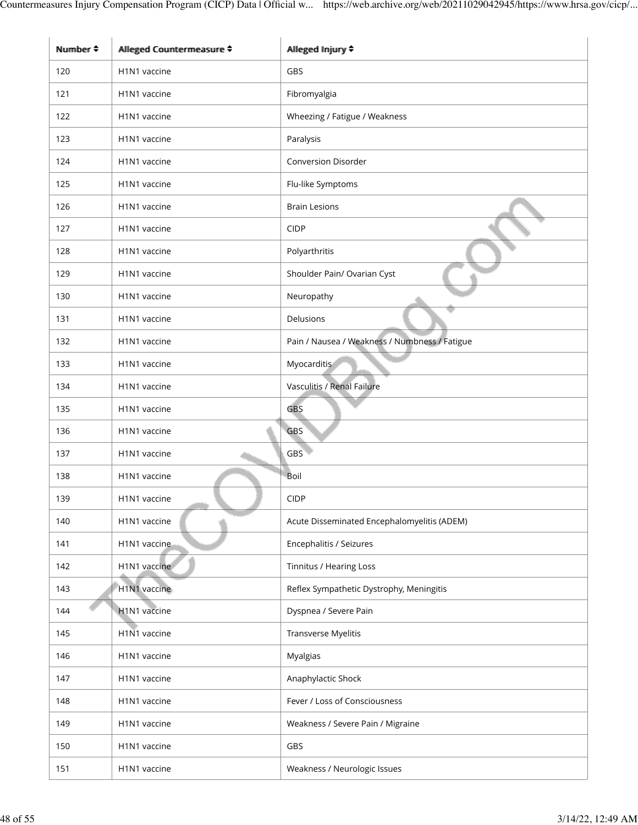| Number $\triangleq$ | Alleged Countermeasure ≑ | Allleged Injjury ♦                            |
|---------------------|--------------------------|-----------------------------------------------|
| 120                 | H1N1 vaccine             | GBS                                           |
| 121                 | H1N1 vaccine             | Fibromyalgia                                  |
| 122                 | H1N1 vaccine             | Wheezing / Fatigue / Weakness                 |
| 123                 | H1N1 vaccine             | Paralysis                                     |
| 124                 | H1N1 vaccine             | <b>Conversion Disorder</b>                    |
| 125                 | H1N1 vaccine             | Flu-like Symptoms                             |
| 126                 | H1N1 vaccine             | <b>Brain Lesions</b>                          |
| 127                 | H1N1 vaccine             | <b>CIDP</b>                                   |
| 128                 | H1N1 vaccine             | Polyarthritis                                 |
| 129                 | H1N1 vaccine             | Shoulder Pain/ Ovarian Cyst                   |
| 130                 | H1N1 vaccine             | Neuropathy                                    |
| 131                 | H1N1 vaccine             | Delusions                                     |
| 132                 | H1N1 vaccine             | Pain / Nausea / Weakness / Numbness / Fatigue |
| 133                 | H1N1 vaccine             | Myocarditis                                   |
| 134                 | H1N1 vaccine             | Vasculitis / Renal Failure                    |
| 135                 | H1N1 vaccine             | <b>GBS</b>                                    |
| 136                 | H1N1 vaccine             | GBS                                           |
| 137                 | H1N1 vaccine             | <b>GBS</b>                                    |
| 138                 | H1N1 vaccine             | Boil                                          |
| 139                 | H1N1 vaccine             | <b>CIDP</b>                                   |
| 140                 | H1N1 vaccine             | Acute Disseminated Encephalomyelitis (ADEM)   |
| 141                 | H1N1 vaccine             | Encephalitis / Seizures                       |
| 142                 | H1N1 vaccine             | <b>Tinnitus / Hearing Loss</b>                |
| 143                 | H1N1 vaccine             | Reflex Sympathetic Dystrophy, Meningitis      |
| 144                 | H1N1 vaccine             | Dyspnea / Severe Pain                         |
| 145                 | H1N1 vaccine             | Transverse Myelitis                           |
| 146                 | H1N1 vaccine             | Myalgias                                      |
| 147                 | H1N1 vaccine             | Anaphylactic Shock                            |
| 148                 | H1N1 vaccine             | Fever / Loss of Consciousness                 |
| 149                 | H1N1 vaccine             | Weakness / Severe Pain / Migraine             |
| 150                 | H1N1 vaccine             | GBS                                           |
| 151                 | H1N1 vaccine             | Weakness / Neurologic Issues                  |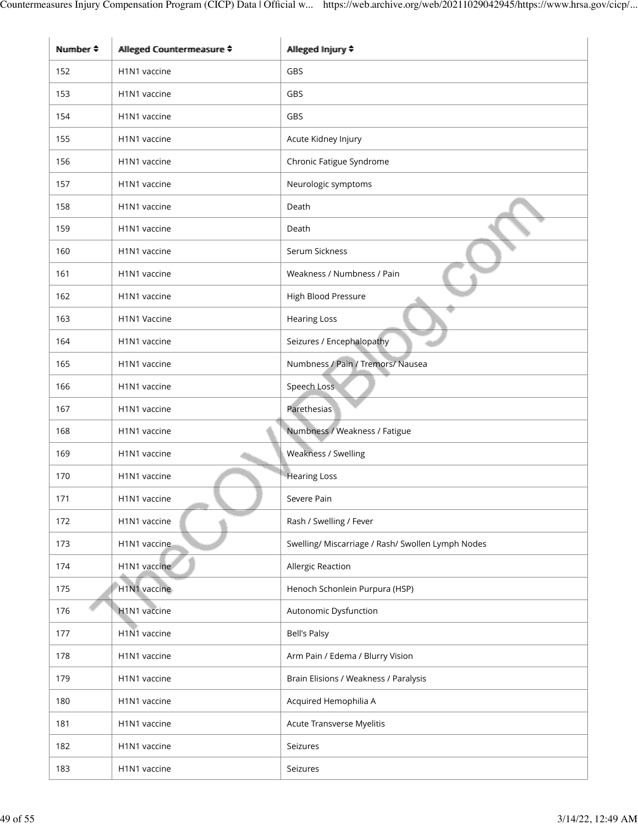| Number $\triangleq$ | Alleged Countermeasure ≑ | Allleged Injjury ♦                                |
|---------------------|--------------------------|---------------------------------------------------|
| 152                 | H1N1 vaccine             | <b>GBS</b>                                        |
| 153                 | H1N1 vaccine             | <b>GBS</b>                                        |
| 154                 | H1N1 vaccine             | GBS                                               |
| 155                 | H1N1 vaccine             | Acute Kidney Injury                               |
| 156                 | H1N1 vaccine             | Chronic Fatigue Syndrome                          |
| 157                 | H1N1 vaccine             | Neurologic symptoms                               |
| 158                 | H1N1 vaccine             | Death                                             |
| 159                 | H1N1 vaccine             | Death                                             |
| 160                 | H1N1 vaccine             | Serum Sickness                                    |
| 161                 | H1N1 vaccine             | Weakness / Numbness / Pain                        |
| 162                 | H1N1 vaccine             | High Blood Pressure                               |
| 163                 | H1N1 Vaccine             | <b>Hearing Loss</b>                               |
| 164                 | H1N1 vaccine             | Seizures / Encephalopathy                         |
| 165                 | H1N1 vaccine             | Numbness / Pain / Tremors/ Nausea                 |
| 166                 | H1N1 vaccine             | Speech Loss                                       |
| 167                 | H1N1 vaccine             | Parethesias                                       |
| 168                 | H1N1 vaccine             | Numbness / Weakness / Fatigue                     |
| 169                 | H1N1 vaccine             | Weakness / Swelling                               |
| 170                 | H1N1 vaccine             | <b>Hearing Loss</b>                               |
| 171                 | H1N1 vaccine             | Severe Pain                                       |
| 172                 | H1N1 vaccine             | Rash / Swelling / Fever                           |
| 173                 | H1N1 vaccine             | Swelling/ Miscarriage / Rash/ Swollen Lymph Nodes |
| 174                 | H1N1 vaccine             | Allergic Reaction                                 |
| 175                 | H1N1 vaccine             | Henoch Schonlein Purpura (HSP)                    |
| 176                 | H1N1 vaccine             | Autonomic Dysfunction                             |
| 177                 | H1N1 vaccine             | <b>Bell's Palsy</b>                               |
| 178                 | H1N1 vaccine             | Arm Pain / Edema / Blurry Vision                  |
| 179                 | H1N1 vaccine             | Brain Elisions / Weakness / Paralysis             |
| 180                 | H1N1 vaccine             | Acquired Hemophilia A                             |
| 181                 | H1N1 vaccine             | Acute Transverse Myelitis                         |
| 182                 | H1N1 vaccine             | Seizures                                          |
| 183                 | H1N1 vaccine             | Seizures                                          |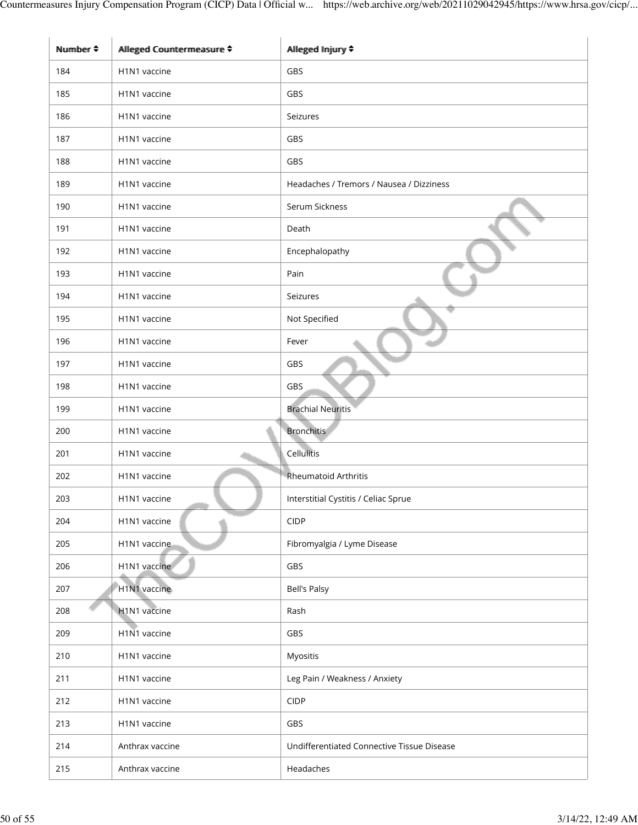| Number $\triangleq$ | Allleged Countermeasure ≑             | Alleged Injury ♦                           |
|---------------------|---------------------------------------|--------------------------------------------|
| 184                 | H1N1 vaccine                          | GBS                                        |
| 185                 | H1N1 vaccine                          | GBS                                        |
| 186                 | H1N1 vaccine                          | Seizures                                   |
| 187                 | H1N1 vaccine                          | <b>GBS</b>                                 |
| 188                 | H1N1 vaccine                          | GBS                                        |
| 189                 | H1N1 vaccine                          | Headaches / Tremors / Nausea / Dizziness   |
| 190                 | H1N1 vaccine                          | Serum Sickness                             |
| 191                 | H1N1 vaccine                          | Death                                      |
| 192                 | H1N1 vaccine                          | Encephalopathy                             |
| 193                 | H1N1 vaccine                          | Pain                                       |
| 194                 | H1N1 vaccine                          | Seizures                                   |
| 195                 | H1N1 vaccine                          | Not Specified                              |
| 196                 | H1N1 vaccine                          | Fever                                      |
| 197                 | H1N1 vaccine                          | GBS                                        |
| 198                 | H1N1 vaccine                          | GBS                                        |
| 199                 | H1N1 vaccine                          | <b>Brachial Neuritis</b>                   |
| 200                 | H1N1 vaccine                          | <b>Bronchitis</b>                          |
| 201                 | H1N1 vaccine                          | Cellulitis                                 |
| 202                 | H1N1 vaccine                          | <b>Rheumatoid Arthritis</b>                |
| 203                 | H <sub>1</sub> N <sub>1</sub> vaccine | Interstitial Cystitis / Celiac Sprue       |
| 204                 | H1N1 vaccine                          | <b>CIDP</b>                                |
| 205                 | H1N1 vaccine                          | Fibromyalgia / Lyme Disease                |
| 206                 | H1N1 vaccine                          | GBS                                        |
| 207                 | H1N1 vaccine                          | <b>Bell's Palsy</b>                        |
| 208                 | H1N1 vaccine                          | Rash                                       |
| 209                 | H1N1 vaccine                          | GBS                                        |
| 210                 | H1N1 vaccine                          | Myositis                                   |
| 211                 | H1N1 vaccine                          | Leg Pain / Weakness / Anxiety              |
| 212                 | H1N1 vaccine                          | CIDP                                       |
| 213                 | H1N1 vaccine                          | GBS                                        |
| 214                 | Anthrax vaccine                       | Undifferentiated Connective Tissue Disease |
| 215                 | Anthrax vaccine                       | Headaches                                  |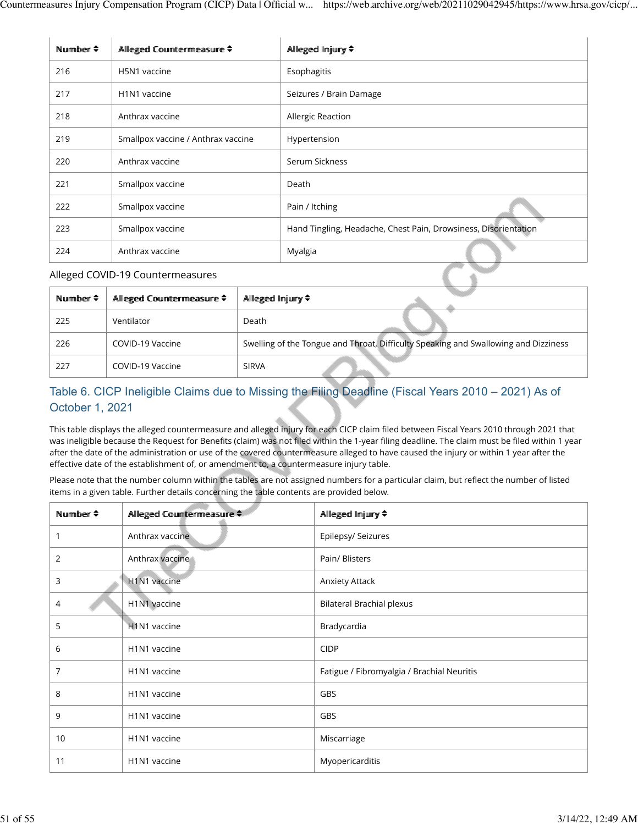| Number $\div$ | Allleged Countermeasure ≑             | Alleged Injury $\div$                                           |
|---------------|---------------------------------------|-----------------------------------------------------------------|
| 216           | H5N1 vaccine                          | Esophagitis                                                     |
| 217           | H <sub>1</sub> N <sub>1</sub> vaccine | Seizures / Brain Damage                                         |
| 218           | Anthrax vaccine                       | Allergic Reaction                                               |
| 219           | Smallpox vaccine / Anthrax vaccine    | Hypertension                                                    |
| 220           | Anthrax vaccine                       | Serum Sickness                                                  |
| 221           | Smallpox vaccine                      | Death                                                           |
| 222           | Smallpox vaccine                      | Pain / Itching                                                  |
| 223           | Smallpox vaccine                      | Hand Tingling, Headache, Chest Pain, Drowsiness, Disorientation |
| 224           | Anthrax vaccine                       | Myalgia                                                         |

#### Alleged COVID-19 Countermeasures

| Number $\div$ | Allleged Countermeasure ♦ | Allleged Imjury ≑                                                                   |
|---------------|---------------------------|-------------------------------------------------------------------------------------|
| 225           | Ventilator                | Death                                                                               |
| 226           | COVID-19 Vaccine          | Swelling of the Tongue and Throat, Difficulty Speaking and Swallowing and Dizziness |
| 227           | COVID-19 Vaccine          | <b>SIRVA</b>                                                                        |

# Table 6. CICP Ineligible Claims due to Missing the Filing Deadline (Fiscal Years 2010 – 2021) As of October 1, 2021

This table displays the alleged countermeasure and alleged injury for each CICP claim filed between Fiscal Years 2010 through 2021 that was ineligible because the Request for Benefits (claim) was not filed within the 1-year filing deadline. The claim must be filed within 1 year after the date of the administration or use of the covered countermeasure alleged to have caused the injury or within 1 year after the effective date of the establishment of, or amendment to, a countermeasure injury table.

| Number $\div$ | Allleged Countermeasure $\div$        | Allleged Injury ♦                          |
|---------------|---------------------------------------|--------------------------------------------|
| 1             | Anthrax vaccine                       | Epilepsy/ Seizures                         |
| 2             | Anthrax vaccine                       | Pain/ Blisters                             |
| 3             | H1N1 vaccine                          | Anxiety Attack                             |
| 4             | H1N1 vaccine                          | <b>Bilateral Brachial plexus</b>           |
| 5             | H <sub>1</sub> N <sub>1</sub> vaccine | Bradycardia                                |
| 6             | H <sub>1</sub> N <sub>1</sub> vaccine | <b>CIDP</b>                                |
| 7             | H1N1 vaccine                          | Fatigue / Fibromyalgia / Brachial Neuritis |
| 8             | H1N1 vaccine                          | GBS                                        |
| 9             | H1N1 vaccine                          | GBS                                        |
| 10            | H1N1 vaccine                          | Miscarriage                                |
| 11            | H1N1 vaccine                          | Myopericarditis                            |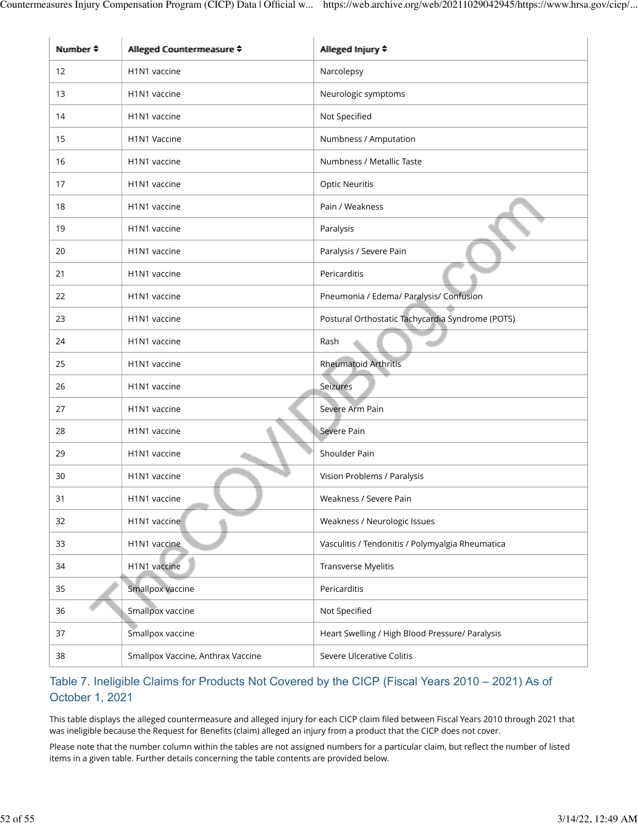| Number $\triangle$ | Allleged Countermeasure ≑             | Alleged Injury ♦                                 |
|--------------------|---------------------------------------|--------------------------------------------------|
| 12                 | H1N1 vaccine                          | Narcolepsy                                       |
| 13                 | H1N1 vaccine                          | Neurologic symptoms                              |
| 14                 | H1N1 vaccine                          | Not Specified                                    |
| 15                 | H1N1 Vaccine                          | Numbness / Amputation                            |
| 16                 | H1N1 vaccine                          | Numbness / Metallic Taste                        |
| 17                 | H1N1 vaccine                          | <b>Optic Neuritis</b>                            |
| 18                 | H1N1 vaccine                          | Pain / Weakness                                  |
| 19                 | H1N1 vaccine                          | Paralysis                                        |
| 20                 | H1N1 vaccine                          | Paralysis / Severe Pain                          |
| 21                 | H1N1 vaccine                          | Pericarditis                                     |
| 22                 | H1N1 vaccine                          | Pneumonia / Edema/ Paralysis/ Confusion          |
| 23                 | H1N1 vaccine                          | Postural Orthostatic Tachycardia Syndrome (POTS) |
| 24                 | H1N1 vaccine                          | Rash                                             |
| 25                 | H <sub>1</sub> N <sub>1</sub> vaccine | <b>Rheumatoid Arthritis</b>                      |
| 26                 | H1N1 vaccine                          | Seizures                                         |
| 27                 | H1N1 vaccine                          | Severe Arm Pain                                  |
| 28                 | H1N1 vaccine                          | Severe Pain                                      |
| 29                 | H1N1 vaccine                          | Shoulder Pain                                    |
| 30                 | H1N1 vaccine                          | Vision Problems / Paralysis                      |
| 31                 | H1N1 vaccine                          | Weakness / Severe Pain                           |
| 32                 | H1N1 vaccine                          | Weakness / Neurologic Issues                     |
| 33                 | H1N1 vaccine                          | Vasculitis / Tendonitis / Polymyalgia Rheumatica |
| 34                 | H1N1 vaccine                          | Transverse Myelitis                              |
| 35                 | Smallpox vaccine                      | Pericarditis                                     |
| 36                 | Smallpox vaccine                      | Not Specified                                    |
| 37                 | Smallpox vaccine                      | Heart Swelling / High Blood Pressure/ Paralysis  |
| 38                 | Smallpox Vaccine, Anthrax Vaccine     | Severe Ulcerative Colitis                        |

## Table 7. Ineligible Claims for Products Not Covered by the CICP (Fiscal Years 2010 – 2021) As of October 1, 2021

This table displays the alleged countermeasure and alleged injury for each CICP claim filed between Fiscal Years 2010 through 2021 that was ineligible because the Request for Benefits (claim) alleged an injury from a product that the CICP does not cover.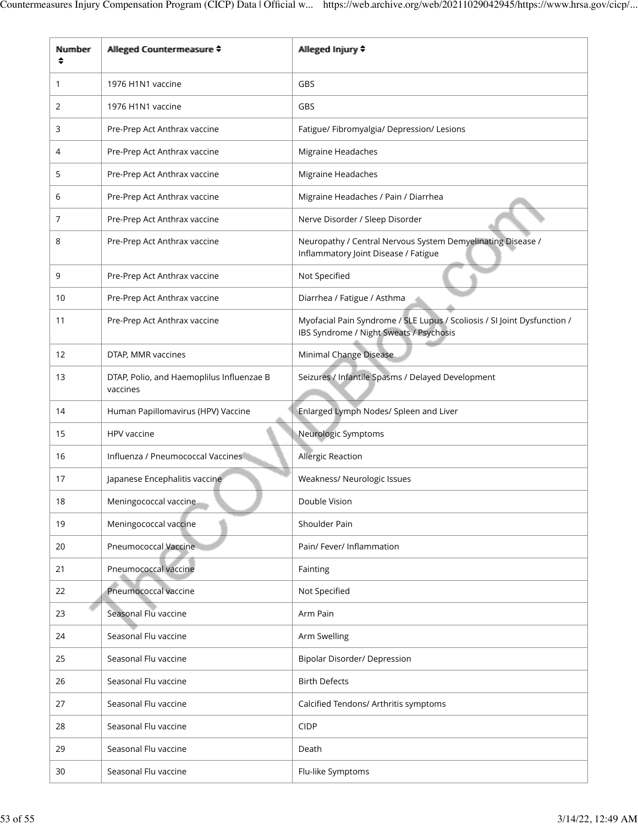| Number | Alleged Countermeasure ≑                              | Allleged Injury ♦                                                                                                   |  |
|--------|-------------------------------------------------------|---------------------------------------------------------------------------------------------------------------------|--|
| 1      | 1976 H1N1 vaccine                                     | <b>GBS</b>                                                                                                          |  |
| 2      | 1976 H1N1 vaccine                                     | GBS                                                                                                                 |  |
| 3      | Pre-Prep Act Anthrax vaccine                          | Fatigue/ Fibromyalgia/ Depression/ Lesions                                                                          |  |
| 4      | Pre-Prep Act Anthrax vaccine                          | Migraine Headaches                                                                                                  |  |
| 5      | Pre-Prep Act Anthrax vaccine                          | Migraine Headaches                                                                                                  |  |
| 6      | Pre-Prep Act Anthrax vaccine                          | Migraine Headaches / Pain / Diarrhea                                                                                |  |
| 7      | Pre-Prep Act Anthrax vaccine                          | Nerve Disorder / Sleep Disorder                                                                                     |  |
| 8      | Pre-Prep Act Anthrax vaccine                          | Neuropathy / Central Nervous System Demyelinating Disease /<br>Inflammatory Joint Disease / Fatigue                 |  |
| 9      | Pre-Prep Act Anthrax vaccine                          | Not Specified                                                                                                       |  |
| 10     | Pre-Prep Act Anthrax vaccine                          | Diarrhea / Fatigue / Asthma                                                                                         |  |
| 11     | Pre-Prep Act Anthrax vaccine                          | Myofacial Pain Syndrome / SLE Lupus / Scoliosis / SI Joint Dysfunction /<br>IBS Syndrome / Night Sweats / Psychosis |  |
| 12     | DTAP, MMR vaccines                                    | Minimal Change Disease                                                                                              |  |
| 13     | DTAP, Polio, and Haemoplilus Influenzae B<br>vaccines | Seizures / Infantile Spasms / Delayed Development                                                                   |  |
| 14     | Human Papillomavirus (HPV) Vaccine                    | Enlarged Lymph Nodes/ Spleen and Liver                                                                              |  |
| 15     | HPV vaccine                                           | Neurologic Symptoms                                                                                                 |  |
| 16     | Influenza / Pneumococcal Vaccines                     | Allergic Reaction                                                                                                   |  |
| 17     | Japanese Encephalitis vaccine                         | Weakness/ Neurologic Issues                                                                                         |  |
| 18     | Meningococcal vaccine                                 | Double Vision                                                                                                       |  |
| 19     | Meningococcal vaccine                                 | Shoulder Pain                                                                                                       |  |
| 20     | Pneumococcal Vaccine                                  | Pain/ Fever/ Inflammation                                                                                           |  |
| 21     | Pneumococcal vaccine                                  | Fainting                                                                                                            |  |
| 22     | Pneumococcal vaccine                                  | Not Specified                                                                                                       |  |
| 23     | Seasonal Flu vaccine                                  | Arm Pain                                                                                                            |  |
| 24     | Seasonal Flu vaccine                                  | Arm Swelling                                                                                                        |  |
| 25     | Seasonal Flu vaccine                                  | Bipolar Disorder/ Depression                                                                                        |  |
| 26     | Seasonal Flu vaccine                                  | <b>Birth Defects</b>                                                                                                |  |
| 27     | Seasonal Flu vaccine                                  | Calcified Tendons/ Arthritis symptoms                                                                               |  |
| 28     | Seasonal Flu vaccine                                  | <b>CIDP</b>                                                                                                         |  |
| 29     | Seasonal Flu vaccine                                  | Death                                                                                                               |  |
| 30     | Seasonal Flu vaccine                                  | Flu-like Symptoms                                                                                                   |  |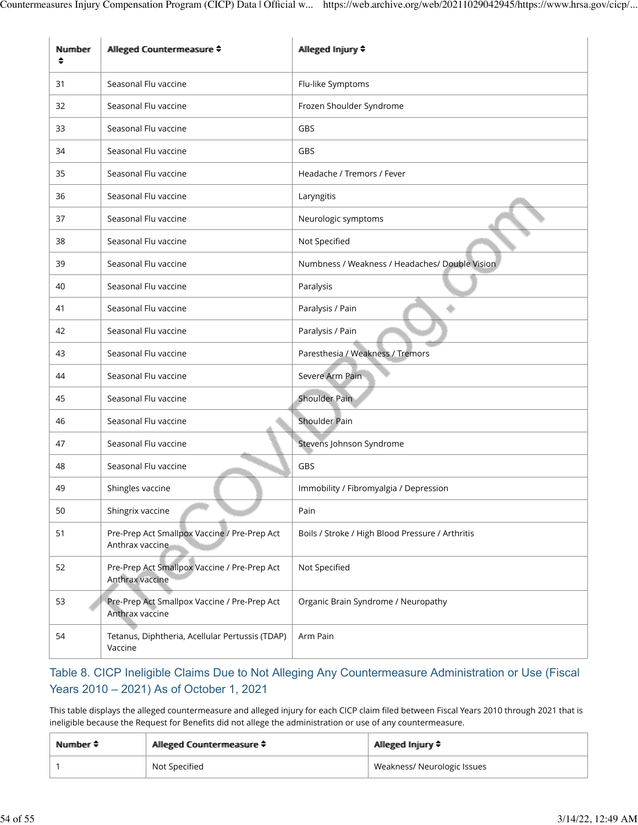| Number<br>♦ | Allleged Countermeasure ≑                                       | Allleged Injjury ♦                               |
|-------------|-----------------------------------------------------------------|--------------------------------------------------|
| 31          | Seasonal Flu vaccine                                            | Flu-like Symptoms                                |
| 32          | Seasonal Flu vaccine                                            | Frozen Shoulder Syndrome                         |
| 33          | Seasonal Flu vaccine                                            | GBS                                              |
| 34          | Seasonal Flu vaccine                                            | GBS                                              |
| 35          | Seasonal Flu vaccine                                            | Headache / Tremors / Fever                       |
| 36          | Seasonal Flu vaccine                                            | Laryngitis                                       |
| 37          | Seasonal Flu vaccine                                            | Neurologic symptoms                              |
| 38          | Seasonal Flu vaccine                                            | Not Specified                                    |
| 39          | Seasonal Flu vaccine                                            | Numbness / Weakness / Headaches/ Double Vision   |
| 40          | Seasonal Flu vaccine                                            | Paralysis                                        |
| 41          | Seasonal Flu vaccine                                            | Paralysis / Pain                                 |
| 42          | Seasonal Flu vaccine                                            | Paralysis / Pain                                 |
| 43          | Seasonal Flu vaccine                                            | Paresthesia / Weakness / Tremors                 |
| 44          | Seasonal Flu vaccine                                            | Severe Arm Pain                                  |
| 45          | Seasonal Flu vaccine                                            | <b>Shoulder Pain</b>                             |
| 46          | Seasonal Flu vaccine                                            | Shoulder Pain                                    |
| 47          | Seasonal Flu vaccine                                            | Stevens Johnson Syndrome                         |
| 48          | Seasonal Flu vaccine                                            | GBS                                              |
| 49          | Shingles vaccine                                                | Immobility / Fibromyalgia / Depression           |
| 50          | Shingrix vaccine                                                | Pain                                             |
| 51          | Pre-Prep Act Smallpox Vaccine / Pre-Prep Act<br>Anthrax vaccine | Boils / Stroke / High Blood Pressure / Arthritis |
| 52          | Pre-Prep Act Smallpox Vaccine / Pre-Prep Act<br>Anthrax vaccine | Not Specified                                    |
| 53          | Pre-Prep Act Smallpox Vaccine / Pre-Prep Act<br>Anthrax vaccine | Organic Brain Syndrome / Neuropathy              |
| 54          | Tetanus, Diphtheria, Acellular Pertussis (TDAP)<br>Vaccine      | Arm Pain                                         |

### Table 8. CICP Ineligible Claims Due to Not Alleging Any Countermeasure Administration or Use (Fiscal Years 2010 – 2021) As of October 1, 2021

This table displays the alleged countermeasure and alleged injury for each CICP claim filed between Fiscal Years 2010 through 2021 that is ineligible because the Request for Benefits did not allege the administration or use of any countermeasure.

| Number $\div$ | Allleged Countermeasure ≑ | Allleged Imjury ♦           |
|---------------|---------------------------|-----------------------------|
|               | Not Specified             | Weakness/ Neurologic Issues |